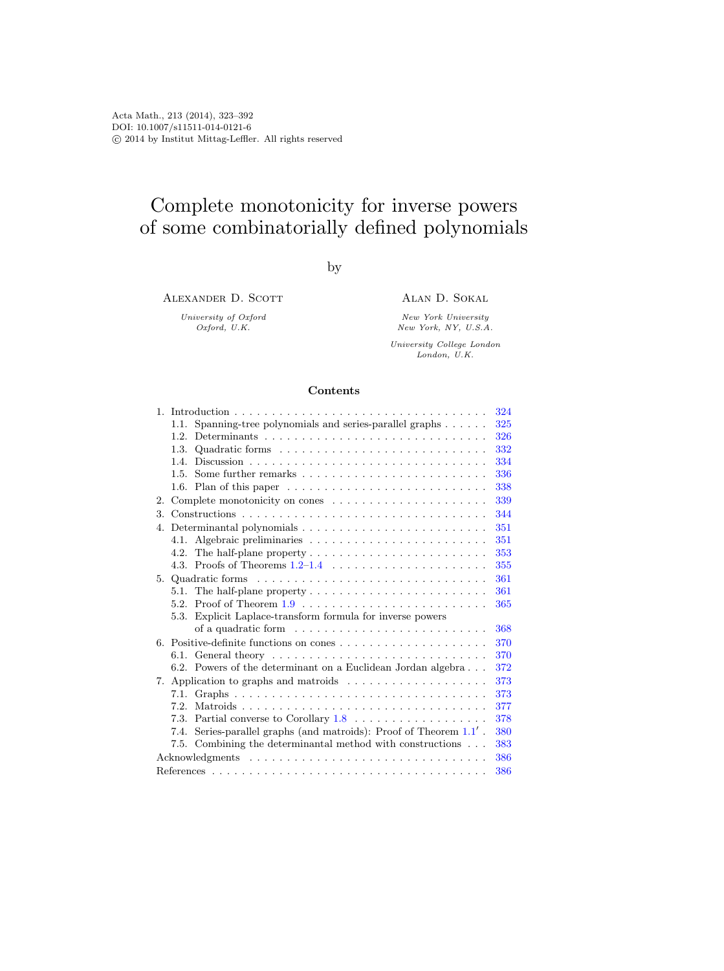# Complete monotonicity for inverse powers of some combinatorially defined polynomials

by

ALEXANDER D. SCOTT

University of Oxford Oxford, U.K.

Alan D. Sokal

New York University New York, NY, U.S.A.

University College London London, U.K.

# Contents

|                                                                                          | 324 |
|------------------------------------------------------------------------------------------|-----|
| Spanning-tree polynomials and series-parallel graphs<br>1.1.                             | 325 |
| 1.2.                                                                                     | 326 |
| Quadratic forms $\ldots \ldots \ldots \ldots \ldots \ldots \ldots \ldots \ldots$<br>1.3. | 332 |
| 1.4.                                                                                     | 334 |
| Some further remarks $\dots \dots \dots \dots \dots \dots \dots \dots \dots$<br>1.5.     | 336 |
| 1.6. Plan of this paper $\dots \dots \dots \dots \dots \dots \dots \dots \dots \dots$    | 338 |
| 2.                                                                                       | 339 |
| 3.                                                                                       | 344 |
|                                                                                          | 351 |
| 4.1.                                                                                     | 351 |
| 4.2.                                                                                     | 353 |
|                                                                                          | 355 |
|                                                                                          | 361 |
| 5.1. The half-plane property $\dots \dots \dots \dots \dots \dots \dots \dots$           | 361 |
|                                                                                          | 365 |
| 5.3. Explicit Laplace-transform formula for inverse powers                               |     |
|                                                                                          | 368 |
| 6. Positive-definite functions on cones                                                  | 370 |
|                                                                                          | 370 |
| 6.2. Powers of the determinant on a Euclidean Jordan algebra                             | 372 |
| 7.                                                                                       | 373 |
|                                                                                          | 373 |
| Matroids<br>7.2                                                                          | 377 |
| Partial converse to Corollary $1.8 \ldots \ldots \ldots \ldots \ldots$<br>7.3.           | 378 |
| Series-parallel graphs (and matroids): Proof of Theorem $1.1^{\prime}$ .<br>7.4.         | 380 |
| 7.5. Combining the determinantal method with constructions                               | 383 |
|                                                                                          | 386 |
|                                                                                          | 386 |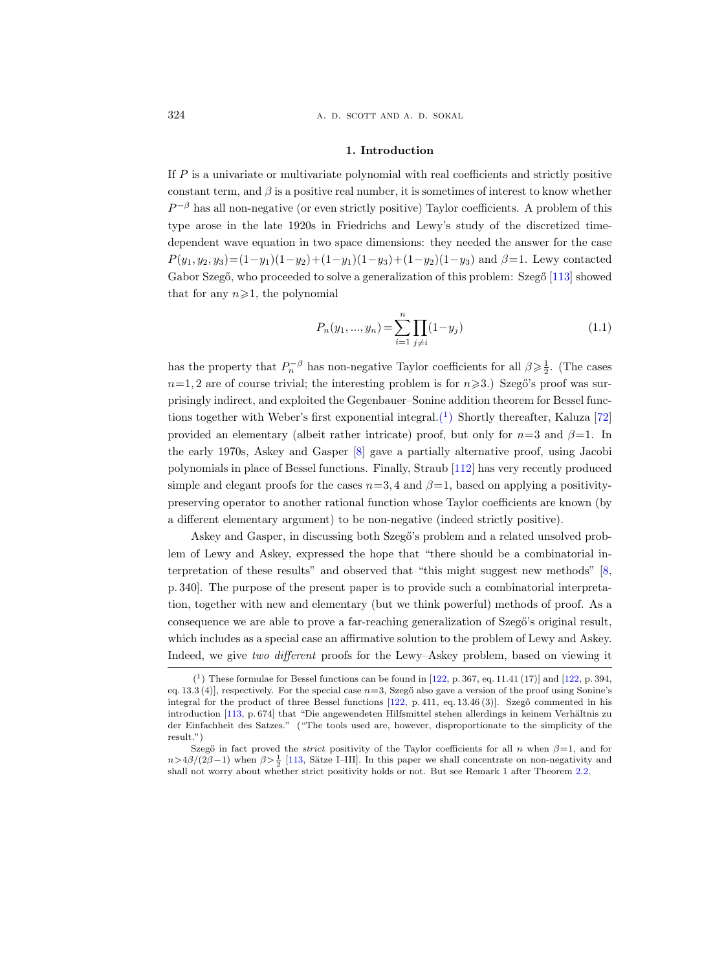324 **a. d. scott and a. d. sokal** 

#### 1. Introduction

<span id="page-1-0"></span>If  $P$  is a univariate or multivariate polynomial with real coefficients and strictly positive constant term, and  $\beta$  is a positive real number, it is sometimes of interest to know whether  $P^{-\beta}$  has all non-negative (or even strictly positive) Taylor coefficients. A problem of this type arose in the late 1920s in Friedrichs and Lewy's study of the discretized timedependent wave equation in two space dimensions: they needed the answer for the case  $P(y_1, y_2, y_3)=(1-y_1)(1-y_2)+(1-y_1)(1-y_3)+(1-y_2)(1-y_3)$  and  $\beta=1$ . Lewy contacted Gabor Szegő, who proceeded to solve a generalization of this problem: Szegő [\[113\]](#page-68-0) showed that for any  $n\geqslant 1$ , the polynomial

<span id="page-1-2"></span>
$$
P_n(y_1, ..., y_n) = \sum_{i=1}^n \prod_{j \neq i} (1 - y_j)
$$
\n(1.1)

has the property that  $P_n^{-\beta}$  has non-negative Taylor coefficients for all  $\beta \geq \frac{1}{2}$ . (The cases  $n=1, 2$  are of course trivial; the interesting problem is for  $n \ge 3$ .) Szegő's proof was surprisingly indirect, and exploited the Gegenbauer–Sonine addition theorem for Bessel functions together with Weber's first exponential integral. $(1)$  Shortly thereafter, Kaluza [\[72\]](#page-66-0) provided an elementary (albeit rather intricate) proof, but only for  $n=3$  and  $\beta=1$ . In the early 1970s, Askey and Gasper [\[8\]](#page-64-0) gave a partially alternative proof, using Jacobi polynomials in place of Bessel functions. Finally, Straub [\[112\]](#page-68-1) has very recently produced simple and elegant proofs for the cases  $n=3, 4$  and  $\beta=1$ , based on applying a positivitypreserving operator to another rational function whose Taylor coefficients are known (by a different elementary argument) to be non-negative (indeed strictly positive).

Askey and Gasper, in discussing both Szegő's problem and a related unsolved problem of Lewy and Askey, expressed the hope that "there should be a combinatorial interpretation of these results" and observed that "this might suggest new methods" [\[8,](#page-64-0) p. 340]. The purpose of the present paper is to provide such a combinatorial interpretation, together with new and elementary (but we think powerful) methods of proof. As a consequence we are able to prove a far-reaching generalization of Szegő's original result, which includes as a special case an affirmative solution to the problem of Lewy and Askey. Indeed, we give two different proofs for the Lewy–Askey problem, based on viewing it

<span id="page-1-1"></span> $(1)$  These formulae for Bessel functions can be found in [\[122,](#page-69-0) p. 367, eq. 11.41 (17)] and [122, p. 394, eq. 13.3 (4)], respectively. For the special case  $n=3$ , Szegő also gave a version of the proof using Sonine's integral for the product of three Bessel functions [\[122,](#page-69-0) p. 411, eq. 13.46 (3)]. Szegő commented in his introduction [\[113,](#page-68-0) p. 674] that "Die angewendeten Hilfsmittel stehen allerdings in keinem Verhältnis zu der Einfachheit des Satzes." ("The tools used are, however, disproportionate to the simplicity of the result.")

Szegő in fact proved the *strict* positivity of the Taylor coefficients for all n when  $\beta=1$ , and for  $n>4\beta/(2\beta-1)$  when  $\beta>\frac{1}{2}$  [\[113,](#page-68-0) Sätze I–III]. In this paper we shall concentrate on non-negativity and shall not worry about whether strict positivity holds or not. But see Remark 1 after Theorem [2.2.](#page-17-0)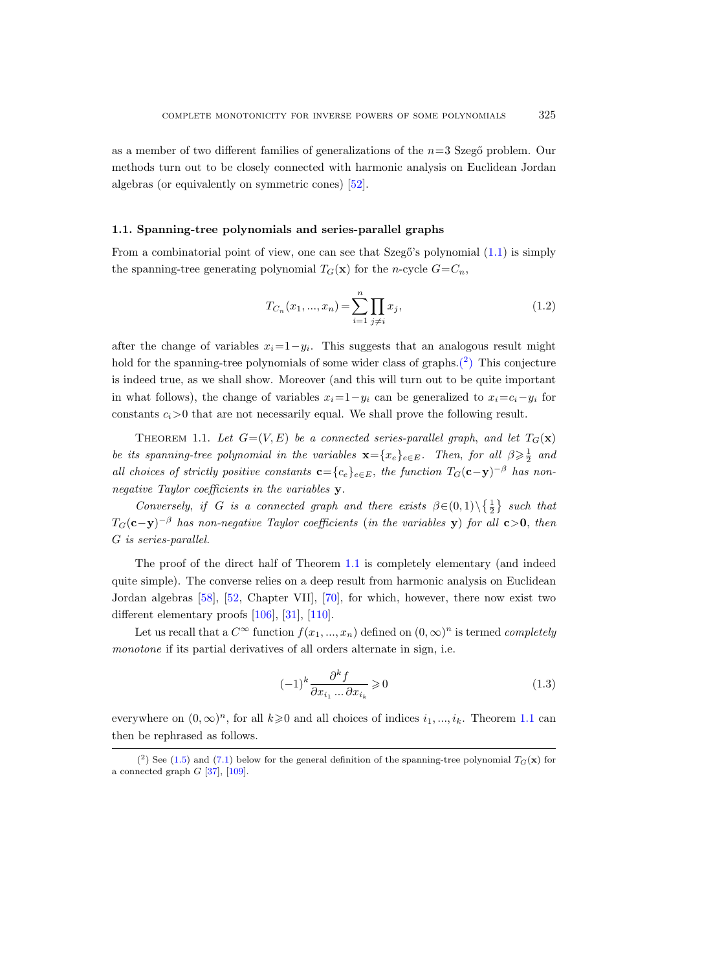as a member of two different families of generalizations of the  $n=3$  Szeg $\ddot{o}$  problem. Our methods turn out to be closely connected with harmonic analysis on Euclidean Jordan algebras (or equivalently on symmetric cones) [\[52\]](#page-65-0).

# <span id="page-2-0"></span>1.1. Spanning-tree polynomials and series-parallel graphs

From a combinatorial point of view, one can see that Szegő's polynomial  $(1.1)$  is simply the spanning-tree generating polynomial  $T_G(\mathbf{x})$  for the n-cycle  $G=C_n$ ,

$$
T_{C_n}(x_1, ..., x_n) = \sum_{i=1}^n \prod_{j \neq i} x_j,
$$
\n(1.2)

after the change of variables  $x_i=1-y_i$ . This suggests that an analogous result might hold for the spanning-tree polynomials of some wider class of graphs. $(2)$  This conjecture is indeed true, as we shall show. Moreover (and this will turn out to be quite important in what follows), the change of variables  $x_i=1-y_i$  can be generalized to  $x_i=c_i-y_i$  for constants  $c_i>0$  that are not necessarily equal. We shall prove the following result.

<span id="page-2-1"></span>THEOREM 1.1. Let  $G=(V, E)$  be a connected series-parallel graph, and let  $T_G(\mathbf{x})$ be its spanning-tree polynomial in the variables  $\mathbf{x} = \{x_e\}_{e \in E}$ . Then, for all  $\beta \geq \frac{1}{2}$  and all choices of strictly positive constants  $\mathbf{c} = \{c_e\}_{e \in E}$ , the function  $T_G(\mathbf{c}-\mathbf{y})^{-\beta}$  has nonnegative Taylor coefficients in the variables y.

Conversely, if G is a connected graph and there exists  $\beta \in (0,1) \setminus {\frac{1}{2}}$  such that  $T_G(\mathbf{c}-\mathbf{y})^{-\beta}$  has non-negative Taylor coefficients (in the variables y) for all  $\mathbf{c} > 0$ , then G is series-parallel.

The proof of the direct half of Theorem [1.1](#page-2-1) is completely elementary (and indeed quite simple). The converse relies on a deep result from harmonic analysis on Euclidean Jordan algebras [\[58\]](#page-66-1), [\[52,](#page-65-0) Chapter VII], [\[70\]](#page-66-2), for which, however, there now exist two different elementary proofs [\[106\]](#page-68-2), [\[31\]](#page-65-1), [\[110\]](#page-68-3).

Let us recall that a  $C^{\infty}$  function  $f(x_1, ..., x_n)$  defined on  $(0, \infty)^n$  is termed *completely* monotone if its partial derivatives of all orders alternate in sign, i.e.

<span id="page-2-3"></span>
$$
(-1)^k \frac{\partial^k f}{\partial x_{i_1} \dots \partial x_{i_k}} \geqslant 0 \tag{1.3}
$$

everywhere on  $(0, \infty)^n$ , for all  $k \geq 0$  and all choices of indices  $i_1, ..., i_k$ . Theorem [1.1](#page-2-1) can then be rephrased as follows.

<span id="page-2-2"></span><sup>(&</sup>lt;sup>2</sup>) See [\(1.5\)](#page-5-0) and [\(7.1\)](#page-50-2) below for the general definition of the spanning-tree polynomial  $T_G(\mathbf{x})$  for a connected graph  $G$  [\[37\]](#page-65-2), [\[109\]](#page-68-4).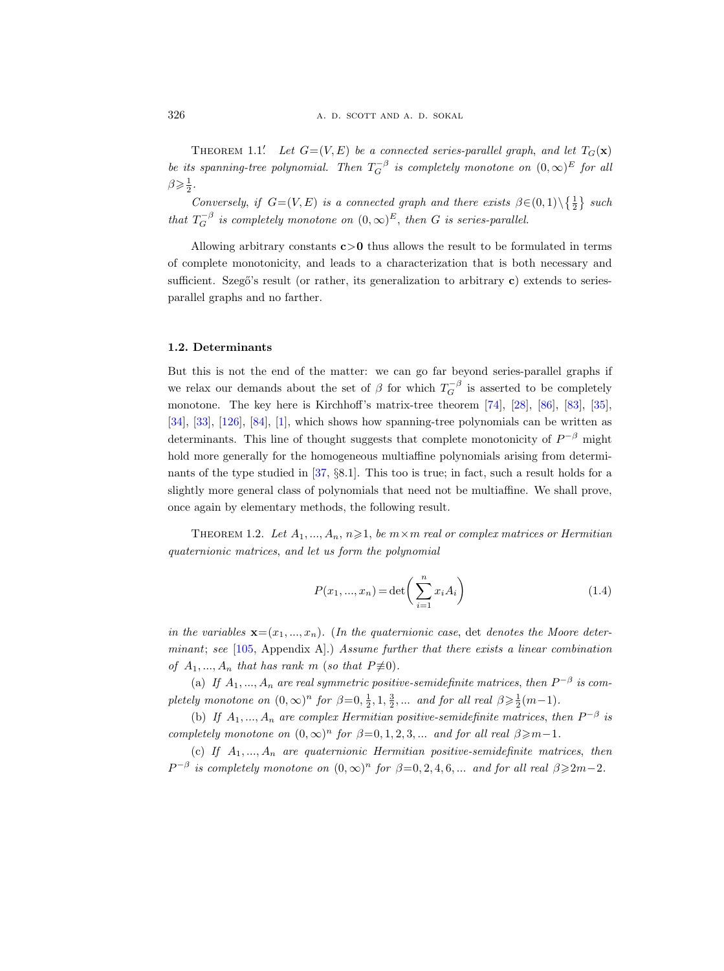THEOREM 1.1.<sup>'</sup> Let  $G=(V, E)$  be a connected series-parallel graph, and let  $T_G(\mathbf{x})$ be its spanning-tree polynomial. Then  $T_G^{-\beta}$  is completely monotone on  $(0,\infty)^E$  for all  $\beta \geqslant \frac{1}{2}$ .

Conversely, if  $G=(V, E)$  is a connected graph and there exists  $\beta \in (0, 1) \setminus \{\frac{1}{2}\}\$  such that  $T_G^{-\beta}$  is completely monotone on  $(0,\infty)^E$ , then G is series-parallel.

Allowing arbitrary constants  $c>0$  thus allows the result to be formulated in terms of complete monotonicity, and leads to a characterization that is both necessary and sufficient. Szegő's result (or rather, its generalization to arbitrary  $c$ ) extends to seriesparallel graphs and no farther.

# <span id="page-3-0"></span>1.2. Determinants

But this is not the end of the matter: we can go far beyond series-parallel graphs if we relax our demands about the set of  $\beta$  for which  $T_G^{-\beta}$  is asserted to be completely monotone. The key here is Kirchhoff's matrix-tree theorem [\[74\]](#page-66-3), [\[28\]](#page-64-1), [\[86\]](#page-67-0), [\[83\]](#page-67-1), [\[35\]](#page-65-3), [\[34\]](#page-65-4), [\[33\]](#page-65-5), [\[126\]](#page-69-1), [\[84\]](#page-67-2), [\[1\]](#page-63-1), which shows how spanning-tree polynomials can be written as determinants. This line of thought suggests that complete monotonicity of  $P^{-\beta}$  might hold more generally for the homogeneous multiaffine polynomials arising from determinants of the type studied in [\[37,](#page-65-2) §8.1]. This too is true; in fact, such a result holds for a slightly more general class of polynomials that need not be multiaffine. We shall prove, once again by elementary methods, the following result.

<span id="page-3-1"></span>THEOREM 1.2. Let  $A_1, ..., A_n, n \geq 1$ , be  $m \times m$  real or complex matrices or Hermitian quaternionic matrices, and let us form the polynomial

<span id="page-3-2"></span>
$$
P(x_1, ..., x_n) = \det\left(\sum_{i=1}^n x_i A_i\right)
$$
\n(1.4)

in the variables  $\mathbf{x}=(x_1,...,x_n)$ . (In the quaternionic case, det denotes the Moore determinant; see  $[105,$  Appendix A.) Assume further that there exists a linear combination of  $A_1, ..., A_n$  that has rank m (so that  $P \not\equiv 0$ ).

(a) If  $A_1, ..., A_n$  are real symmetric positive-semidefinite matrices, then  $P^{-\beta}$  is completely monotone on  $(0, \infty)^n$  for  $\beta = 0, \frac{1}{2}, 1, \frac{3}{2}, \dots$  and for all real  $\beta \geqslant \frac{1}{2}(m-1)$ .

(b) If  $A_1, ..., A_n$  are complex Hermitian positive-semidefinite matrices, then  $P^{-\beta}$  is completely monotone on  $(0, \infty)^n$  for  $\beta = 0, 1, 2, 3, ...$  and for all real  $\beta \geq m-1$ .

(c) If  $A_1, ..., A_n$  are quaternionic Hermitian positive-semidefinite matrices, then  $P^{-\beta}$  is completely monotone on  $(0,\infty)^n$  for  $\beta=0,2,4,6,...$  and for all real  $\beta\geq 2m-2$ .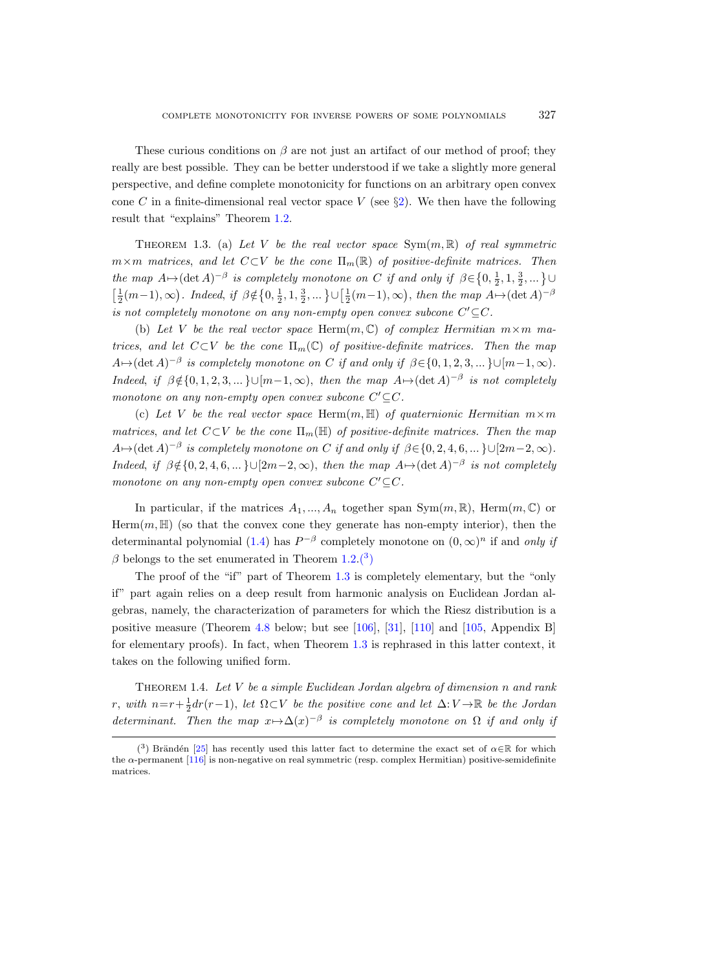These curious conditions on  $\beta$  are not just an artifact of our method of proof; they really are best possible. They can be better understood if we take a slightly more general perspective, and define complete monotonicity for functions on an arbitrary open convex cone C in a finite-dimensional real vector space V (see  $\S2$ ). We then have the following result that "explains" Theorem [1.2.](#page-3-1)

<span id="page-4-2"></span>THEOREM 1.3. (a) Let V be the real vector space  $Sym(m, \mathbb{R})$  of real symmetric  $m\times m$  matrices, and let  $C\subset V$  be the cone  $\Pi_m(\mathbb{R})$  of positive-definite matrices. Then the map  $A \mapsto (\det A)^{-\beta}$  is completely monotone on C if and only if  $\beta \in \{0, \frac{1}{2}, 1, \frac{3}{2}, ...\}$  $\left[\frac{1}{2}(m-1),\infty\right)$ . Indeed, if  $\beta \notin \left\{0,\frac{1}{2},1,\frac{3}{2},\dots\right\} \cup \left[\frac{1}{2}(m-1),\infty\right)$ , then the map  $A \mapsto (\det A)^{-\beta}$ is not completely monotone on any non-empty open convex subcone  $C' \subseteq C$ .

(b) Let V be the real vector space Herm $(m, \mathbb{C})$  of complex Hermitian  $m \times m$  matrices, and let  $C\subset V$  be the cone  $\Pi_m(\mathbb{C})$  of positive-definite matrices. Then the map  $A \mapsto (\det A)^{-\beta}$  is completely monotone on C if and only if  $\beta \in \{0, 1, 2, 3, ...\} \cup [m-1, \infty)$ . Indeed, if  $\beta \notin \{0, 1, 2, 3, ...\}\cup [m-1, \infty)$ , then the map  $A \mapsto (\det A)^{-\beta}$  is not completely monotone on any non-empty open convex subcone  $C' \subseteq C$ .

(c) Let V be the real vector space Herm $(m, \mathbb{H})$  of quaternionic Hermitian  $m \times m$ matrices, and let  $C\subset V$  be the cone  $\Pi_m(\mathbb{H})$  of positive-definite matrices. Then the map  $A \mapsto (\det A)^{-\beta}$  is completely monotone on C if and only if  $\beta \in \{0, 2, 4, 6, \dots\} \cup [2m-2, \infty)$ . Indeed, if  $\beta \notin \{0, 2, 4, 6, ...\} \cup [2m-2, \infty)$ , then the map  $A \mapsto (\det A)^{-\beta}$  is not completely monotone on any non-empty open convex subcone  $C' \subseteq C$ .

In particular, if the matrices  $A_1, ..., A_n$  together span  $Sym(m, \mathbb{R})$ , Herm $(m, \mathbb{C})$  or  $Herm(m, \mathbb{H})$  (so that the convex cone they generate has non-empty interior), then the determinantal polynomial [\(1.4\)](#page-3-2) has  $P^{-\beta}$  completely monotone on  $(0, \infty)^n$  if and only if  $\beta$  belongs to the set enumerated in Theorem [1.2.](#page-3-1)[\(](#page-4-1)3)

The proof of the "if" part of Theorem [1.3](#page-4-2) is completely elementary, but the "only if" part again relies on a deep result from harmonic analysis on Euclidean Jordan algebras, namely, the characterization of parameters for which the Riesz distribution is a positive measure (Theorem [4.8](#page-37-0) below; but see [\[106\]](#page-68-2), [\[31\]](#page-65-1), [\[110\]](#page-68-3) and [\[105,](#page-68-5) Appendix B] for elementary proofs). In fact, when Theorem [1.3](#page-4-2) is rephrased in this latter context, it takes on the following unified form.

<span id="page-4-0"></span>THEOREM 1.4. Let  $V$  be a simple Euclidean Jordan algebra of dimension n and rank r, with  $n=r+\frac{1}{2}dr(r-1)$ , let  $\Omega\subset V$  be the positive cone and let  $\Delta: V\to \mathbb{R}$  be the Jordan determinant. Then the map  $x \mapsto \Delta(x)^{-\beta}$  is completely monotone on  $\Omega$  if and only if

<span id="page-4-1"></span><sup>(&</sup>lt;sup>3</sup>) Brändén [\[25\]](#page-64-2) has recently used this latter fact to determine the exact set of  $\alpha \in \mathbb{R}$  for which the α-permanent [\[116\]](#page-68-6) is non-negative on real symmetric (resp. complex Hermitian) positive-semidefinite matrices.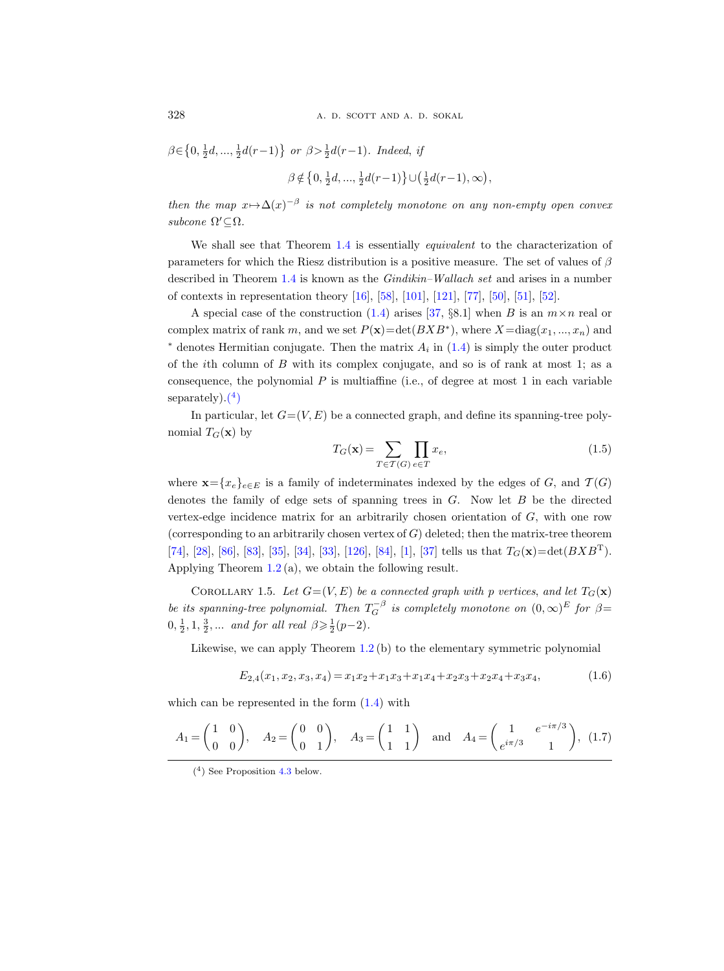$$
\beta \in \left\{0, \frac{1}{2}d, \dots, \frac{1}{2}d(r-1)\right\} \text{ or } \beta > \frac{1}{2}d(r-1). \text{ Indeed, if}
$$
  

$$
\beta \notin \left\{0, \frac{1}{2}d, \dots, \frac{1}{2}d(r-1)\right\} \cup \left(\frac{1}{2}d(r-1), \infty\right),
$$

then the map  $x \mapsto \Delta(x)^{-\beta}$  is not completely monotone on any non-empty open convex subcone  $\Omega' \subseteq \Omega$ .

We shall see that Theorem [1.4](#page-4-0) is essentially *equivalent* to the characterization of parameters for which the Riesz distribution is a positive measure. The set of values of  $\beta$ described in Theorem [1.4](#page-4-0) is known as the Gindikin–Wallach set and arises in a number of contexts in representation theory [\[16\]](#page-64-3), [\[58\]](#page-66-1), [\[101\]](#page-68-7), [\[121\]](#page-68-8), [\[77\]](#page-67-3), [\[50\]](#page-65-6), [\[51\]](#page-65-7), [\[52\]](#page-65-0).

A special case of the construction [\(1.4\)](#page-3-2) arises [\[37,](#page-65-2) §8.1] when B is an  $m \times n$  real or complex matrix of rank m, and we set  $P(\mathbf{x}) = \det(BXB^*)$ , where  $X = \text{diag}(x_1, ..., x_n)$  and  $*$  denotes Hermitian conjugate. Then the matrix  $A_i$  in  $(1.4)$  is simply the outer product of the *i*th column of  $B$  with its complex conjugate, and so is of rank at most 1; as a consequence, the polynomial  $P$  is multiaffine (i.e., of degree at most 1 in each variable separately $).(^{4})$  $).(^{4})$  $).(^{4})$ 

In particular, let  $G=(V, E)$  be a connected graph, and define its spanning-tree polynomial  $T_G(\mathbf{x})$  by

<span id="page-5-0"></span>
$$
T_G(\mathbf{x}) = \sum_{T \in \mathcal{T}(G)} \prod_{e \in T} x_e,\tag{1.5}
$$

where  $\mathbf{x} = \{x_e\}_{e \in E}$  is a family of indeterminates indexed by the edges of G, and  $\mathcal{T}(G)$ denotes the family of edge sets of spanning trees in  $G$ . Now let  $B$  be the directed vertex-edge incidence matrix for an arbitrarily chosen orientation of G, with one row (corresponding to an arbitrarily chosen vertex of  $G$ ) deleted; then the matrix-tree theorem [\[74\]](#page-66-3), [\[28\]](#page-64-1), [\[86\]](#page-67-0), [\[83\]](#page-67-1), [\[35\]](#page-65-3), [\[34\]](#page-65-4), [\[33\]](#page-65-5), [\[126\]](#page-69-1), [\[84\]](#page-67-2), [\[1\]](#page-63-1), [\[37\]](#page-65-2) tells us that  $T_G(\mathbf{x}) = \det(BXB^{\mathrm{T}})$ . Applying Theorem [1.2](#page-3-1) (a), we obtain the following result.

<span id="page-5-3"></span>COROLLARY 1.5. Let  $G=(V, E)$  be a connected graph with p vertices, and let  $T_G(\mathbf{x})$ be its spanning-tree polynomial. Then  $T_G^{-\beta}$  is completely monotone on  $(0,\infty)^E$  for  $\beta$ =  $0, \frac{1}{2}, 1, \frac{3}{2}, \dots$  and for all real  $\beta \geq \frac{1}{2}(p-2)$ .

Likewise, we can apply Theorem [1.2](#page-3-1) (b) to the elementary symmetric polynomial

<span id="page-5-4"></span>
$$
E_{2,4}(x_1, x_2, x_3, x_4) = x_1 x_2 + x_1 x_3 + x_1 x_4 + x_2 x_3 + x_2 x_4 + x_3 x_4, \tag{1.6}
$$

which can be represented in the form [\(1.4\)](#page-3-2) with

<span id="page-5-2"></span>
$$
A_1 = \begin{pmatrix} 1 & 0 \\ 0 & 0 \end{pmatrix}
$$
,  $A_2 = \begin{pmatrix} 0 & 0 \\ 0 & 1 \end{pmatrix}$ ,  $A_3 = \begin{pmatrix} 1 & 1 \\ 1 & 1 \end{pmatrix}$  and  $A_4 = \begin{pmatrix} 1 & e^{-i\pi/3} \\ e^{i\pi/3} & 1 \end{pmatrix}$ , (1.7)

<span id="page-5-1"></span><sup>(</sup> 4 ) See Proposition [4.3](#page-30-1) below.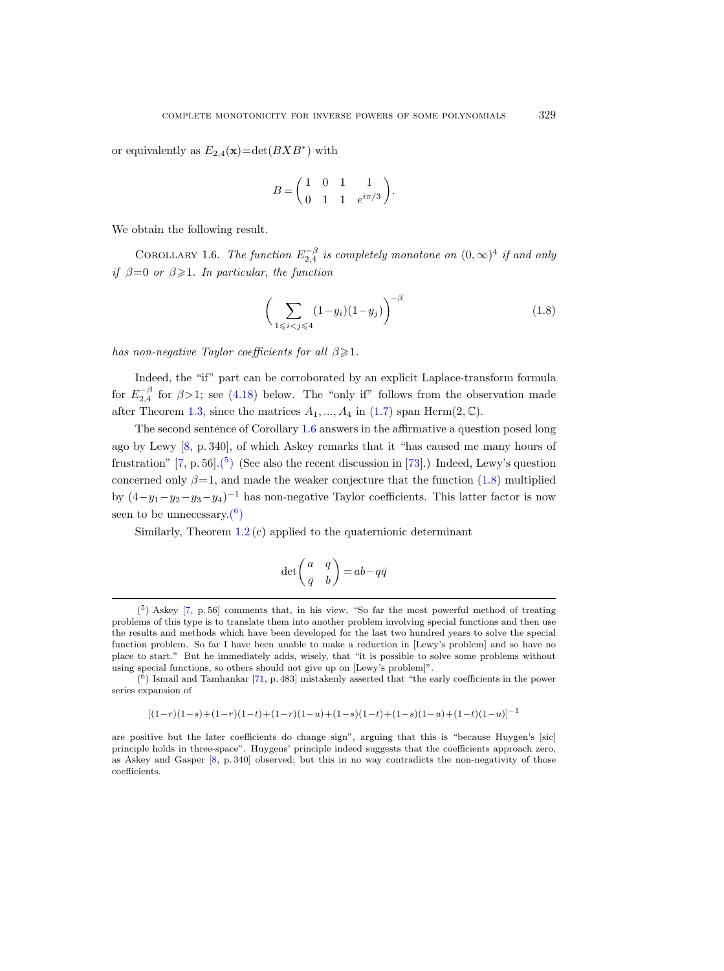or equivalently as  $E_{2,4}(\mathbf{x}) = \det(BXB^*)$  with

$$
B = \begin{pmatrix} 1 & 0 & 1 & 1 \\ 0 & 1 & 1 & e^{i\pi/3} \end{pmatrix}.
$$

We obtain the following result.

<span id="page-6-0"></span>COROLLARY 1.6. The function  $E_{2,4}^{-\beta}$  is completely monotone on  $(0,\infty)^4$  if and only if  $\beta = 0$  or  $\beta \geq 1$ . In particular, the function

<span id="page-6-2"></span>
$$
\left(\sum_{1 \leq i < j \leq 4} (1 - y_i)(1 - y_j)\right)^{-\beta} \tag{1.8}
$$

has non-negative Taylor coefficients for all  $\beta \geq 1$ .

Indeed, the "if" part can be corroborated by an explicit Laplace-transform formula for  $E_{2,4}^{-\beta}$  for  $\beta > 1$ ; see [\(4.18\)](#page-34-0) below. The "only if" follows from the observation made after Theorem [1.3,](#page-4-2) since the matrices  $A_1, ..., A_4$  in [\(1.7\)](#page-5-2) span Herm(2,  $\mathbb{C}$ ).

The second sentence of Corollary [1.6](#page-6-0) answers in the affirmative a question posed long ago by Lewy [\[8,](#page-64-0) p. 340], of which Askey remarks that it "has caused me many hours of frustration"  $[7, p. 56]$ .<sup>[5</sup>) (See also the recent discussion in [\[73\]](#page-66-4).) Indeed, Lewy's question concerned only  $\beta = 1$ , and made the weaker conjecture that the function [\(1.8\)](#page-6-2) multiplied by  $(4-y_1-y_2-y_3-y_4)^{-1}$  has non-negative Taylor coefficients. This latter factor is now seen to be unnecessary. $(6)$ 

Similarly, Theorem  $1.2$  (c) applied to the quaternionic determinant

$$
\det\!\left(\!\!\begin{array}{cc}a&q\\ \bar{q} &b\end{array}\!\!\right)\!=\!ab\!-\!q\bar{q}
$$

<span id="page-6-3"></span>
$$
[(1-r)(1-s)+(1-r)(1-t)+(1-r)(1-u)+(1-s)(1-t)+(1-s)(1-u)+(1-t)(1-u)]^{-1}
$$

are positive but the later coefficients do change sign", arguing that this is "because Huygen's [sic] principle holds in three-space". Huygens' principle indeed suggests that the coefficients approach zero, as Askey and Gasper [\[8,](#page-64-0) p. 340] observed; but this in no way contradicts the non-negativity of those coefficients.

<span id="page-6-1"></span> $(5)$  Askey [\[7,](#page-63-2) p. 56] comments that, in his view, "So far the most powerful method of treating problems of this type is to translate them into another problem involving special functions and then use the results and methods which have been developed for the last two hundred years to solve the special function problem. So far I have been unable to make a reduction in [Lewy's problem] and so have no place to start." But he immediately adds, wisely, that "it is possible to solve some problems without using special functions, so others should not give up on [Lewy's problem]".

 $(6)$  Ismail and Tamhankar [\[71,](#page-66-5) p. 483] mistakenly asserted that "the early coefficients in the power series expansion of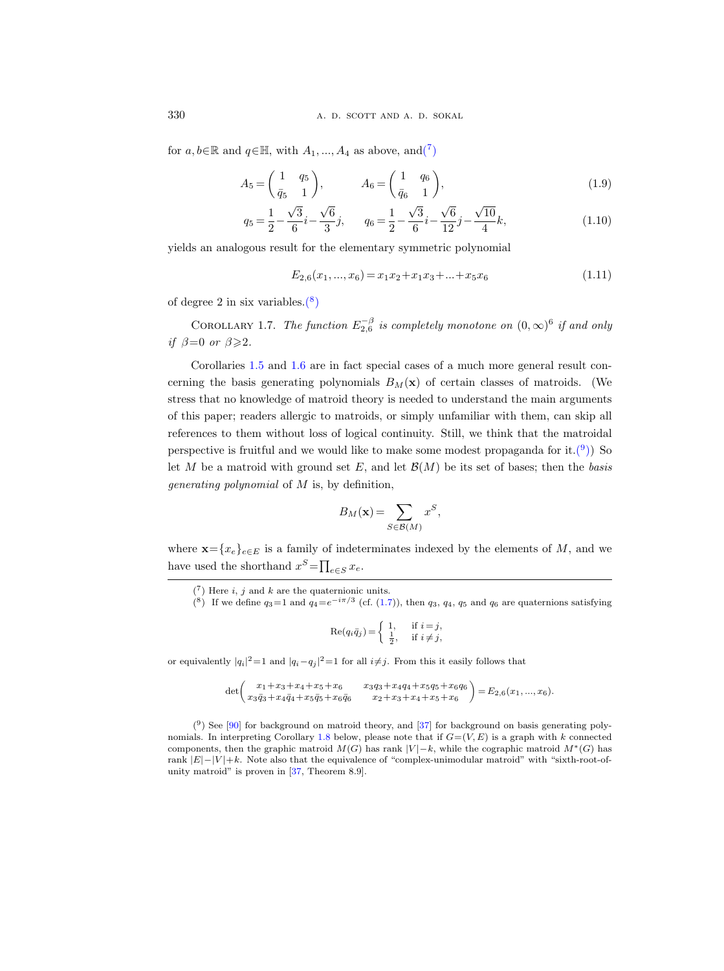for  $a, b \in \mathbb{R}$  and  $q \in \mathbb{H}$ , with  $A_1, ..., A_4$  as above, an[d\(](#page-7-0)<sup>7</sup>)

$$
A_5 = \begin{pmatrix} 1 & q_5 \\ \bar{q}_5 & 1 \end{pmatrix}, \qquad A_6 = \begin{pmatrix} 1 & q_6 \\ \bar{q}_6 & 1 \end{pmatrix}, \tag{1.9}
$$

$$
q_5 = \frac{1}{2} - \frac{\sqrt{3}}{6}i - \frac{\sqrt{6}}{3}j, \qquad q_6 = \frac{1}{2} - \frac{\sqrt{3}}{6}i - \frac{\sqrt{6}}{12}j - \frac{\sqrt{10}}{4}k,\tag{1.10}
$$

yields an analogous result for the elementary symmetric polynomial

$$
E_{2,6}(x_1,...,x_6) = x_1x_2 + x_1x_3 + ... + x_5x_6 \tag{1.11}
$$

of degree 2 in six variables. $(8)$ 

<span id="page-7-3"></span>COROLLARY 1.7. The function  $E_{2,6}^{-\beta}$  is completely monotone on  $(0,\infty)^6$  if and only if  $\beta=0$  or  $\beta \geqslant 2$ .

Corollaries [1.5](#page-5-3) and [1.6](#page-6-0) are in fact special cases of a much more general result concerning the basis generating polynomials  $B_M(x)$  of certain classes of matroids. (We stress that no knowledge of matroid theory is needed to understand the main arguments of this paper; readers allergic to matroids, or simply unfamiliar with them, can skip all references to them without loss of logical continuity. Still, we think that the matroidal perspective is fruitful and we would like to make some modest propaganda for it.<sup>(9</sup>)) So let M be a matroid with ground set E, and let  $\mathcal{B}(M)$  be its set of bases; then the basis generating polynomial of M is, by definition,

$$
B_M(\mathbf{x}) = \sum_{S \in \mathcal{B}(M)} x^S,
$$

where  $\mathbf{x} = \{x_e\}_{e \in E}$  is a family of indeterminates indexed by the elements of M, and we have used the shorthand  $x^S = \prod_{e \in S} x_e$ .

$$
\operatorname{Re}(q_i \bar{q}_j) = \begin{cases} 1, & \text{if } i = j, \\ \frac{1}{2}, & \text{if } i \neq j, \end{cases}
$$

or equivalently  $|q_i|^2 = 1$  and  $|q_i - q_j|^2 = 1$  for all  $i \neq j$ . From this it easily follows that

<span id="page-7-2"></span>
$$
\det\begin{pmatrix}x_1+x_3+x_4+x_5+x_6 & x_3q_3+x_4q_4+x_5q_5+x_6q_6 \\ x_3\bar{q}_3+x_4\bar{q}_4+x_5\bar{q}_5+x_6\bar{q}_6 & x_2+x_3+x_4+x_5+x_6\end{pmatrix}=E_{2,6}(x_1,...,x_6).
$$

 $(9)$  See [\[90\]](#page-67-4) for background on matroid theory, and [\[37\]](#page-65-2) for background on basis generating poly-nomials. In interpreting Corollary [1.8](#page-8-0) below, please note that if  $G=(V, E)$  is a graph with k connected components, then the graphic matroid  $M(G)$  has rank  $|V| - k$ , while the cographic matroid  $M^*(G)$  has rank  $|E|-|V|+k$ . Note also that the equivalence of "complex-unimodular matroid" with "sixth-root-ofunity matroid" is proven in [\[37,](#page-65-2) Theorem 8.9].

<span id="page-7-0"></span> $(7)$  Here i, j and k are the quaternionic units.

<span id="page-7-1"></span><sup>&</sup>lt;sup>(8)</sup> If we define  $q_3 = 1$  and  $q_4 = e^{-i\pi/3}$  (cf. [\(1.7\)](#page-5-2)), then  $q_3$ ,  $q_4$ ,  $q_5$  and  $q_6$  are quaternions satisfying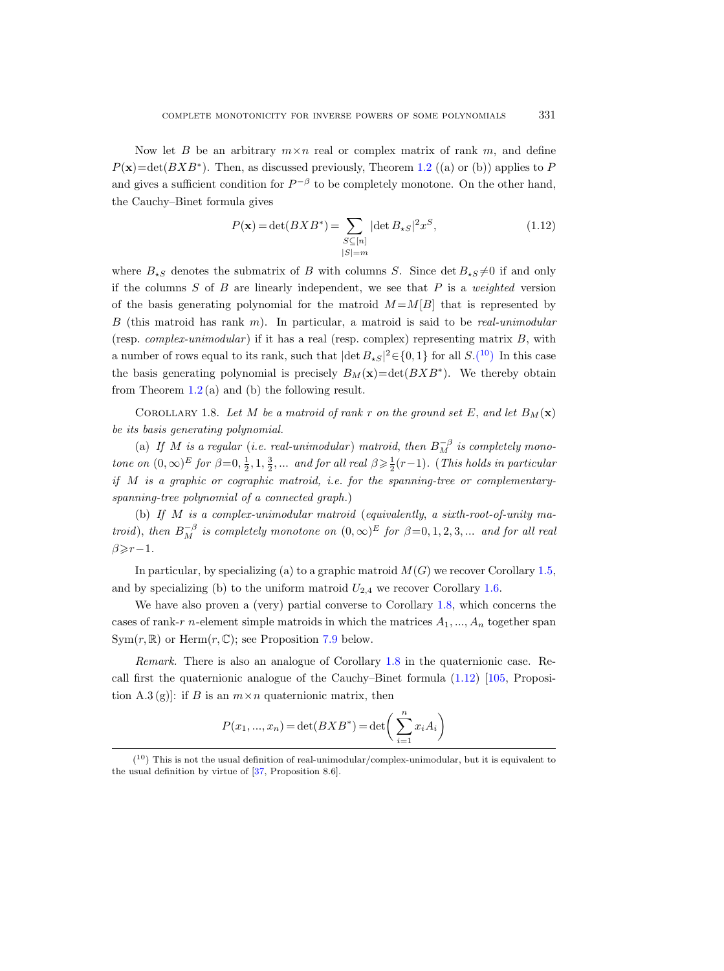Now let B be an arbitrary  $m \times n$  real or complex matrix of rank m, and define  $P(\mathbf{x}) = \det(BXB^*)$ . Then, as discussed previously, Theorem [1.2](#page-3-1) ((a) or (b)) applies to P and gives a sufficient condition for  $P^{-\beta}$  to be completely monotone. On the other hand, the Cauchy–Binet formula gives

<span id="page-8-2"></span>
$$
P(\mathbf{x}) = \det(BXB^*) = \sum_{\substack{S \subseteq [n] \\ |S| = m}} |\det B_{\star S}|^2 x^S,
$$
\n(1.12)

where  $B_{\star S}$  denotes the submatrix of B with columns S. Since det  $B_{\star S} \neq 0$  if and only if the columns  $S$  of  $B$  are linearly independent, we see that  $P$  is a weighted version of the basis generating polynomial for the matroid  $M = M[B]$  that is represented by B (this matroid has rank m). In particular, a matroid is said to be real-unimodular (resp. *complex-unimodular*) if it has a real (resp. complex) representing matrix  $B$ , with a number of rows equal to its rank, such that  $|\det B_{\star S}|^2 \in \{0, 1\}$  for all  $S.(10)$  $S.(10)$  $S.(10)$  In this case the basis generating polynomial is precisely  $B_M(\mathbf{x}) = \det(BXB^*)$ . We thereby obtain from Theorem  $1.2$  (a) and (b) the following result.

<span id="page-8-0"></span>COROLLARY 1.8. Let M be a matroid of rank r on the ground set E, and let  $B_M(\mathbf{x})$ be its basis generating polynomial.

(a) If M is a regular (i.e. real-unimodular) matroid, then  $B_M^{-\beta}$  is completely monotone on  $(0, \infty)^E$  for  $\beta = 0, \frac{1}{2}, 1, \frac{3}{2}, \dots$  and for all real  $\beta \geq \frac{1}{2}(r-1)$ . (This holds in particular if  $M$  is a graphic or cographic matroid, i.e. for the spanning-tree or complementaryspanning-tree polynomial of a connected graph.)

(b) If  $M$  is a complex-unimodular matroid (equivalently, a sixth-root-of-unity matroid), then  $B_M^{-\beta}$  is completely monotone on  $(0,\infty)^E$  for  $\beta=0,1,2,3,...$  and for all real  $\beta \geqslant r-1$ .

In particular, by specializing (a) to a graphic matroid  $M(G)$  we recover Corollary [1.5,](#page-5-3) and by specializing (b) to the uniform matroid  $U_{2,4}$  we recover Corollary [1.6.](#page-6-0)

We have also proven a (very) partial converse to Corollary [1.8,](#page-8-0) which concerns the cases of rank-r n-element simple matroids in which the matrices  $A_1, ..., A_n$  together span  $Sym(r, \mathbb{R})$  or  $Herm(r, \mathbb{C})$ ; see Proposition [7.9](#page-55-1) below.

Remark. There is also an analogue of Corollary [1.8](#page-8-0) in the quaternionic case. Recall first the quaternionic analogue of the Cauchy–Binet formula [\(1.12\)](#page-8-2) [\[105,](#page-68-5) Proposition A.3 (g). if B is an  $m \times n$  quaternionic matrix, then

$$
P(x_1, ..., x_n) = \det(BXB^*) = \det\left(\sum_{i=1}^n x_i A_i\right)
$$

<span id="page-8-1"></span> $(10)$  This is not the usual definition of real-unimodular/complex-unimodular, but it is equivalent to the usual definition by virtue of [\[37,](#page-65-2) Proposition 8.6].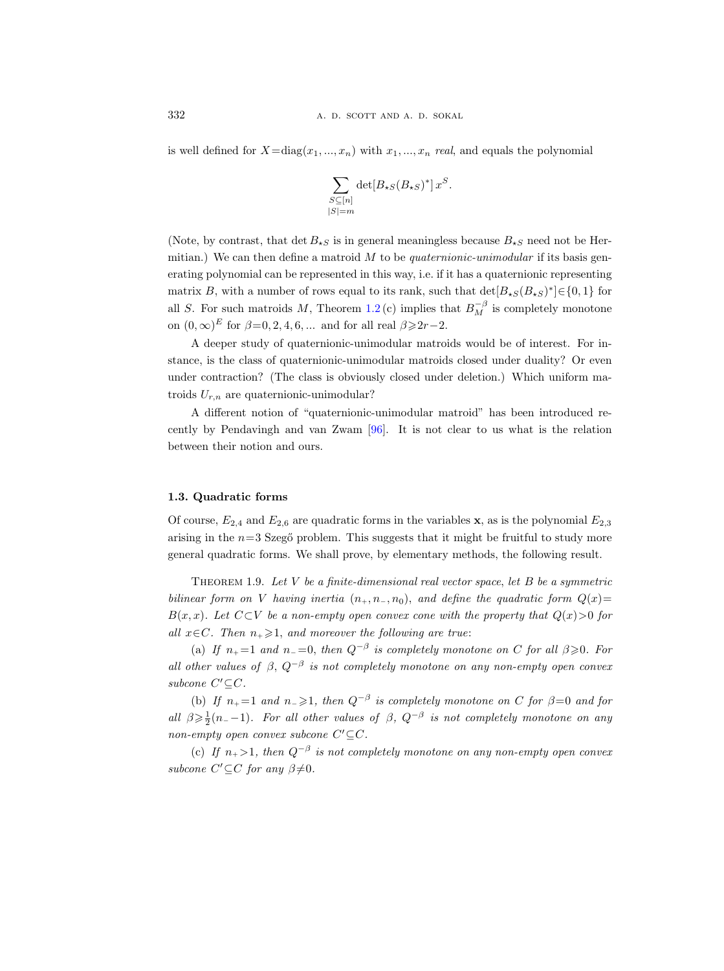is well defined for  $X = diag(x_1, ..., x_n)$  with  $x_1, ..., x_n$  real, and equals the polynomial

$$
\sum_{\substack{S \subseteq [n] \\ |S| = m}} \det[B_{\star S}(B_{\star S})^*] x^S.
$$

(Note, by contrast, that det  $B_{\star S}$  is in general meaningless because  $B_{\star S}$  need not be Hermitian.) We can then define a matroid  $M$  to be *quaternionic-unimodular* if its basis generating polynomial can be represented in this way, i.e. if it has a quaternionic representing matrix B, with a number of rows equal to its rank, such that  $\det[B_{\star S}(B_{\star S})^*] \in \{0,1\}$  for all S. For such matroids M, Theorem [1.2](#page-3-1) (c) implies that  $B_M^{-\beta}$  is completely monotone on  $(0, \infty)^E$  for  $\beta = 0, 2, 4, 6, \dots$  and for all real  $\beta \geqslant 2r-2$ .

A deeper study of quaternionic-unimodular matroids would be of interest. For instance, is the class of quaternionic-unimodular matroids closed under duality? Or even under contraction? (The class is obviously closed under deletion.) Which uniform matroids  $U_{r,n}$  are quaternionic-unimodular?

A different notion of "quaternionic-unimodular matroid" has been introduced recently by Pendavingh and van Zwam [\[96\]](#page-67-5). It is not clear to us what is the relation between their notion and ours.

#### <span id="page-9-0"></span>1.3. Quadratic forms

Of course,  $E_{2,4}$  and  $E_{2,6}$  are quadratic forms in the variables **x**, as is the polynomial  $E_{2,3}$ arising in the  $n=3$  Szegő problem. This suggests that it might be fruitful to study more general quadratic forms. We shall prove, by elementary methods, the following result.

<span id="page-9-1"></span>THEOREM 1.9. Let  $V$  be a finite-dimensional real vector space, let  $B$  be a symmetric bilinear form on V having inertia  $(n_+, n_-, n_0)$ , and define the quadratic form  $Q(x)$ =  $B(x, x)$ . Let  $C\subset V$  be a non-empty open convex cone with the property that  $Q(x) > 0$  for all  $x \in C$ . Then  $n_+ \geq 1$ , and moreover the following are true:

(a) If  $n_+ = 1$  and  $n_- = 0$ , then  $Q^{-\beta}$  is completely monotone on C for all  $\beta \geq 0$ . For all other values of  $\beta$ ,  $Q^{-\beta}$  is not completely monotone on any non-empty open convex subcone  $C' \subseteq C$ .

(b) If  $n_+ = 1$  and  $n_- \geq 1$ , then  $Q^{-\beta}$  is completely monotone on C for  $\beta = 0$  and for all  $\beta \geq \frac{1}{2}(n_{-}-1)$ . For all other values of  $\beta$ ,  $Q^{-\beta}$  is not completely monotone on any non-empty open convex subcone  $C' \subseteq C$ .

(c) If  $n_+ > 1$ , then  $Q^{-\beta}$  is not completely monotone on any non-empty open convex subcone  $C' \subseteq C$  for any  $\beta \neq 0$ .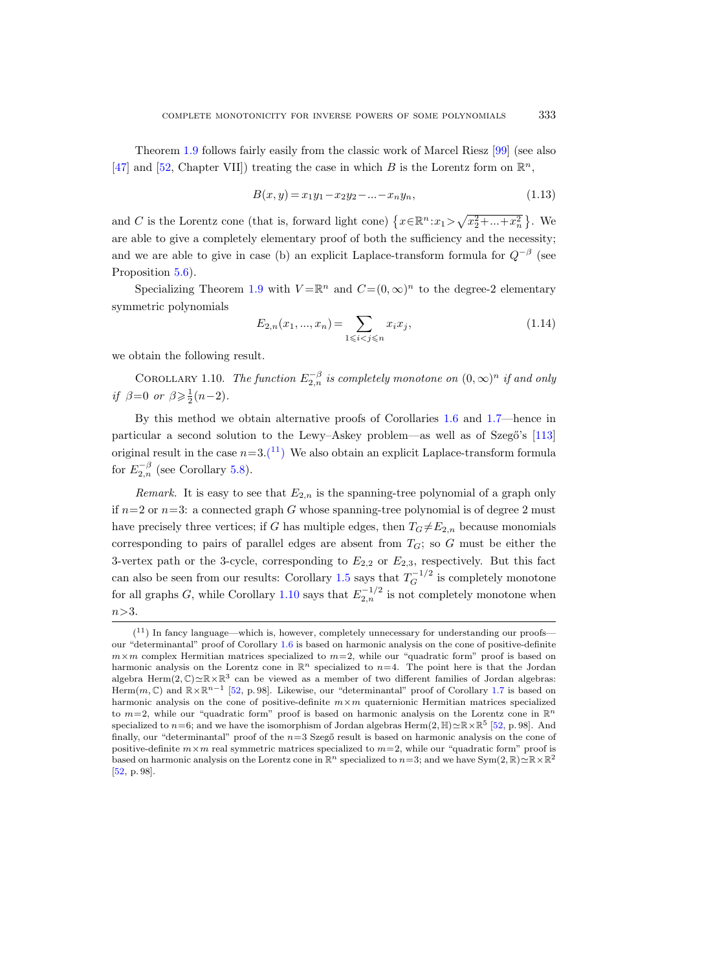Theorem [1.9](#page-9-1) follows fairly easily from the classic work of Marcel Riesz [\[99\]](#page-68-9) (see also [\[47\]](#page-65-8) and [\[52,](#page-65-0) Chapter VII]) treating the case in which B is the Lorentz form on  $\mathbb{R}^n$ ,

$$
B(x, y) = x_1 y_1 - x_2 y_2 - \dots - x_n y_n,
$$
\n(1.13)

and C is the Lorentz cone (that is, forward light cone)  $\{x \in \mathbb{R}^n : x_1 > \sqrt{x_2^2 + ... + x_n^2}\}\.$  We are able to give a completely elementary proof of both the sufficiency and the necessity; and we are able to give in case (b) an explicit Laplace-transform formula for  $Q^{-\beta}$  (see Proposition [5.6\)](#page-45-1).

Specializing Theorem [1.9](#page-9-1) with  $V = \mathbb{R}^n$  and  $C = (0, \infty)^n$  to the degree-2 elementary symmetric polynomials

$$
E_{2,n}(x_1, ..., x_n) = \sum_{1 \le i < j \le n} x_i x_j,\tag{1.14}
$$

we obtain the following result.

<span id="page-10-1"></span>COROLLARY 1.10. The function  $E_{2,n}^{-\beta}$  is completely monotone on  $(0,\infty)^n$  if and only if  $\beta=0$  or  $\beta \geq \frac{1}{2}(n-2)$ .

By this method we obtain alternative proofs of Corollaries [1.6](#page-6-0) and [1.7—](#page-7-3)hence in particular a second solution to the Lewy–Askey problem—as well as of Szegő's [\[113\]](#page-68-0) original result in the case  $n=3.(11)$  $n=3.(11)$  $n=3.(11)$  We also obtain an explicit Laplace-transform formula for  $E_{2,n}^{-\beta}$  (see Corollary [5.8\)](#page-47-2).

Remark. It is easy to see that  $E_{2,n}$  is the spanning-tree polynomial of a graph only if  $n=2$  or  $n=3$ : a connected graph G whose spanning-tree polynomial is of degree 2 must have precisely three vertices; if G has multiple edges, then  $T_G \neq E_{2,n}$  because monomials corresponding to pairs of parallel edges are absent from  $T_G$ ; so G must be either the 3-vertex path or the 3-cycle, corresponding to  $E_{2,2}$  or  $E_{2,3}$ , respectively. But this fact can also be seen from our results: Corollary [1.5](#page-5-3) says that  $T_G^{-1/2}$  is completely monotone for all graphs G, while Corollary [1.10](#page-10-1) says that  $E_{2,n}^{-1/2}$  is not completely monotone when  $n > 3$ .

<span id="page-10-0"></span> $(11)$  In fancy language—which is, however, completely unnecessary for understanding our proofs our "determinantal" proof of Corollary [1.6](#page-6-0) is based on harmonic analysis on the cone of positive-definite  $m \times m$  complex Hermitian matrices specialized to  $m=2$ , while our "quadratic form" proof is based on harmonic analysis on the Lorentz cone in  $\mathbb{R}^n$  specialized to  $n=4$ . The point here is that the Jordan algebra Herm $(2,\mathbb{C})\simeq \mathbb{R}\times\mathbb{R}^3$  can be viewed as a member of two different families of Jordan algebras: Herm $(m, \mathbb{C})$  and  $\mathbb{R} \times \mathbb{R}^{n-1}$  [\[52,](#page-65-0) p.98]. Likewise, our "determinantal" proof of Corollary [1.7](#page-7-3) is based on harmonic analysis on the cone of positive-definite  $m \times m$  quaternionic Hermitian matrices specialized to  $m=2$ , while our "quadratic form" proof is based on harmonic analysis on the Lorentz cone in  $\mathbb{R}^n$ specialized to  $n=6$ ; and we have the isomorphism of Jordan algebras Herm $(2,\mathbb{H})\simeq \mathbb{R}\times \mathbb{R}^5$  [\[52,](#page-65-0) p. 98]. And finally, our "determinantal" proof of the  $n=3$  Szegő result is based on harmonic analysis on the cone of positive-definite  $m \times m$  real symmetric matrices specialized to  $m=2$ , while our "quadratic form" proof is based on harmonic analysis on the Lorentz cone in  $\mathbb{R}^n$  specialized to  $n=3$ ; and we have Sym $(2,\mathbb{R})\simeq \mathbb{R}\times\mathbb{R}^2$ [\[52,](#page-65-0) p. 98].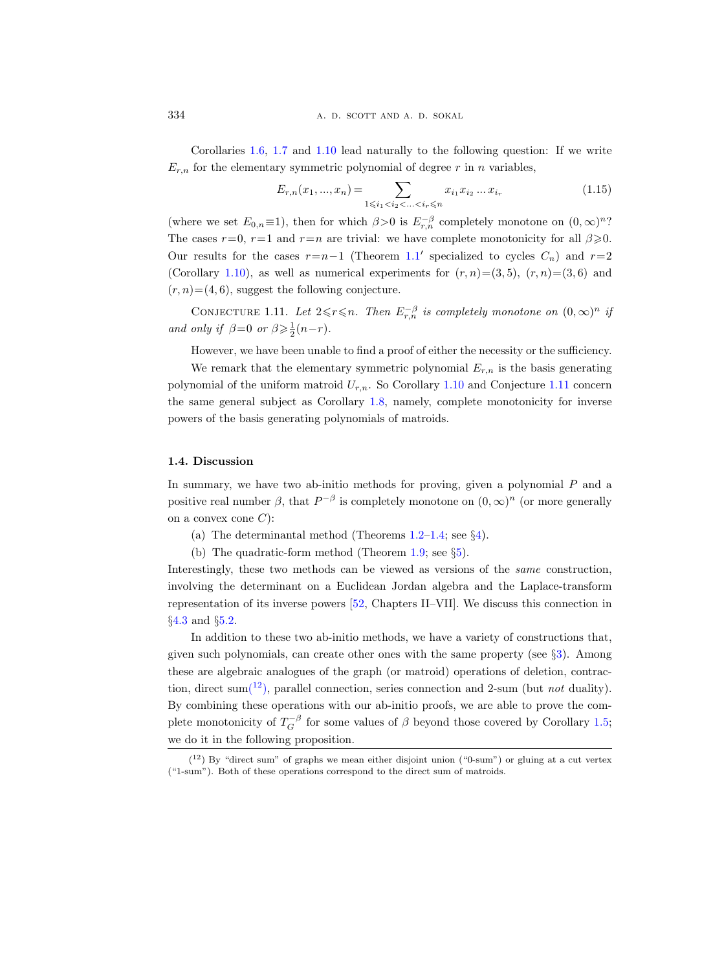334 **a. d. scott and a. d. sokal** 

Corollaries [1.6,](#page-6-0) [1.7](#page-7-3) and [1.10](#page-10-1) lead naturally to the following question: If we write  $E_{r,n}$  for the elementary symmetric polynomial of degree r in n variables,

$$
E_{r,n}(x_1, ..., x_n) = \sum_{1 \le i_1 < i_2 < ... < i_r \le n} x_{i_1} x_{i_2} \dots x_{i_r} \tag{1.15}
$$

(where we set  $E_{0,n} \equiv 1$ ), then for which  $\beta > 0$  is  $E_{r,n}^{-\beta}$  completely monotone on  $(0,\infty)^n$ ? The cases  $r=0$ ,  $r=1$  and  $r=n$  are trivial: we have complete monotonicity for all  $\beta \geqslant 0$ . Our results for the cases  $r=n-1$  (Theorem [1.1](#page-2-1)' specialized to cycles  $C_n$ ) and  $r=2$ (Corollary [1.10\)](#page-10-1), as well as numerical experiments for  $(r, n)=(3, 5)$ ,  $(r, n)=(3, 6)$  and  $(r, n) = (4, 6)$ , suggest the following conjecture.

<span id="page-11-1"></span>CONJECTURE 1.11. Let  $2 \leq r \leq n$ . Then  $E_{r,n}^{-\beta}$  is completely monotone on  $(0,\infty)^n$  if and only if  $\beta=0$  or  $\beta \geq \frac{1}{2}(n-r)$ .

However, we have been unable to find a proof of either the necessity or the sufficiency.

We remark that the elementary symmetric polynomial  $E_{r,n}$  is the basis generating polynomial of the uniform matroid  $U_{r,n}$ . So Corollary [1.10](#page-10-1) and Conjecture [1.11](#page-11-1) concern the same general subject as Corollary [1.8,](#page-8-0) namely, complete monotonicity for inverse powers of the basis generating polynomials of matroids.

# <span id="page-11-0"></span>1.4. Discussion

In summary, we have two ab-initio methods for proving, given a polynomial P and a positive real number  $\beta$ , that  $P^{-\beta}$  is completely monotone on  $(0, \infty)^n$  (or more generally on a convex cone  $C$ :

- (a) The determinantal method (Theorems  $1.2-1.4$ ; see  $\S 4$ ).
- (b) The quadratic-form method (Theorem [1.9;](#page-9-1) see §[5\)](#page-38-0).

Interestingly, these two methods can be viewed as versions of the same construction, involving the determinant on a Euclidean Jordan algebra and the Laplace-transform representation of its inverse powers [\[52,](#page-65-0) Chapters II–VII]. We discuss this connection in §[4.3](#page-32-0) and §[5.2.](#page-42-0)

In addition to these two ab-initio methods, we have a variety of constructions that, given such polynomials, can create other ones with the same property (see §[3\)](#page-21-0). Among these are algebraic analogues of the graph (or matroid) operations of deletion, contraction, direct sum( $12$ [\),](#page-11-2) parallel connection, series connection and 2-sum (but *not* duality). By combining these operations with our ab-initio proofs, we are able to prove the complete monotonicity of  $T_G^{-\beta}$  for some values of  $\beta$  beyond those covered by Corollary [1.5;](#page-5-3) we do it in the following proposition.

<span id="page-11-3"></span><span id="page-11-2"></span> $(12)$  By "direct sum" of graphs we mean either disjoint union ("0-sum") or gluing at a cut vertex ("1-sum"). Both of these operations correspond to the direct sum of matroids.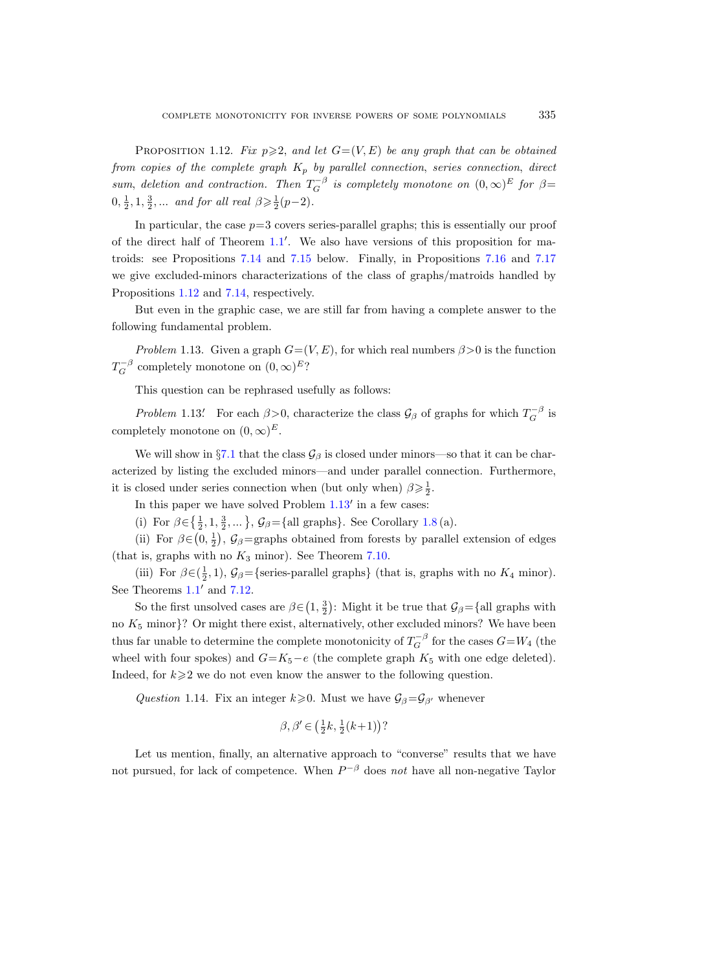PROPOSITION 1.12. Fix  $p \geqslant 2$ , and let  $G=(V, E)$  be any graph that can be obtained from copies of the complete graph  $K_p$  by parallel connection, series connection, direct sum, deletion and contraction. Then  $T_G^{-\beta}$  is completely monotone on  $(0,\infty)^E$  for  $\beta$ =  $0, \frac{1}{2}, 1, \frac{3}{2}, \dots$  and for all real  $\beta \geq \frac{1}{2}(p-2)$ .

In particular, the case  $p=3$  covers series-parallel graphs; this is essentially our proof of the direct half of Theorem  $1.1'$  $1.1'$ . We also have versions of this proposition for matroids: see Propositions [7.14](#page-60-1) and [7.15](#page-61-0) below. Finally, in Propositions [7.16](#page-61-1) and [7.17](#page-62-1) we give excluded-minors characterizations of the class of graphs/matroids handled by Propositions [1.12](#page-11-3) and [7.14,](#page-60-1) respectively.

But even in the graphic case, we are still far from having a complete answer to the following fundamental problem.

<span id="page-12-0"></span>Problem 1.13. Given a graph  $G=(V, E)$ , for which real numbers  $\beta > 0$  is the function  $T_G^{-\beta}$  completely monotone on  $(0, \infty)^E$ ?

This question can be rephrased usefully as follows:

Problem 1.13.<sup>*C*</sup> For each  $\beta > 0$ , characterize the class  $\mathcal{G}_{\beta}$  of graphs for which  $T_G^{-\beta}$  is completely monotone on  $(0, \infty)^E$ .

We will show in §[7.1](#page-50-1) that the class  $\mathcal{G}_{\beta}$  is closed under minors—so that it can be characterized by listing the excluded minors—and under parallel connection. Furthermore, it is closed under series connection when (but only when)  $\beta \geq \frac{1}{2}$ .

In this paper we have solved Problem  $1.13'$  $1.13'$  in a few cases:

(i) For  $\beta \in \left\{\frac{1}{2}, 1, \frac{3}{2}, \dots\right\}$ ,  $\mathcal{G}_{\beta} = \left\{\text{all graphs}\right\}$ . See Corollary [1.8](#page-8-0) (a).

(ii) For  $\beta \in (0, \frac{1}{2})$ ,  $\mathcal{G}_{\beta}$ =graphs obtained from forests by parallel extension of edges (that is, graphs with no  $K_3$  minor). See Theorem [7.10.](#page-57-1)

(iii) For  $\beta \in (\frac{1}{2}, 1)$ ,  $\mathcal{G}_{\beta} =$ {series-parallel graphs} (that is, graphs with no  $K_4$  minor). See Theorems  $1.1'$  $1.1'$  and  $7.12$ .

So the first unsolved cases are  $\beta \in (1, \frac{3}{2})$ : Might it be true that  $\mathcal{G}_{\beta} = \{$ all graphs with no  $K_5$  minor}? Or might there exist, alternatively, other excluded minors? We have been thus far unable to determine the complete monotonicity of  $T_G^{-\beta}$  for the cases  $G=W_4$  (the wheel with four spokes) and  $G=K_5-e$  (the complete graph  $K_5$  with one edge deleted). Indeed, for  $k \geq 2$  we do not even know the answer to the following question.

Question 1.14. Fix an integer  $k\geqslant 0$ . Must we have  $\mathcal{G}_{\beta}=\mathcal{G}_{\beta'}$  whenever

$$
\beta, \beta' \in \left(\frac{1}{2}k, \frac{1}{2}(k+1)\right)?
$$

Let us mention, finally, an alternative approach to "converse" results that we have not pursued, for lack of competence. When  $P^{-\beta}$  does not have all non-negative Taylor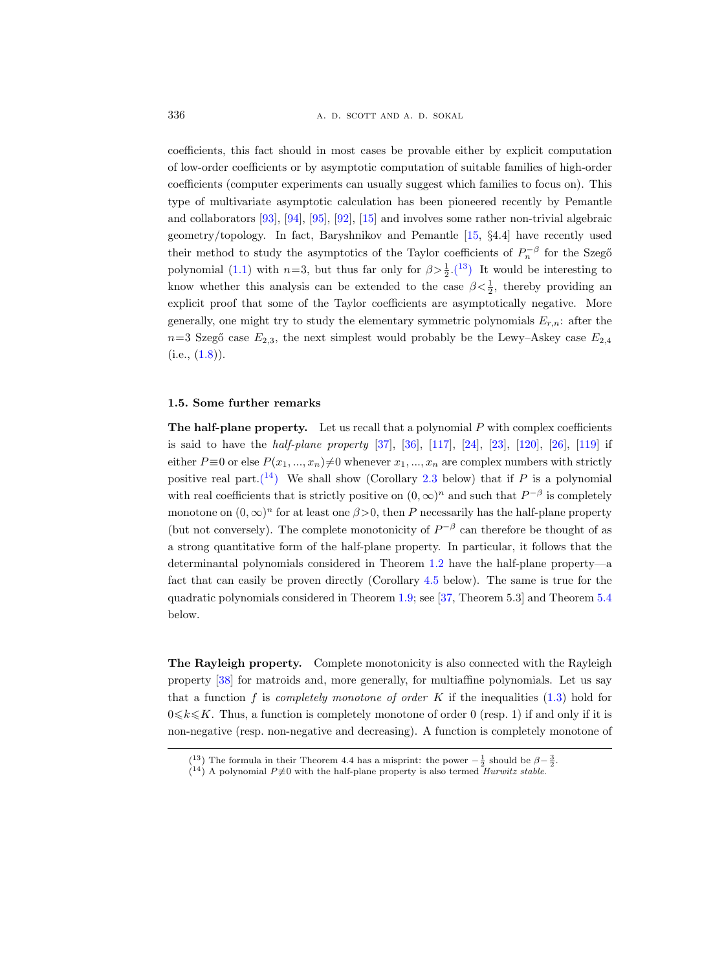336 **a. d. scott and a. d. sokal** 

coefficients, this fact should in most cases be provable either by explicit computation of low-order coefficients or by asymptotic computation of suitable families of high-order coefficients (computer experiments can usually suggest which families to focus on). This type of multivariate asymptotic calculation has been pioneered recently by Pemantle and collaborators [\[93\]](#page-67-6), [\[94\]](#page-67-7), [\[95\]](#page-67-8), [\[92\]](#page-67-9), [\[15\]](#page-64-4) and involves some rather non-trivial algebraic geometry/topology. In fact, Baryshnikov and Pemantle [\[15,](#page-64-4) §4.4] have recently used their method to study the asymptotics of the Taylor coefficients of  $P_n^{-\beta}$  for the Szegő polynomial [\(1.1\)](#page-1-2) with  $n=3$ , but thus far only for  $\beta > \frac{1}{2}$ [.\(](#page-13-1)<sup>13</sup>) It would be interesting to know whether this analysis can be extended to the case  $\beta < \frac{1}{2}$ , thereby providing an explicit proof that some of the Taylor coefficients are asymptotically negative. More generally, one might try to study the elementary symmetric polynomials  $E_{r,n}$ : after the  $n=3$  Szegő case  $E_{2,3}$ , the next simplest would probably be the Lewy–Askey case  $E_{2,4}$  $(i.e., (1.8))$  $(i.e., (1.8))$  $(i.e., (1.8))$ .

#### <span id="page-13-0"></span>1.5. Some further remarks

The half-plane property. Let us recall that a polynomial  $P$  with complex coefficients is said to have the *half-plane property* [\[37\]](#page-65-2), [\[36\]](#page-65-9), [\[117\]](#page-68-10), [\[24\]](#page-64-5), [\[23\]](#page-64-6), [\[120\]](#page-68-11), [\[26\]](#page-64-7), [\[119\]](#page-68-12) if either  $P \equiv 0$  or else  $P(x_1, ..., x_n) \neq 0$  whenever  $x_1, ..., x_n$  are complex numbers with strictly positive real part.<sup>(14</sup>) We shall show (Corollary [2.3](#page-18-0) below) that if P is a polynomial with real coefficients that is strictly positive on  $(0, \infty)^n$  and such that  $P^{-\beta}$  is completely monotone on  $(0, \infty)^n$  for at least one  $\beta > 0$ , then P necessarily has the half-plane property (but not conversely). The complete monotonicity of  $P^{-\beta}$  can therefore be thought of as a strong quantitative form of the half-plane property. In particular, it follows that the determinantal polynomials considered in Theorem [1.2](#page-3-1) have the half-plane property—a fact that can easily be proven directly (Corollary [4.5](#page-31-0) below). The same is true for the quadratic polynomials considered in Theorem [1.9;](#page-9-1) see [\[37,](#page-65-2) Theorem 5.3] and Theorem [5.4](#page-42-1) below.

The Rayleigh property. Complete monotonicity is also connected with the Rayleigh property [\[38\]](#page-65-10) for matroids and, more generally, for multiaffine polynomials. Let us say that a function f is *completely monotone of order* K if the inequalities  $(1.3)$  hold for  $0 \le k \le K$ . Thus, a function is completely monotone of order 0 (resp. 1) if and only if it is non-negative (resp. non-negative and decreasing). A function is completely monotone of

<span id="page-13-1"></span><sup>(&</sup>lt;sup>13</sup>) The formula in their Theorem 4.4 has a misprint: the power  $-\frac{1}{2}$  should be  $\beta - \frac{3}{2}$ .

<span id="page-13-2"></span> $(14)$  A polynomial  $P \neq 0$  with the half-plane property is also termed *Hurwitz stable*.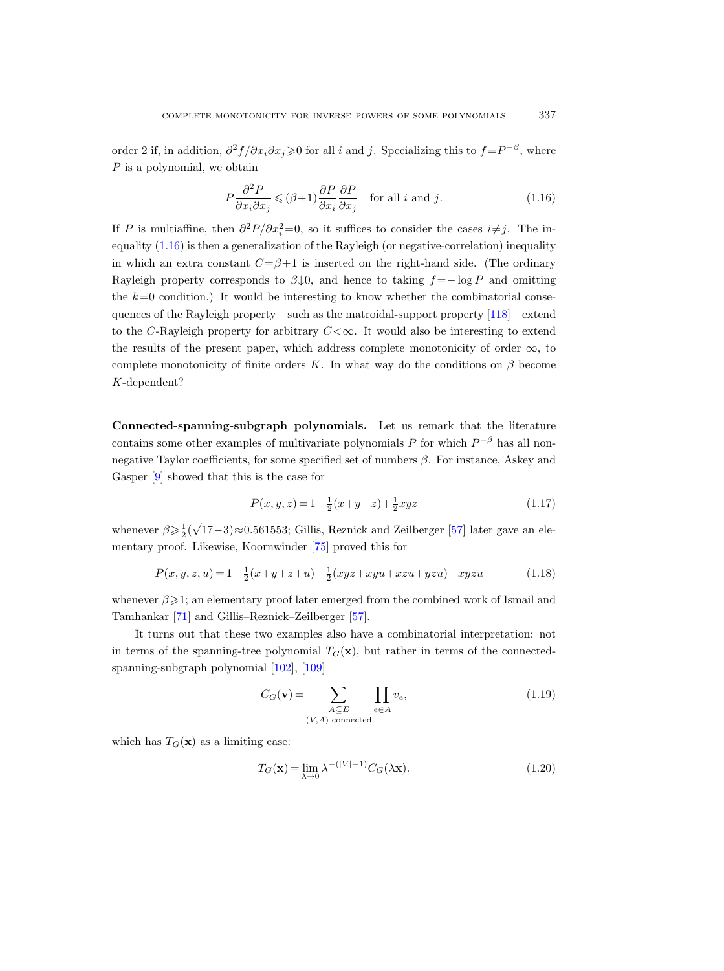order 2 if, in addition,  $\partial^2 f/\partial x_i \partial x_j \geq 0$  for all i and j. Specializing this to  $f = P^{-\beta}$ , where P is a polynomial, we obtain

<span id="page-14-0"></span>
$$
P\frac{\partial^2 P}{\partial x_i \partial x_j} \leqslant (\beta + 1) \frac{\partial P}{\partial x_i} \frac{\partial P}{\partial x_j} \quad \text{for all } i \text{ and } j. \tag{1.16}
$$

If P is multiaffine, then  $\partial^2 P/\partial x_i^2 = 0$ , so it suffices to consider the cases  $i \neq j$ . The inequality  $(1.16)$  is then a generalization of the Rayleigh (or negative-correlation) inequality in which an extra constant  $C=\beta+1$  is inserted on the right-hand side. (The ordinary Rayleigh property corresponds to  $\beta \downarrow 0$ , and hence to taking  $f = -\log P$  and omitting the  $k=0$  condition.) It would be interesting to know whether the combinatorial consequences of the Rayleigh property—such as the matroidal-support property [\[118\]](#page-68-13)—extend to the C-Rayleigh property for arbitrary  $C < \infty$ . It would also be interesting to extend the results of the present paper, which address complete monotonicity of order  $\infty$ , to complete monotonicity of finite orders K. In what way do the conditions on  $\beta$  become K-dependent?

Connected-spanning-subgraph polynomials. Let us remark that the literature contains some other examples of multivariate polynomials P for which  $P^{-\beta}$  has all nonnegative Taylor coefficients, for some specified set of numbers  $\beta$ . For instance, Askey and Gasper [\[9\]](#page-64-8) showed that this is the case for

<span id="page-14-1"></span>
$$
P(x, y, z) = 1 - \frac{1}{2}(x + y + z) + \frac{1}{2}xyz
$$
\n(1.17)

whenever  $\beta \geqslant \frac{1}{2}$ ( √ 17−3)≈0.561553; Gillis, Reznick and Zeilberger [\[57\]](#page-66-6) later gave an elementary proof. Likewise, Koornwinder [\[75\]](#page-66-7) proved this for

<span id="page-14-2"></span>
$$
P(x, y, z, u) = 1 - \frac{1}{2}(x + y + z + u) + \frac{1}{2}(xyz + xyu + xzu + yzu) - xyzu
$$
\n(1.18)

whenever  $\beta \geq 1$ ; an elementary proof later emerged from the combined work of Ismail and Tamhankar [\[71\]](#page-66-5) and Gillis–Reznick–Zeilberger [\[57\]](#page-66-6).

It turns out that these two examples also have a combinatorial interpretation: not in terms of the spanning-tree polynomial  $T_G(\mathbf{x})$ , but rather in terms of the connectedspanning-subgraph polynomial [\[102\]](#page-68-14), [\[109\]](#page-68-4)

$$
C_G(\mathbf{v}) = \sum_{\substack{A \subseteq E \\ (V, A) \text{ connected}}} \prod_{e \in A} v_e,
$$
\n(1.19)

which has  $T_G(\mathbf{x})$  as a limiting case:

<span id="page-14-3"></span>
$$
T_G(\mathbf{x}) = \lim_{\lambda \to 0} \lambda^{-(|V|-1)} C_G(\lambda \mathbf{x}).
$$
\n(1.20)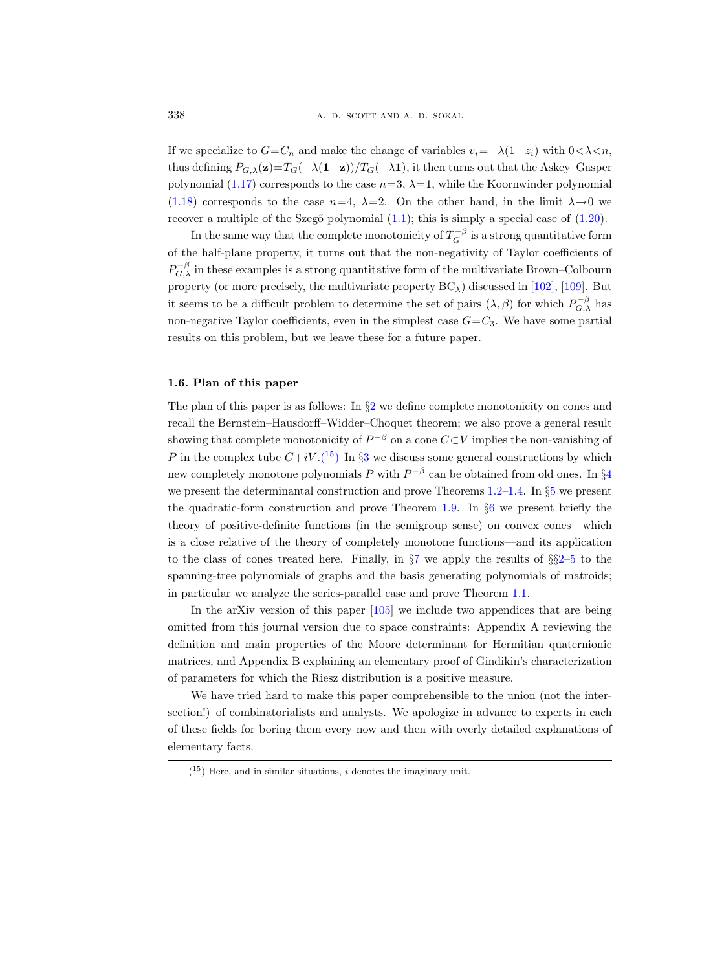If we specialize to  $G=C_n$  and make the change of variables  $v_i=-\lambda(1-z_i)$  with  $0<\lambda < n$ , thus defining  $P_{G,\lambda}(\mathbf{z})=T_G(-\lambda(\mathbf{1}-\mathbf{z}))/T_G(-\lambda\mathbf{1}),$  it then turns out that the Askey–Gasper polynomial [\(1.17\)](#page-14-1) corresponds to the case  $n=3$ ,  $\lambda=1$ , while the Koornwinder polynomial [\(1.18\)](#page-14-2) corresponds to the case  $n=4$ ,  $\lambda=2$ . On the other hand, in the limit  $\lambda \rightarrow 0$  we recover a multiple of the Szegő polynomial  $(1.1)$ ; this is simply a special case of  $(1.20)$ .

In the same way that the complete monotonicity of  $T_G^{-\beta}$  is a strong quantitative form of the half-plane property, it turns out that the non-negativity of Taylor coefficients of  $P_{G,\lambda}^{-\beta}$  in these examples is a strong quantitative form of the multivariate Brown–Colbourn property (or more precisely, the multivariate property  $BC_{\lambda}$ ) discussed in [\[102\]](#page-68-14), [\[109\]](#page-68-4). But it seems to be a difficult problem to determine the set of pairs  $(\lambda, \beta)$  for which  $P_{G,\lambda}^{-\beta}$  has non-negative Taylor coefficients, even in the simplest case  $G = C_3$ . We have some partial results on this problem, but we leave these for a future paper.

# <span id="page-15-0"></span>1.6. Plan of this paper

The plan of this paper is as follows: In  $\S2$  $\S2$  we define complete monotonicity on cones and recall the Bernstein–Hausdorff–Widder–Choquet theorem; we also prove a general result showing that complete monotonicity of  $P^{-\beta}$  on a cone  $C\subset V$  implies the non-vanishing of P in the complex tube  $C+iV$ .<sup>(15</sup>) In §[3](#page-21-0) we discuss some general constructions by which new completely monotone polynomials  $P$  with  $P^{-\beta}$  can be obtained from old ones. In §[4](#page-28-0) we present the determinantal construction and prove Theorems [1.2–](#page-3-1)[1.4.](#page-4-0) In §[5](#page-38-0) we present the quadratic-form construction and prove Theorem [1.9.](#page-9-1) In  $\S6$  $\S6$  we present briefly the theory of positive-definite functions (in the semigroup sense) on convex cones—which is a close relative of the theory of completely monotone functions—and its application to the class of cones treated here. Finally, in  $\S7$  $\S7$  we apply the results of  $\S2-5$  $\S2-5$  $\S2-5$  to the spanning-tree polynomials of graphs and the basis generating polynomials of matroids; in particular we analyze the series-parallel case and prove Theorem [1.1.](#page-2-1)

In the arXiv version of this paper [\[105\]](#page-68-5) we include two appendices that are being omitted from this journal version due to space constraints: Appendix A reviewing the definition and main properties of the Moore determinant for Hermitian quaternionic matrices, and Appendix B explaining an elementary proof of Gindikin's characterization of parameters for which the Riesz distribution is a positive measure.

We have tried hard to make this paper comprehensible to the union (not the intersection!) of combinatorialists and analysts. We apologize in advance to experts in each of these fields for boring them every now and then with overly detailed explanations of elementary facts.

<span id="page-15-1"></span> $(15)$  Here, and in similar situations, *i* denotes the imaginary unit.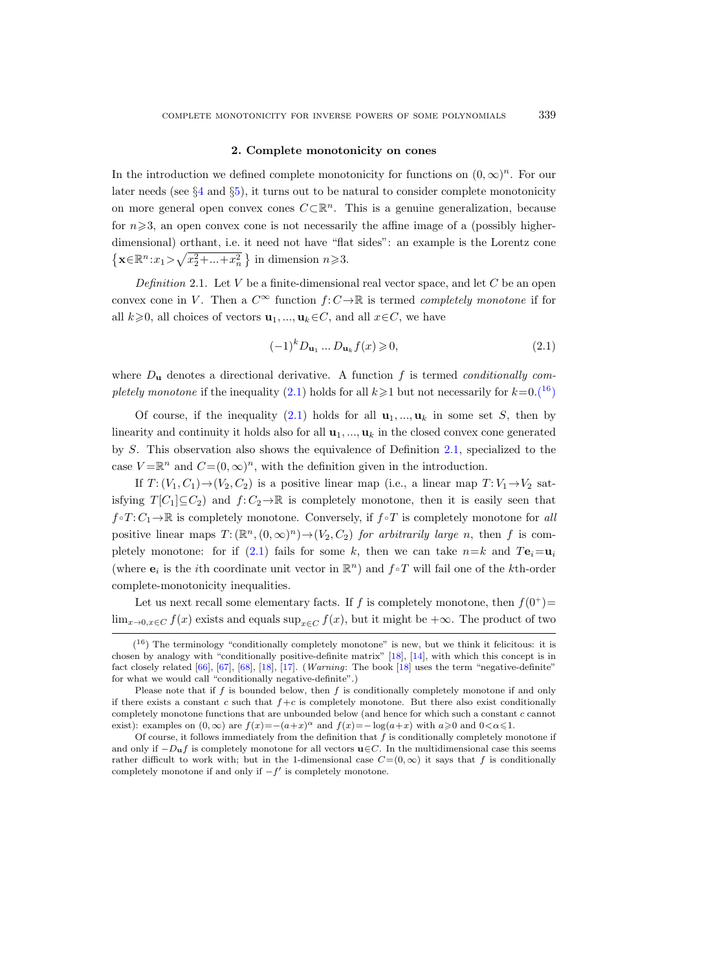# 2. Complete monotonicity on cones

<span id="page-16-0"></span>In the introduction we defined complete monotonicity for functions on  $(0, \infty)^n$ . For our later needs (see  $\S 4$  $\S 4$  and  $\S 5$ ), it turns out to be natural to consider complete monotonicity on more general open convex cones  $C\subset\mathbb{R}^n$ . This is a genuine generalization, because for  $n\geqslant 3$ , an open convex cone is not necessarily the affine image of a (possibly higherdimensional) orthant, i.e. it need not have "flat sides": an example is the Lorentz cone  $\left\{ \mathbf{x} \in \mathbb{R}^n : x_1 > \sqrt{x_2^2 + \dots + x_n^2} \right\}$  in dimension  $n \geqslant 3$ .

<span id="page-16-3"></span>Definition 2.1. Let  $V$  be a finite-dimensional real vector space, and let  $C$  be an open convex cone in V. Then a  $C^{\infty}$  function  $f: C \to \mathbb{R}$  is termed *completely monotone* if for all  $k\geqslant 0$ , all choices of vectors  $\mathbf{u}_1, ..., \mathbf{u}_k \in C$ , and all  $x \in C$ , we have

<span id="page-16-1"></span>
$$
(-1)^{k}D_{\mathbf{u}_{1}}\dots D_{\mathbf{u}_{k}}f(x)\geqslant 0,
$$
\n
$$
(2.1)
$$

where  $D_{\mathbf{u}}$  denotes a directional derivative. A function f is termed conditionally com-pletely monotone if the inequality [\(2.1\)](#page-16-1) holds for all  $k \ge 1$  but not necessarily for  $k=0$ [.\(](#page-16-2)<sup>16</sup>)

Of course, if the inequality [\(2.1\)](#page-16-1) holds for all  $\mathbf{u}_1, ..., \mathbf{u}_k$  in some set S, then by linearity and continuity it holds also for all  $\mathbf{u}_1, \dots, \mathbf{u}_k$  in the closed convex cone generated by S. This observation also shows the equivalence of Definition [2.1,](#page-16-3) specialized to the case  $V = \mathbb{R}^n$  and  $C = (0, \infty)^n$ , with the definition given in the introduction.

If  $T: (V_1, C_1) \rightarrow (V_2, C_2)$  is a positive linear map (i.e., a linear map  $T: V_1 \rightarrow V_2$  satisfying  $T[C_1]\subseteq C_2$  and  $f:C_2\to\mathbb{R}$  is completely monotone, then it is easily seen that  $f \circ T: C_1 \to \mathbb{R}$  is completely monotone. Conversely, if  $f \circ T$  is completely monotone for all positive linear maps  $T: (\mathbb{R}^n, (0, \infty)^n) \to (V_2, C_2)$  for arbitrarily large n, then f is com-pletely monotone: for if [\(2.1\)](#page-16-1) fails for some k, then we can take  $n=k$  and  $Te_i=u_i$ (where  $e_i$  is the *i*th coordinate unit vector in  $\mathbb{R}^n$ ) and  $f \circ T$  will fail one of the *k*th-order complete-monotonicity inequalities.

Let us next recall some elementary facts. If f is completely monotone, then  $f(0^+)$  $\lim_{x\to 0, x\in C} f(x)$  exists and equals  $\sup_{x\in C} f(x)$ , but it might be + $\infty$ . The product of two

<span id="page-16-2"></span><sup>(</sup> <sup>16</sup>) The terminology "conditionally completely monotone" is new, but we think it felicitous: it is chosen by analogy with "conditionally positive-definite matrix" [\[18\]](#page-64-9), [\[14\]](#page-64-10), with which this concept is in fact closely related [\[66\]](#page-66-8), [\[67\]](#page-66-9), [\[68\]](#page-66-10), [\[18\]](#page-64-9), [\[17\]](#page-64-11). (Warning: The book [\[18\]](#page-64-9) uses the term "negative-definite" for what we would call "conditionally negative-definite".)

Please note that if  $f$  is bounded below, then  $f$  is conditionally completely monotone if and only if there exists a constant c such that  $f+c$  is completely monotone. But there also exist conditionally completely monotone functions that are unbounded below (and hence for which such a constant c cannot exist): examples on  $(0, \infty)$  are  $f(x) = -(a+x)^{\alpha}$  and  $f(x) = -\log(a+x)$  with  $a \ge 0$  and  $0 < \alpha \le 1$ .

Of course, it follows immediately from the definition that  $f$  is conditionally completely monotone if and only if  $-D_{\mathbf{u}}f$  is completely monotone for all vectors  $\mathbf{u}\in C$ . In the multidimensional case this seems rather difficult to work with; but in the 1-dimensional case  $C=(0,\infty)$  it says that f is conditionally completely monotone if and only if  $-f'$  is completely monotone.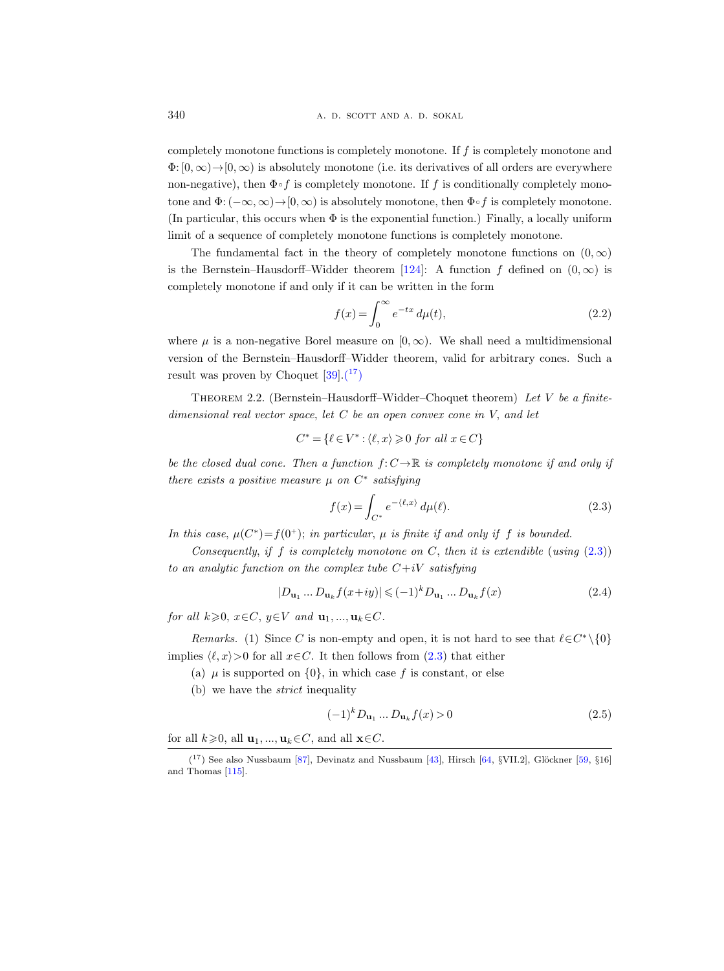completely monotone functions is completely monotone. If f is completely monotone and  $\Phi: [0,\infty) \to [0,\infty)$  is absolutely monotone (i.e. its derivatives of all orders are everywhere non-negative), then  $\Phi \circ f$  is completely monotone. If f is conditionally completely monotone and  $\Phi: (-\infty,\infty) \to [0,\infty)$  is absolutely monotone, then  $\Phi \circ f$  is completely monotone. (In particular, this occurs when  $\Phi$  is the exponential function.) Finally, a locally uniform limit of a sequence of completely monotone functions is completely monotone.

The fundamental fact in the theory of completely monotone functions on  $(0, \infty)$ is the Bernstein–Hausdorff–Widder theorem [\[124\]](#page-69-2): A function f defined on  $(0,\infty)$  is completely monotone if and only if it can be written in the form

$$
f(x) = \int_0^\infty e^{-tx} d\mu(t),\tag{2.2}
$$

where  $\mu$  is a non-negative Borel measure on  $[0, \infty)$ . We shall need a multidimensional version of the Bernstein–Hausdorff–Widder theorem, valid for arbitrary cones. Such a result was proven by Choquet  $[39] \cdot (17)$ 

<span id="page-17-0"></span>THEOREM 2.2. (Bernstein–Hausdorff–Widder–Choquet theorem) Let V be a finitedimensional real vector space, let  $C$  be an open convex cone in  $V$ , and let

$$
C^* = \{ \ell \in V^* : \langle \ell, x \rangle \geq 0 \text{ for all } x \in C \}
$$

be the closed dual cone. Then a function  $f: C \to \mathbb{R}$  is completely monotone if and only if there exists a positive measure  $\mu$  on  $C^*$  satisfying

<span id="page-17-2"></span>
$$
f(x) = \int_{C^*} e^{-\langle \ell, x \rangle} d\mu(\ell). \tag{2.3}
$$

In this case,  $\mu(C^*) = f(0^+);$  in particular,  $\mu$  is finite if and only if f is bounded.

Consequently, if f is completely monotone on C, then it is extendible (using  $(2.3)$ ) to an analytic function on the complex tube  $C+iV$  satisfying

$$
|D_{\mathbf{u}_1} \dots D_{\mathbf{u}_k} f(x+iy)| \leqslant (-1)^k D_{\mathbf{u}_1} \dots D_{\mathbf{u}_k} f(x) \tag{2.4}
$$

for all  $k\geqslant 0$ ,  $x\in C$ ,  $y\in V$  and  $\mathbf{u}_1, ..., \mathbf{u}_k\in C$ .

Remarks. (1) Since C is non-empty and open, it is not hard to see that  $\ell \in C^* \setminus \{0\}$ implies  $\langle \ell, x \rangle > 0$  for all  $x \in C$ . It then follows from [\(2.3\)](#page-17-2) that either

- (a)  $\mu$  is supported on  $\{0\}$ , in which case f is constant, or else
- (b) we have the strict inequality

<span id="page-17-3"></span>
$$
(-1)^{k}D_{\mathbf{u}_{1}}\dots D_{\mathbf{u}_{k}}f(x) > 0
$$
\n(2.5)

for all  $k\geqslant 0$ , all  $\mathbf{u}_1, ..., \mathbf{u}_k \in C$ , and all  $\mathbf{x} \in C$ .

<span id="page-17-1"></span> $(17)$  See also Nussbaum [\[87\]](#page-67-10), Devinatz and Nussbaum [\[43\]](#page-65-12), Hirsch [\[64,](#page-66-11) §VII.2], Glöckner [\[59,](#page-66-12) §16] and Thomas [\[115\]](#page-68-15).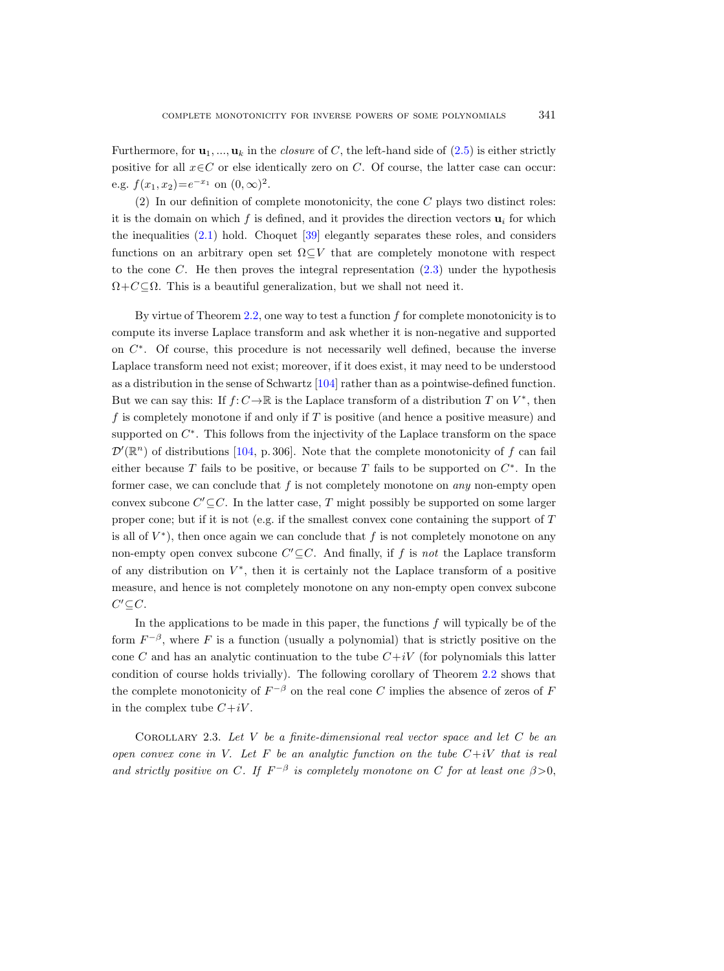Furthermore, for  $\mathbf{u}_1, ..., \mathbf{u}_k$  in the *closure* of C, the left-hand side of [\(2.5\)](#page-17-3) is either strictly positive for all  $x \in C$  or else identically zero on C. Of course, the latter case can occur: e.g.  $f(x_1, x_2) = e^{-x_1}$  on  $(0, \infty)^2$ .

 $(2)$  In our definition of complete monotonicity, the cone C plays two distinct roles: it is the domain on which f is defined, and it provides the direction vectors  $\mathbf{u}_i$  for which the inequalities  $(2.1)$  hold. Choquet  $[39]$  elegantly separates these roles, and considers functions on an arbitrary open set  $\Omega \subseteq V$  that are completely monotone with respect to the cone  $C$ . He then proves the integral representation  $(2.3)$  under the hypothesis  $\Omega + C \subseteq \Omega$ . This is a beautiful generalization, but we shall not need it.

By virtue of Theorem [2.2,](#page-17-0) one way to test a function  $f$  for complete monotonicity is to compute its inverse Laplace transform and ask whether it is non-negative and supported on  $C^*$ . Of course, this procedure is not necessarily well defined, because the inverse Laplace transform need not exist; moreover, if it does exist, it may need to be understood as a distribution in the sense of Schwartz [\[104\]](#page-68-16) rather than as a pointwise-defined function. But we can say this: If  $f: C \to \mathbb{R}$  is the Laplace transform of a distribution T on  $V^*$ , then f is completely monotone if and only if  $T$  is positive (and hence a positive measure) and supported on  $C^*$ . This follows from the injectivity of the Laplace transform on the space  $\mathcal{D}'(\mathbb{R}^n)$  of distributions [\[104,](#page-68-16) p. 306]. Note that the complete monotonicity of f can fail either because T fails to be positive, or because T fails to be supported on  $C^*$ . In the former case, we can conclude that  $f$  is not completely monotone on *any* non-empty open convex subcone  $C' \subseteq C$ . In the latter case, T might possibly be supported on some larger proper cone; but if it is not (e.g. if the smallest convex cone containing the support of  $T$ is all of  $V^*$ ), then once again we can conclude that f is not completely monotone on any non-empty open convex subcone  $C' \subseteq C$ . And finally, if f is not the Laplace transform of any distribution on  $V^*$ , then it is certainly not the Laplace transform of a positive measure, and hence is not completely monotone on any non-empty open convex subcone  $C' \subseteq C$ .

In the applications to be made in this paper, the functions  $f$  will typically be of the form  $F^{-\beta}$ , where F is a function (usually a polynomial) that is strictly positive on the cone C and has an analytic continuation to the tube  $C+iV$  (for polynomials this latter condition of course holds trivially). The following corollary of Theorem [2.2](#page-17-0) shows that the complete monotonicity of  $F^{-\beta}$  on the real cone C implies the absence of zeros of F in the complex tube  $C+iV$ .

<span id="page-18-0"></span>COROLLARY 2.3. Let  $V$  be a finite-dimensional real vector space and let  $C$  be an open convex cone in V. Let F be an analytic function on the tube  $C+iV$  that is real and strictly positive on C. If  $F^{-\beta}$  is completely monotone on C for at least one  $\beta > 0$ ,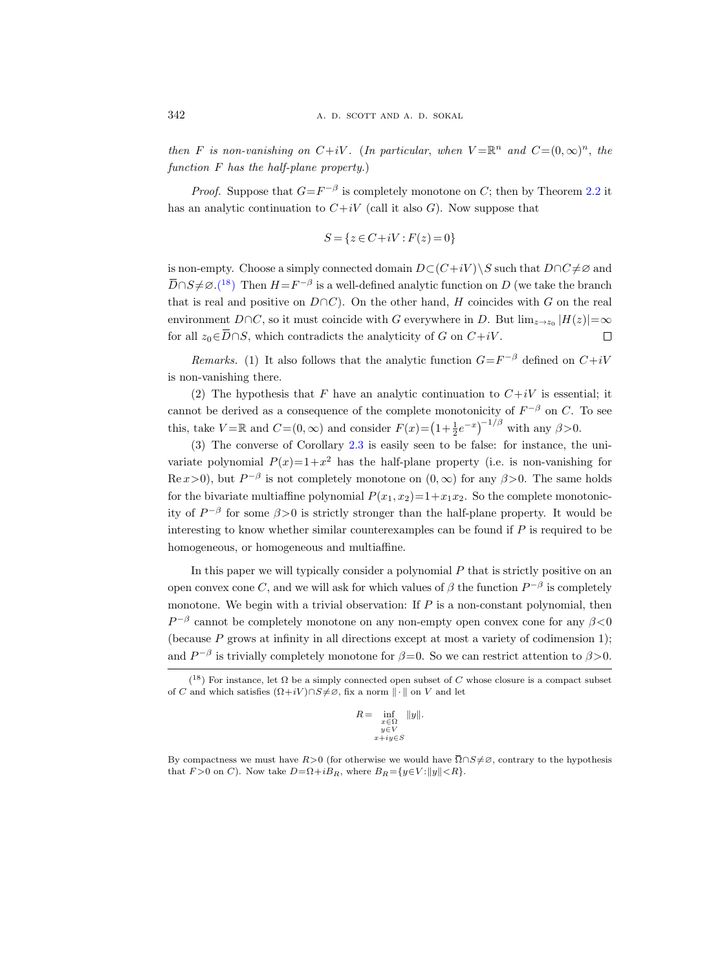then F is non-vanishing on  $C+iV$ . (In particular, when  $V = \mathbb{R}^n$  and  $C = (0, \infty)^n$ , the function F has the half-plane property.)

*Proof.* Suppose that  $G = F^{-\beta}$  is completely monotone on C; then by Theorem [2.2](#page-17-0) it has an analytic continuation to  $C+iV$  (call it also G). Now suppose that

$$
S = \{ z \in C + iV : F(z) = 0 \}
$$

is non-empty. Choose a simply connected domain  $D\subset (C+iV)\setminus S$  such that  $D\cap C\neq\emptyset$  and  $\overline{D} \cap S \neq \emptyset$ .<sup>(18</sup>) Then  $H = F^{-\beta}$  is a well-defined analytic function on D (we take the branch that is real and positive on  $D \cap C$ ). On the other hand, H coincides with G on the real environment  $D \cap C$ , so it must coincide with G everywhere in D. But  $\lim_{z \to z_0} |H(z)| = \infty$ for all  $z_0 \in \overline{D} \cap S$ , which contradicts the analyticity of G on  $C+iV$ .  $\Box$ 

*Remarks.* (1) It also follows that the analytic function  $G = F^{-\beta}$  defined on  $C + iV$ is non-vanishing there.

(2) The hypothesis that F have an analytic continuation to  $C+iV$  is essential; it cannot be derived as a consequence of the complete monotonicity of  $F^{-\beta}$  on C. To see this, take  $V = \mathbb{R}$  and  $C = (0, \infty)$  and consider  $F(x) = (1 + \frac{1}{2}e^{-x})^{-1/\beta}$  with any  $\beta > 0$ .

(3) The converse of Corollary [2.3](#page-18-0) is easily seen to be false: for instance, the univariate polynomial  $P(x)=1+x^2$  has the half-plane property (i.e. is non-vanishing for  $\text{Re}\,x>0$ , but  $P^{-\beta}$  is not completely monotone on  $(0,\infty)$  for any  $\beta>0$ . The same holds for the bivariate multiaffine polynomial  $P(x_1, x_2)=1+x_1x_2$ . So the complete monotonicity of  $P^{-\beta}$  for some  $\beta > 0$  is strictly stronger than the half-plane property. It would be interesting to know whether similar counterexamples can be found if  $P$  is required to be homogeneous, or homogeneous and multiaffine.

In this paper we will typically consider a polynomial  $P$  that is strictly positive on an open convex cone C, and we will ask for which values of  $\beta$  the function  $P^{-\beta}$  is completely monotone. We begin with a trivial observation: If  $P$  is a non-constant polynomial, then  $P^{-\beta}$  cannot be completely monotone on any non-empty open convex cone for any  $\beta$ <0 (because  $P$  grows at infinity in all directions except at most a variety of codimension 1); and  $P^{-\beta}$  is trivially completely monotone for  $\beta = 0$ . So we can restrict attention to  $\beta > 0$ . By compactness we must have R>0 (for otherwise we would have  $\overline{\Omega} \cap S \neq \emptyset$ , contrary to the hypothesis  $\overline{R} = \inf_{\substack{x \in \Omega \\ y \in V}} \|y\|$ .<br>By compactness we must have  $R>0$  (for otherwise we would have  $\overline{\Omega} \cap S \neq \emptyset$ ,

$$
R = \inf_{\substack{x \in \Omega \\ y \in V \\ x + iy \in S}} \|y\|.
$$

<span id="page-19-0"></span><sup>&</sup>lt;sup>(18</sup>) For instance, let  $\Omega$  be a simply connected open subset of C whose closure is a compact subset of C and which satisfies  $(\Omega+iV)\cap S\neq\emptyset$ , fix a norm  $\|\cdot\|$  on V and let

that  $F > 0$  on C). Now take  $D = \Omega + iB_R$ , where  $B_R = \{y \in V : ||y|| < R\}.$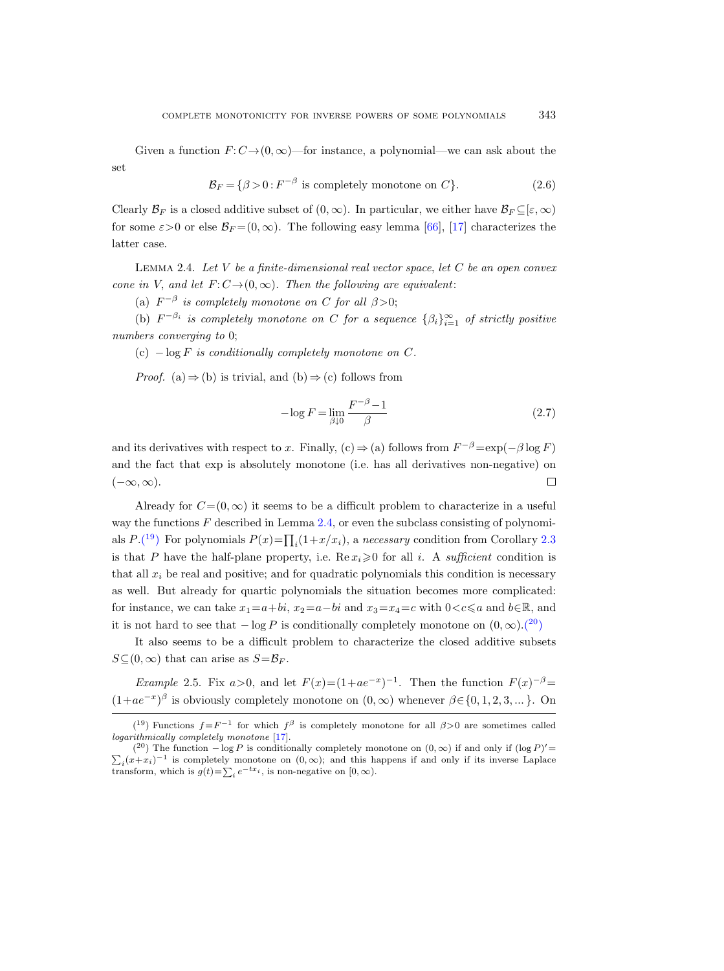Given a function  $F: C\rightarrow(0,\infty)$ —for instance, a polynomial—we can ask about the set

$$
\mathcal{B}_F = \{ \beta > 0 : F^{-\beta} \text{ is completely monotone on } C \}. \tag{2.6}
$$

Clearly  $\mathcal{B}_F$  is a closed additive subset of  $(0,\infty)$ . In particular, we either have  $\mathcal{B}_F \subseteq [\varepsilon,\infty)$ for some  $\varepsilon > 0$  or else  $\mathcal{B}_F = (0, \infty)$ . The following easy lemma [\[66\]](#page-66-8), [\[17\]](#page-64-11) characterizes the latter case.

<span id="page-20-0"></span>LEMMA 2.4. Let  $V$  be a finite-dimensional real vector space, let  $C$  be an open convex cone in V, and let  $F: C \rightarrow (0, \infty)$ . Then the following are equivalent:

(a)  $F^{-\beta}$  is completely monotone on C for all  $\beta > 0$ ;

(b)  $F^{-\beta_i}$  is completely monotone on C for a sequence  $\{\beta_i\}_{i=1}^{\infty}$  of strictly positive numbers converging to 0;

(c)  $-\log F$  is conditionally completely monotone on C.

*Proof.* (a)  $\Rightarrow$  (b) is trivial, and (b)  $\Rightarrow$  (c) follows from

$$
-\log F = \lim_{\beta \downarrow 0} \frac{F^{-\beta} - 1}{\beta} \tag{2.7}
$$

and its derivatives with respect to x. Finally, (c)  $\Rightarrow$  (a) follows from  $F^{-\beta} = \exp(-\beta \log F)$ and the fact that exp is absolutely monotone (i.e. has all derivatives non-negative) on  $\Box$  $(-\infty,\infty).$ 

Already for  $C=(0,\infty)$  it seems to be a difficult problem to characterize in a useful way the functions  $F$  described in Lemma [2.4,](#page-20-0) or even the subclass consisting of polynomials  $P.(19)$  $P.(19)$  $P.(19)$  For polynomials  $P(x) = \prod_i (1 + x/x_i)$ , a necessary condition from Corollary [2.3](#page-18-0) is that P have the half-plane property, i.e.  $\text{Re } x_i \geq 0$  for all i. A sufficient condition is that all  $x_i$  be real and positive; and for quadratic polynomials this condition is necessary as well. But already for quartic polynomials the situation becomes more complicated: for instance, we can take  $x_1=a+bi$ ,  $x_2=a-bi$  and  $x_3=x_4=c$  with  $0 < c \leq a$  and  $b \in \mathbb{R}$ , and it is not hard to see that  $-\log P$  is conditionally completely monotone on  $(0, \infty)$ [.\(](#page-20-2)<sup>20</sup>)

It also seems to be a difficult problem to characterize the closed additive subsets  $S\subseteq (0,\infty)$  that can arise as  $S=\mathcal{B}_F$ .

*Example* 2.5. Fix  $a > 0$ , and let  $F(x)=(1+ae^{-x})^{-1}$ . Then the function  $F(x)^{-\beta}$  $(1+ae^{-x})^{\beta}$  is obviously completely monotone on  $(0,\infty)$  whenever  $\beta \in \{0,1,2,3,...\}$ . On

<span id="page-20-1"></span><sup>(&</sup>lt;sup>19</sup>) Functions  $f = F^{-1}$  for which  $f^{\beta}$  is completely monotone for all  $\beta > 0$  are sometimes called logarithmically completely monotone [\[17\]](#page-64-11).

<span id="page-20-2"></span><sup>(&</sup>lt;sup>20</sup>) The function  $-\log P$  is conditionally completely monotone on  $(0, \infty)$  if and only if  $(\log P)$  $\Sigma$  $\prime$   $=$  $i(x+x_i)^{-1}$  is completely monotone on  $(0,\infty)$ ; and this happens if and only if its inverse Laplace transform, which is  $g(t) = \sum_i e^{-tx_i}$ , is non-negative on  $[0, \infty)$ .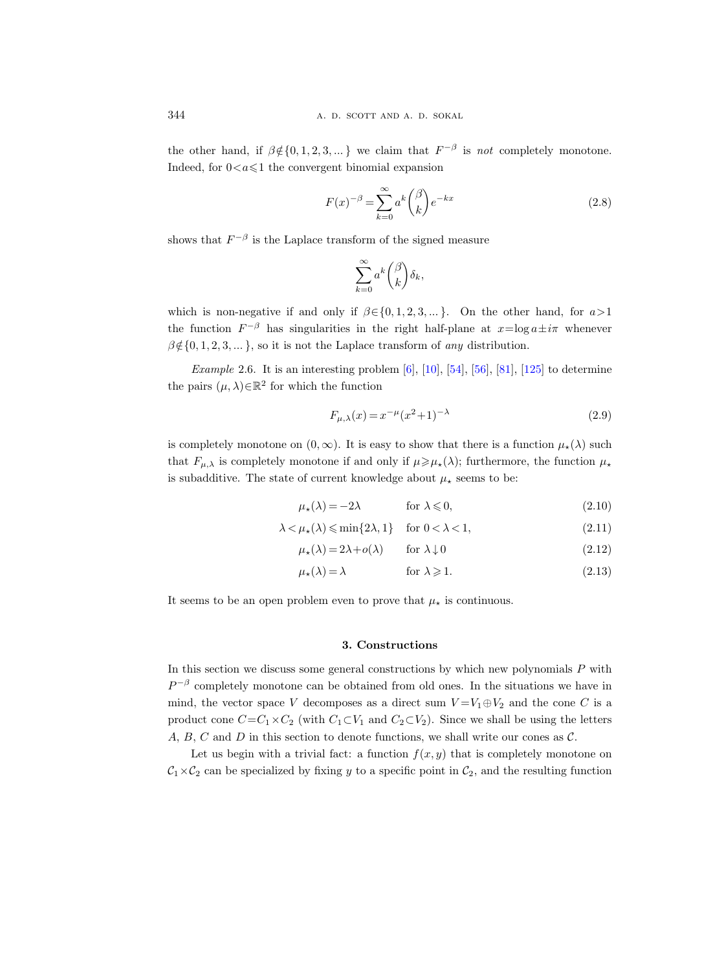the other hand, if  $\beta \notin \{0, 1, 2, 3, ...\}$  we claim that  $F^{-\beta}$  is not completely monotone. Indeed, for  $0 < a \leq 1$  the convergent binomial expansion

$$
F(x)^{-\beta} = \sum_{k=0}^{\infty} a^k \binom{\beta}{k} e^{-kx}
$$
 (2.8)

shows that  $F^{-\beta}$  is the Laplace transform of the signed measure

$$
\sum_{k=0}^{\infty} a^k \binom{\beta}{k} \delta_k,
$$

which is non-negative if and only if  $\beta \in \{0, 1, 2, 3, ...\}$ . On the other hand, for  $a > 1$ the function  $F^{-\beta}$  has singularities in the right half-plane at  $x = \log a \pm i\pi$  whenever  $\beta \notin \{0, 1, 2, 3, \dots\}$ , so it is not the Laplace transform of any distribution.

*Example* 2.6. It is an interesting problem  $[6]$ ,  $[10]$ ,  $[54]$ ,  $[56]$ ,  $[81]$ ,  $[125]$  to determine the pairs  $(\mu, \lambda) \in \mathbb{R}^2$  for which the function

$$
F_{\mu,\lambda}(x) = x^{-\mu}(x^2 + 1)^{-\lambda}
$$
\n(2.9)

is completely monotone on  $(0, \infty)$ . It is easy to show that there is a function  $\mu_{\star}(\lambda)$  such that  $F_{\mu,\lambda}$  is completely monotone if and only if  $\mu \geq \mu_{\star}(\lambda)$ ; furthermore, the function  $\mu_{\star}$ is subadditive. The state of current knowledge about  $\mu_{\star}$  seems to be:

$$
\mu_{\star}(\lambda) = -2\lambda \qquad \text{for } \lambda \leq 0,
$$
\n(2.10)

$$
\lambda < \mu_{\star}(\lambda) \leqslant \min\{2\lambda, 1\} \quad \text{for } 0 < \lambda < 1,\tag{2.11}
$$

$$
\mu_{\star}(\lambda) = 2\lambda + o(\lambda) \qquad \text{for } \lambda \downarrow 0 \tag{2.12}
$$

$$
\mu_{\star}(\lambda) = \lambda \qquad \text{for } \lambda \geqslant 1. \tag{2.13}
$$

It seems to be an open problem even to prove that  $\mu_{\star}$  is continuous.

# 3. Constructions

<span id="page-21-0"></span>In this section we discuss some general constructions by which new polynomials  $P$  with  $P^{-\beta}$  completely monotone can be obtained from old ones. In the situations we have in mind, the vector space V decomposes as a direct sum  $V = V_1 \oplus V_2$  and the cone C is a product cone  $C=C_1\times C_2$  (with  $C_1\subset V_1$  and  $C_2\subset V_2$ ). Since we shall be using the letters A, B, C and D in this section to denote functions, we shall write our cones as  $\mathcal{C}$ .

Let us begin with a trivial fact: a function  $f(x, y)$  that is completely monotone on  $C_1 \times C_2$  can be specialized by fixing y to a specific point in  $C_2$ , and the resulting function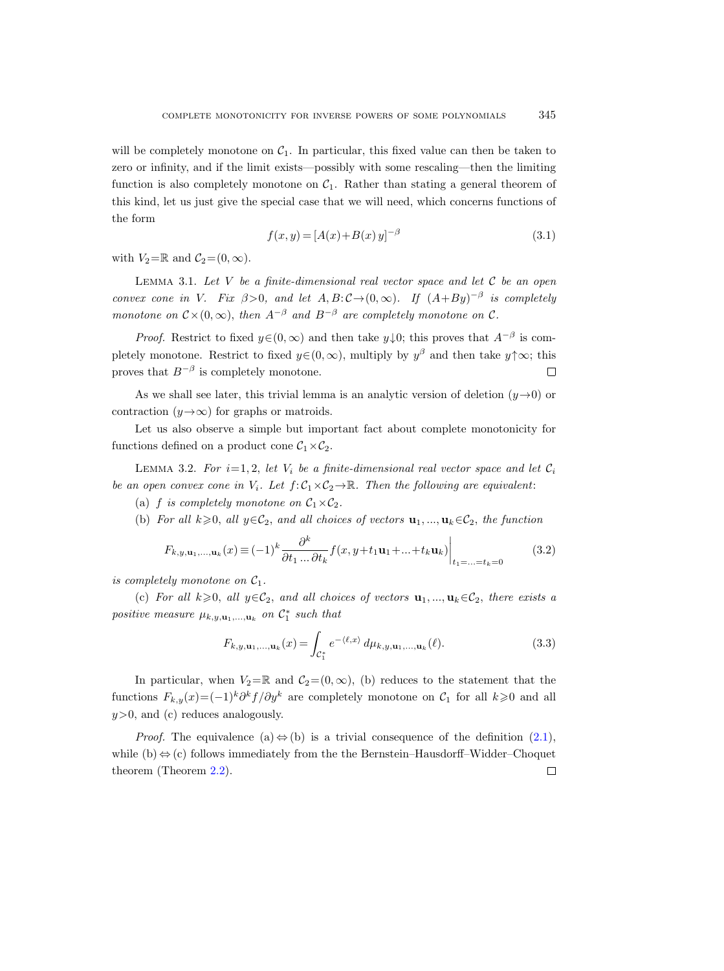will be completely monotone on  $C_1$ . In particular, this fixed value can then be taken to zero or infinity, and if the limit exists—possibly with some rescaling—then the limiting function is also completely monotone on  $C_1$ . Rather than stating a general theorem of this kind, let us just give the special case that we will need, which concerns functions of the form

<span id="page-22-0"></span>
$$
f(x, y) = [A(x) + B(x) y]^{-\beta}
$$
\n(3.1)

with  $V_2=\mathbb{R}$  and  $\mathcal{C}_2=(0,\infty)$ .

LEMMA 3.1. Let V be a finite-dimensional real vector space and let  $\mathcal C$  be an open convex cone in V. Fix  $\beta > 0$ , and let  $A, B: C \to (0, \infty)$ . If  $(A + By)^{-\beta}$  is completely monotone on  $C \times (0,\infty)$ , then  $A^{-\beta}$  and  $B^{-\beta}$  are completely monotone on C.

*Proof.* Restrict to fixed  $y \in (0, \infty)$  and then take  $y \downarrow 0$ ; this proves that  $A^{-\beta}$  is completely monotone. Restrict to fixed  $y \in (0, \infty)$ , multiply by  $y^{\beta}$  and then take  $y \uparrow \infty$ ; this proves that  $B^{-\beta}$  is completely monotone.  $\Box$ 

As we shall see later, this trivial lemma is an analytic version of deletion  $(y\rightarrow 0)$  or contraction  $(y \rightarrow \infty)$  for graphs or matroids.

Let us also observe a simple but important fact about complete monotonicity for functions defined on a product cone  $C_1 \times C_2$ .

<span id="page-22-1"></span>LEMMA 3.2. For  $i=1, 2$ , let  $V_i$  be a finite-dimensional real vector space and let  $C_i$ be an open convex cone in  $V_i$ . Let  $f: \mathcal{C}_1 \times \mathcal{C}_2 \to \mathbb{R}$ . Then the following are equivalent:

(a) f is completely monotone on  $C_1\times C_2$ .

(b) For all  $k\geqslant 0$ , all  $y\in\mathcal{C}_2$ , and all choices of vectors  $\mathbf{u}_1, ..., \mathbf{u}_k\in\mathcal{C}_2$ , the function

$$
F_{k,y,\mathbf{u}_1,\dots,\mathbf{u}_k}(x) \equiv (-1)^k \frac{\partial^k}{\partial t_1 \dots \partial t_k} f(x, y + t_1 \mathbf{u}_1 + \dots + t_k \mathbf{u}_k) \Big|_{t_1 = \dots = t_k = 0}
$$
(3.2)

is completely monotone on  $C_1$ .

(c) For all  $k\geqslant 0$ , all  $y\in\mathcal{C}_2$ , and all choices of vectors  $\mathbf{u}_1, ..., \mathbf{u}_k\in\mathcal{C}_2$ , there exists a positive measure  $\mu_{k,y,\mathbf{u}_1,\dots,\mathbf{u}_k}$  on  $\mathcal{C}_1^*$  such that

$$
F_{k,y,\mathbf{u}_1,\dots,\mathbf{u}_k}(x) = \int_{\mathcal{C}_1^*} e^{-\langle \ell,x \rangle} \, d\mu_{k,y,\mathbf{u}_1,\dots,\mathbf{u}_k}(\ell). \tag{3.3}
$$

In particular, when  $V_2=\mathbb{R}$  and  $\mathcal{C}_2=(0,\infty)$ , (b) reduces to the statement that the functions  $F_{k,y}(x) = (-1)^k \partial^k f / \partial y^k$  are completely monotone on  $\mathcal{C}_1$  for all  $k \geq 0$  and all  $y>0$ , and (c) reduces analogously.

*Proof.* The equivalence (a)  $\Leftrightarrow$  (b) is a trivial consequence of the definition [\(2.1\)](#page-16-1), while (b)  $\Leftrightarrow$  (c) follows immediately from the the Bernstein–Hausdorff–Widder–Choquet theorem (Theorem [2.2\)](#page-17-0). $\Box$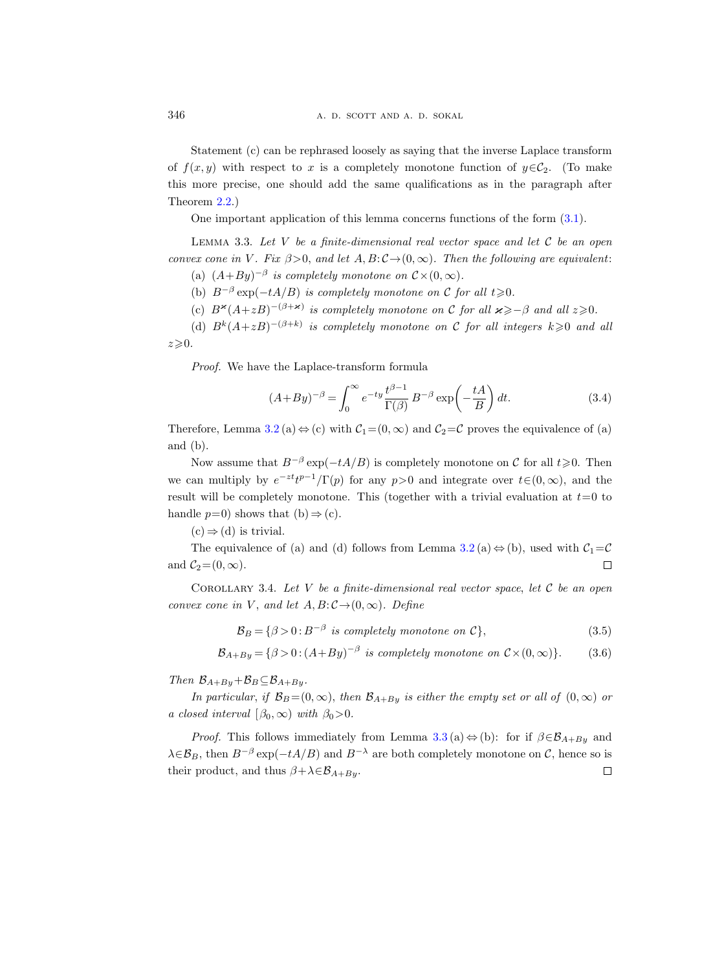Statement (c) can be rephrased loosely as saying that the inverse Laplace transform of  $f(x, y)$  with respect to x is a completely monotone function of  $y \in C_2$ . (To make this more precise, one should add the same qualifications as in the paragraph after Theorem [2.2.](#page-17-0))

One important application of this lemma concerns functions of the form [\(3.1\)](#page-22-0).

<span id="page-23-0"></span>LEMMA 3.3. Let  $V$  be a finite-dimensional real vector space and let  $C$  be an open convex cone in V. Fix  $\beta > 0$ , and let  $A, B; C \rightarrow (0, \infty)$ . Then the following are equivalent: (a)  $(A+By)^{-\beta}$  is completely monotone on  $\mathcal{C}\times(0,\infty)$ .

(b)  $B^{-\beta} \exp(-tA/B)$  is completely monotone on C for all  $t \ge 0$ .

(c)  $B^{\varkappa}(A+zB)^{-(\beta+\varkappa)}$  is completely monotone on C for all  $\varkappa \geq -\beta$  and all  $z \geq 0$ .

(d)  $B^k(A+zB)^{-(\beta+k)}$  is completely monotone on C for all integers  $k\geqslant 0$  and all  $z\!\geqslant\!0.$ 

Proof. We have the Laplace-transform formula

<span id="page-23-1"></span>
$$
(A+By)^{-\beta} = \int_0^\infty e^{-ty} \frac{t^{\beta-1}}{\Gamma(\beta)} B^{-\beta} \exp\left(-\frac{tA}{B}\right) dt.
$$
 (3.4)

Therefore, Lemma [3.2](#page-22-1) (a)  $\Leftrightarrow$  (c) with  $C_1=(0,\infty)$  and  $C_2=\mathcal{C}$  proves the equivalence of (a) and (b).

Now assume that  $B^{-\beta} \exp(-tA/B)$  is completely monotone on C for all  $t \geq 0$ . Then we can multiply by  $e^{-zt}t^{p-1}/\Gamma(p)$  for any  $p>0$  and integrate over  $t\in (0,\infty)$ , and the result will be completely monotone. This (together with a trivial evaluation at  $t=0$  to handle  $p=0$ ) shows that (b)  $\Rightarrow$  (c).

 $(c) \Rightarrow (d)$  is trivial.

The equivalence of (a) and (d) follows from Lemma [3.2](#page-22-1) (a)  $\Leftrightarrow$  (b), used with  $C_1 = C$ and  $C_2=(0,\infty)$ .  $\Box$ 

COROLLARY 3.4. Let  $V$  be a finite-dimensional real vector space, let  $C$  be an open convex cone in V, and let  $A, B: C \rightarrow (0, \infty)$ . Define

$$
\mathcal{B}_B = \{ \beta > 0 : B^{-\beta} \text{ is completely monotone on } C \},\tag{3.5}
$$

$$
\mathcal{B}_{A+By} = \{ \beta > 0 : (A+By)^{-\beta} \text{ is completely monotone on } C \times (0, \infty) \}. \tag{3.6}
$$

Then  $\mathcal{B}_{A+By}+\mathcal{B}_{B} \subseteq \mathcal{B}_{A+By}$ .

In particular, if  $\mathcal{B}_B = (0,\infty)$ , then  $\mathcal{B}_{A+By}$  is either the empty set or all of  $(0,\infty)$  or a closed interval  $(\beta_0, \infty)$  with  $\beta_0 > 0$ .

*Proof.* This follows immediately from Lemma [3.3](#page-23-0)(a)  $\Leftrightarrow$  (b): for if  $\beta \in \mathcal{B}_{A+B_y}$  and  $\lambda \in \mathcal{B}_B$ , then  $B^{-\beta}$  exp( $-tA/B$ ) and  $B^{-\lambda}$  are both completely monotone on  $\mathcal{C}$ , hence so is their product, and thus  $\beta + \lambda \in \mathcal{B}_{A+By}$ .  $\Box$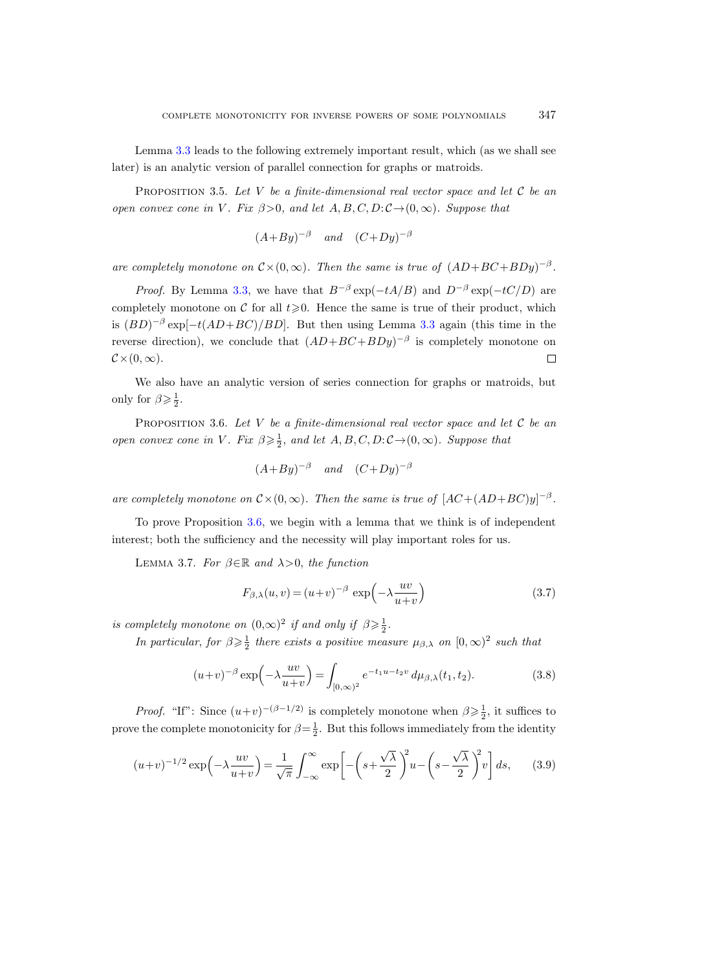Lemma [3.3](#page-23-0) leads to the following extremely important result, which (as we shall see later) is an analytic version of parallel connection for graphs or matroids.

<span id="page-24-5"></span>PROPOSITION 3.5. Let V be a finite-dimensional real vector space and let C be an open convex cone in V. Fix  $\beta > 0$ , and let  $A, B, C, D$ :  $\mathcal{C} \rightarrow (0,\infty)$ . Suppose that

$$
(A+By)^{-\beta}
$$
 and  $(C+Dy)^{-\beta}$ 

are completely monotone on  $C \times (0, \infty)$ . Then the same is true of  $(AD + BC + BDy)^{-\beta}$ .

*Proof.* By Lemma [3.3,](#page-23-0) we have that  $B^{-\beta} \exp(-tA/B)$  and  $D^{-\beta} \exp(-tC/D)$  are completely monotone on C for all  $t \geq 0$ . Hence the same is true of their product, which is  $(BD)^{-\beta} \exp[-t(AD+BC)/BD]$ . But then using Lemma [3.3](#page-23-0) again (this time in the reverse direction), we conclude that  $(AD + BC + BDy)^{-\beta}$  is completely monotone on  $\mathcal{C}\times(0,\infty).$  $\Box$ 

We also have an analytic version of series connection for graphs or matroids, but only for  $\beta \geqslant \frac{1}{2}$ .

<span id="page-24-0"></span>PROPOSITION 3.6. Let V be a finite-dimensional real vector space and let C be an open convex cone in V. Fix  $\beta \geqslant \frac{1}{2}$ , and let  $A, B, C, D: C \rightarrow (0, \infty)$ . Suppose that

$$
(A+By)^{-\beta}
$$
 and  $(C+Dy)^{-\beta}$ 

are completely monotone on  $\mathcal{C} \times (0, \infty)$ . Then the same is true of  $[AC + (AD + BC)y]^{-\beta}$ .

To prove Proposition [3.6,](#page-24-0) we begin with a lemma that we think is of independent interest; both the sufficiency and the necessity will play important roles for us.

<span id="page-24-2"></span>LEMMA 3.7. For  $\beta \in \mathbb{R}$  and  $\lambda > 0$ , the function

<span id="page-24-4"></span>
$$
F_{\beta,\lambda}(u,v) = (u+v)^{-\beta} \exp\left(-\lambda \frac{uv}{u+v}\right)
$$
\n(3.7)

is completely monotone on  $(0, \infty)^2$  if and only if  $\beta \geq \frac{1}{2}$ .

In particular, for  $\beta \geqslant \frac{1}{2}$  there exists a positive measure  $\mu_{\beta,\lambda}$  on  $[0,\infty)^2$  such that

<span id="page-24-3"></span>
$$
(u+v)^{-\beta} \exp\left(-\lambda \frac{uv}{u+v}\right) = \int_{[0,\infty)^2} e^{-t_1 u - t_2 v} \, d\mu_{\beta,\lambda}(t_1, t_2). \tag{3.8}
$$

*Proof.* "If": Since  $(u+v)^{-(\beta-1/2)}$  is completely monotone when  $\beta \geq \frac{1}{2}$ , it suffices to prove the complete monotonicity for  $\beta = \frac{1}{2}$ . But this follows immediately from the identity

<span id="page-24-1"></span>
$$
(u+v)^{-1/2} \exp\left(-\lambda \frac{uv}{u+v}\right) = \frac{1}{\sqrt{\pi}} \int_{-\infty}^{\infty} \exp\left[-\left(s + \frac{\sqrt{\lambda}}{2}\right)^2 u - \left(s - \frac{\sqrt{\lambda}}{2}\right)^2 v\right] ds,\qquad(3.9)
$$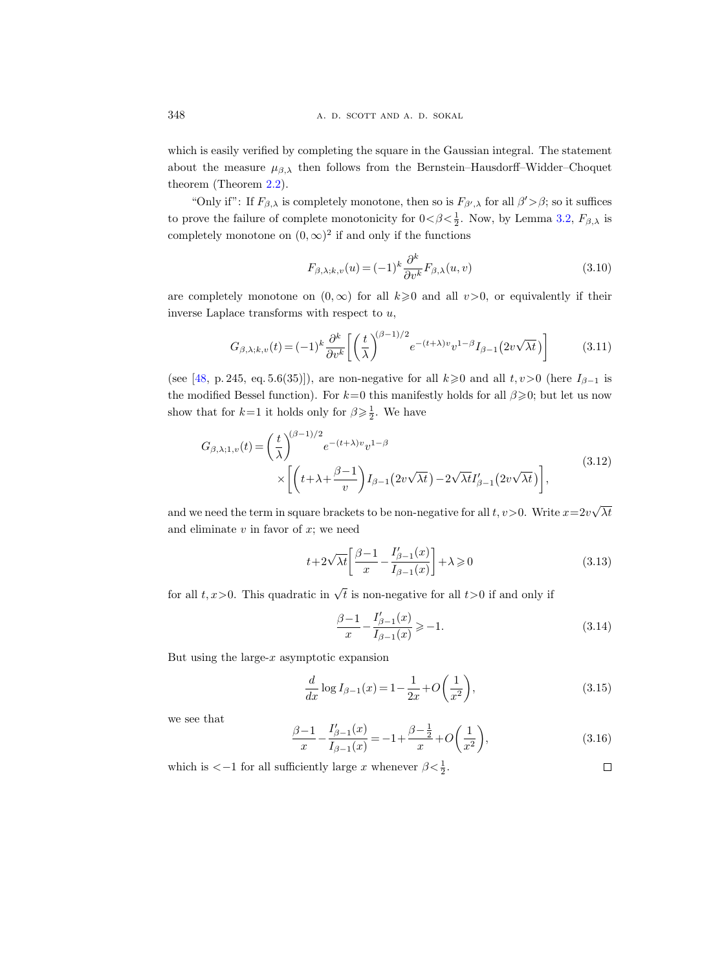which is easily verified by completing the square in the Gaussian integral. The statement about the measure  $\mu_{\beta,\lambda}$  then follows from the Bernstein–Hausdorff–Widder–Choquet theorem (Theorem [2.2\)](#page-17-0).

"Only if": If  $F_{\beta,\lambda}$  is completely monotone, then so is  $F_{\beta',\lambda}$  for all  $\beta' > \beta$ ; so it suffices to prove the failure of complete monotonicity for  $0 < \beta < \frac{1}{2}$ . Now, by Lemma [3.2,](#page-22-1)  $F_{\beta,\lambda}$  is completely monotone on  $(0, \infty)^2$  if and only if the functions

$$
F_{\beta,\lambda;k,v}(u) = (-1)^k \frac{\partial^k}{\partial v^k} F_{\beta,\lambda}(u,v)
$$
\n(3.10)

are completely monotone on  $(0, \infty)$  for all  $k \geq 0$  and all  $v > 0$ , or equivalently if their inverse Laplace transforms with respect to  $u$ ,

$$
G_{\beta,\lambda;k,v}(t) = (-1)^k \frac{\partial^k}{\partial v^k} \left[ \left( \frac{t}{\lambda} \right)^{(\beta-1)/2} e^{-(t+\lambda)v} v^{1-\beta} I_{\beta-1} \left( 2v \sqrt{\lambda t} \right) \right] \tag{3.11}
$$

(see [\[48,](#page-65-13) p. 245, eq. 5.6(35)]), are non-negative for all  $k\geq 0$  and all  $t, v>0$  (here  $I_{\beta-1}$  is the modified Bessel function). For  $k=0$  this manifestly holds for all  $\beta \geqslant 0$ ; but let us now show that for  $k=1$  it holds only for  $\beta \geq \frac{1}{2}$ . We have

$$
G_{\beta,\lambda;1,v}(t) = \left(\frac{t}{\lambda}\right)^{(\beta-1)/2} e^{-(t+\lambda)v} v^{1-\beta}
$$
  
 
$$
\times \left[ \left(t+\lambda+\frac{\beta-1}{v}\right) I_{\beta-1} \left(2v\sqrt{\lambda t}\right) - 2\sqrt{\lambda t} I'_{\beta-1} \left(2v\sqrt{\lambda t}\right) \right],
$$
 (3.12)

and we need the term in square brackets to be non-negative for all  $t, v>0$ . Write  $x=2v$ √  $\lambda t$ and eliminate  $v$  in favor of  $x$ ; we need

$$
t + 2\sqrt{\lambda t} \left[ \frac{\beta - 1}{x} - \frac{I'_{\beta - 1}(x)}{I_{\beta - 1}(x)} \right] + \lambda \geqslant 0 \tag{3.13}
$$

for all  $t, x > 0$ . This quadratic in  $\sqrt{t}$  is non-negative for all  $t > 0$  if and only if

$$
\frac{\beta - 1}{x} - \frac{I'_{\beta - 1}(x)}{I_{\beta - 1}(x)} \ge -1.
$$
\n(3.14)

But using the large- $x$  asymptotic expansion

$$
\frac{d}{dx}\log I_{\beta-1}(x) = 1 - \frac{1}{2x} + O\left(\frac{1}{x^2}\right),\tag{3.15}
$$

we see that

$$
\frac{\beta - 1}{x} - \frac{I'_{\beta - 1}(x)}{I_{\beta - 1}(x)} = -1 + \frac{\beta - \frac{1}{2}}{x} + O\left(\frac{1}{x^2}\right),\tag{3.16}
$$

which is  $<-1$  for all sufficiently large x whenever  $\beta < \frac{1}{2}$ .  $\Box$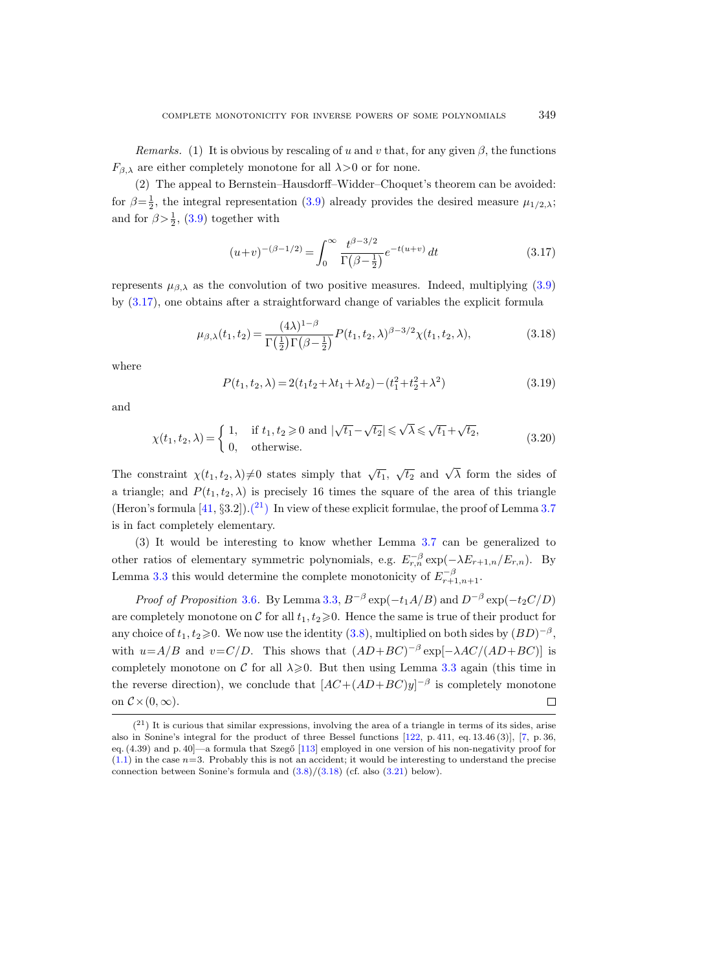Remarks. (1) It is obvious by rescaling of u and v that, for any given  $\beta$ , the functions  $F_{\beta,\lambda}$  are either completely monotone for all  $\lambda > 0$  or for none.

(2) The appeal to Bernstein–Hausdorff–Widder–Choquet's theorem can be avoided: for  $\beta = \frac{1}{2}$ , the integral representation [\(3.9\)](#page-24-1) already provides the desired measure  $\mu_{1/2,\lambda}$ ; and for  $\beta > \frac{1}{2}$ , [\(3.9\)](#page-24-1) together with

<span id="page-26-0"></span>
$$
(u+v)^{-(\beta-1/2)} = \int_0^\infty \frac{t^{\beta-3/2}}{\Gamma(\beta - \frac{1}{2})} e^{-t(u+v)} dt
$$
\n(3.17)

represents  $\mu_{\beta,\lambda}$  as the convolution of two positive measures. Indeed, multiplying [\(3.9\)](#page-24-1) by [\(3.17\)](#page-26-0), one obtains after a straightforward change of variables the explicit formula

<span id="page-26-2"></span>
$$
\mu_{\beta,\lambda}(t_1, t_2) = \frac{(4\lambda)^{1-\beta}}{\Gamma(\frac{1}{2})\Gamma(\beta - \frac{1}{2})} P(t_1, t_2, \lambda)^{\beta - 3/2} \chi(t_1, t_2, \lambda),
$$
\n(3.18)

where

$$
P(t_1, t_2, \lambda) = 2(t_1 t_2 + \lambda t_1 + \lambda t_2) - (t_1^2 + t_2^2 + \lambda^2)
$$
\n(3.19)

and

$$
\chi(t_1, t_2, \lambda) = \begin{cases} 1, & \text{if } t_1, t_2 \ge 0 \text{ and } |\sqrt{t_1} - \sqrt{t_2}| \le \sqrt{\lambda} \le \sqrt{t_1} + \sqrt{t_2}, \\ 0, & \text{otherwise.} \end{cases} \tag{3.20}
$$

The constraint  $\chi(t_1, t_2, \lambda) \neq 0$  states simply that  $\sqrt{t_1}$ ,  $\sqrt{t_2}$  and  $\sqrt{\lambda}$  form the sides of a triangle; and  $P(t_1, t_2, \lambda)$  is precisely 16 times the square of the area of this triangle (Heron's formula  $[41, \S 3.2]$ ). $(21)$  In view of these explicit formulae, the proof of Lemma [3.7](#page-24-2) is in fact completely elementary.

(3) It would be interesting to know whether Lemma [3.7](#page-24-2) can be generalized to other ratios of elementary symmetric polynomials, e.g.  $E_{r,n}^{-\beta} \exp(-\lambda E_{r+1,n}/E_{r,n})$ . By Lemma [3.3](#page-23-0) this would determine the complete monotonicity of  $E_{r+1,n+1}^{-\beta}$ .

*Proof of Proposition* [3.6](#page-24-0). By Lemma [3.3,](#page-23-0)  $B^{-\beta}$  exp( $-t_1A/B$ ) and  $D^{-\beta}$  exp( $-t_2C/D$ ) are completely monotone on C for all  $t_1, t_2 \geq 0$ . Hence the same is true of their product for any choice of  $t_1, t_2 \geq 0$ . We now use the identity [\(3.8\)](#page-24-3), multiplied on both sides by  $(BD)^{-\beta}$ , with  $u = A/B$  and  $v = C/D$ . This shows that  $(AD + BC)^{-\beta} \exp[-\lambda AC/(AD + BC)]$  is completely monotone on C for all  $\lambda \geqslant 0$ . But then using Lemma [3.3](#page-23-0) again (this time in the reverse direction), we conclude that  $[AC+(AD+BC)y]^{-\beta}$  is completely monotone on  $\mathcal{C}\times(0,\infty)$ .  $\Box$ 

<span id="page-26-1"></span> $(2<sup>1</sup>)$  It is curious that similar expressions, involving the area of a triangle in terms of its sides, arise also in Sonine's integral for the product of three Bessel functions [\[122,](#page-69-0) p. 411, eq. 13.46 (3)], [\[7,](#page-63-2) p. 36, eq. (4.39) and p. 40]—a formula that Szegő [\[113\]](#page-68-0) employed in one version of his non-negativity proof for  $(1.1)$  in the case  $n=3$ . Probably this is not an accident; it would be interesting to understand the precise connection between Sonine's formula and  $(3.8)/(3.18)$  $(3.8)/(3.18)$  $(3.8)/(3.18)$  (cf. also  $(3.21)$  below).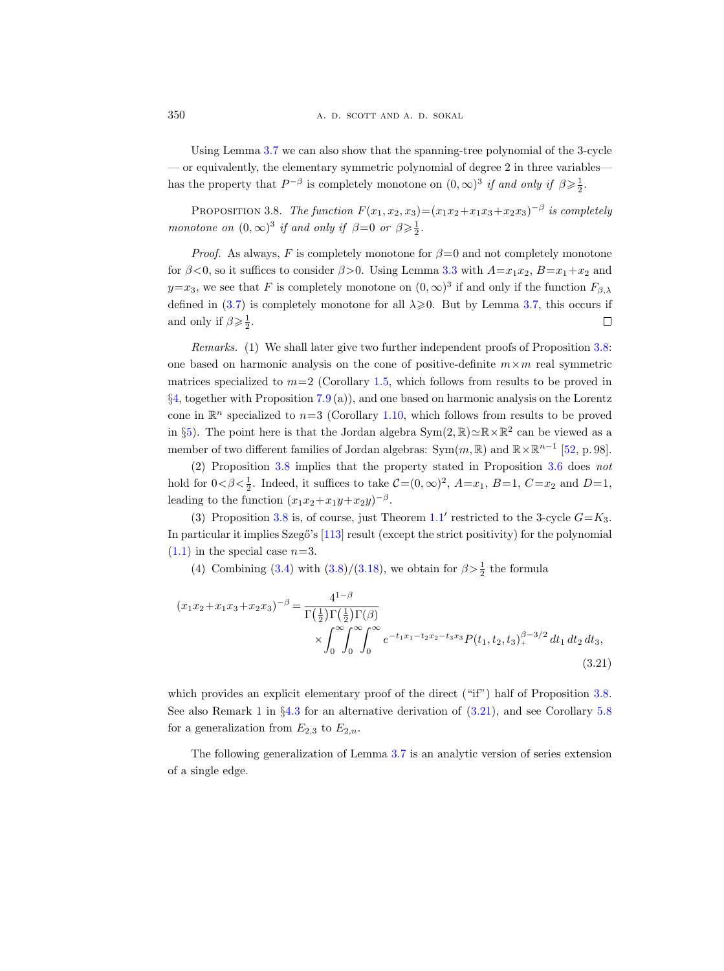350 **a. d. d. scott and a. d. sokal** 

Using Lemma [3.7](#page-24-2) we can also show that the spanning-tree polynomial of the 3-cycle — or equivalently, the elementary symmetric polynomial of degree  $2$  in three variables has the property that  $P^{-\beta}$  is completely monotone on  $(0, \infty)^3$  if and only if  $\beta \geq \frac{1}{2}$ .

<span id="page-27-1"></span>PROPOSITION 3.8. The function  $F(x_1, x_2, x_3) = (x_1x_2 + x_1x_3 + x_2x_3)^{-\beta}$  is completely monotone on  $(0, \infty)^3$  if and only if  $\beta = 0$  or  $\beta \geq \frac{1}{2}$ .

*Proof.* As always, F is completely monotone for  $\beta=0$  and not completely monotone for  $\beta < 0$ , so it suffices to consider  $\beta > 0$ . Using Lemma [3.3](#page-23-0) with  $A = x_1x_2$ ,  $B = x_1 + x_2$  and  $y=x_3$ , we see that F is completely monotone on  $(0, \infty)^3$  if and only if the function  $F_{\beta,\lambda}$ defined in [\(3.7\)](#page-24-4) is completely monotone for all  $\lambda \geqslant 0$ . But by Lemma [3.7,](#page-24-2) this occurs if and only if  $\beta \geqslant \frac{1}{2}$ .  $\Box$ 

Remarks. (1) We shall later give two further independent proofs of Proposition [3.8:](#page-27-1) one based on harmonic analysis on the cone of positive-definite  $m \times m$  real symmetric matrices specialized to  $m=2$  (Corollary [1.5,](#page-5-3) which follows from results to be proved in §[4,](#page-28-0) together with Proposition [7.9](#page-55-1) (a)), and one based on harmonic analysis on the Lorentz cone in  $\mathbb{R}^n$  specialized to  $n=3$  (Corollary [1.10,](#page-10-1) which follows from results to be proved in §[5\)](#page-38-0). The point here is that the Jordan algebra  $Sym(2, \mathbb{R}) \simeq \mathbb{R} \times \mathbb{R}^2$  can be viewed as a member of two different families of Jordan algebras:  $Sym(m, \mathbb{R})$  and  $\mathbb{R} \times \mathbb{R}^{n-1}$  [\[52,](#page-65-0) p. 98].

(2) Proposition [3.8](#page-27-1) implies that the property stated in Proposition [3.6](#page-24-0) does not hold for  $0 < \beta < \frac{1}{2}$ . Indeed, it suffices to take  $C = (0, \infty)^2$ ,  $A = x_1$ ,  $B = 1$ ,  $C = x_2$  and  $D = 1$ , leading to the function  $(x_1x_2+x_1y+x_2y)^{-\beta}$ .

(3) Proposition [3.8](#page-27-1) is, of course, just Theorem [1.1](#page-2-1)' restricted to the 3-cycle  $G=K_3$ . In particular it implies Szegő's [\[113\]](#page-68-0) result (except the strict positivity) for the polynomial  $(1.1)$  in the special case  $n=3$ .

(4) Combining [\(3.4\)](#page-23-1) with [\(3.8\)](#page-24-3)/[\(3.18\)](#page-26-2), we obtain for  $\beta > \frac{1}{2}$  the formula

<span id="page-27-0"></span>
$$
(x_1x_2 + x_1x_3 + x_2x_3)^{-\beta} = \frac{4^{1-\beta}}{\Gamma(\frac{1}{2})\Gamma(\frac{1}{2})\Gamma(\beta)} \times \int_0^\infty \int_0^\infty \int_0^\infty e^{-t_1x_1 - t_2x_2 - t_3x_3} P(t_1, t_2, t_3)_+^{\beta - 3/2} dt_1 dt_2 dt_3,
$$
\n(3.21)

which provides an explicit elementary proof of the direct ("if") half of Proposition [3.8.](#page-27-1) See also Remark 1 in §[4.3](#page-32-0) for an alternative derivation of [\(3.21\)](#page-27-0), and see Corollary [5.8](#page-47-2) for a generalization from  $E_{2,3}$  to  $E_{2,n}$ .

<span id="page-27-2"></span>The following generalization of Lemma [3.7](#page-24-2) is an analytic version of series extension of a single edge.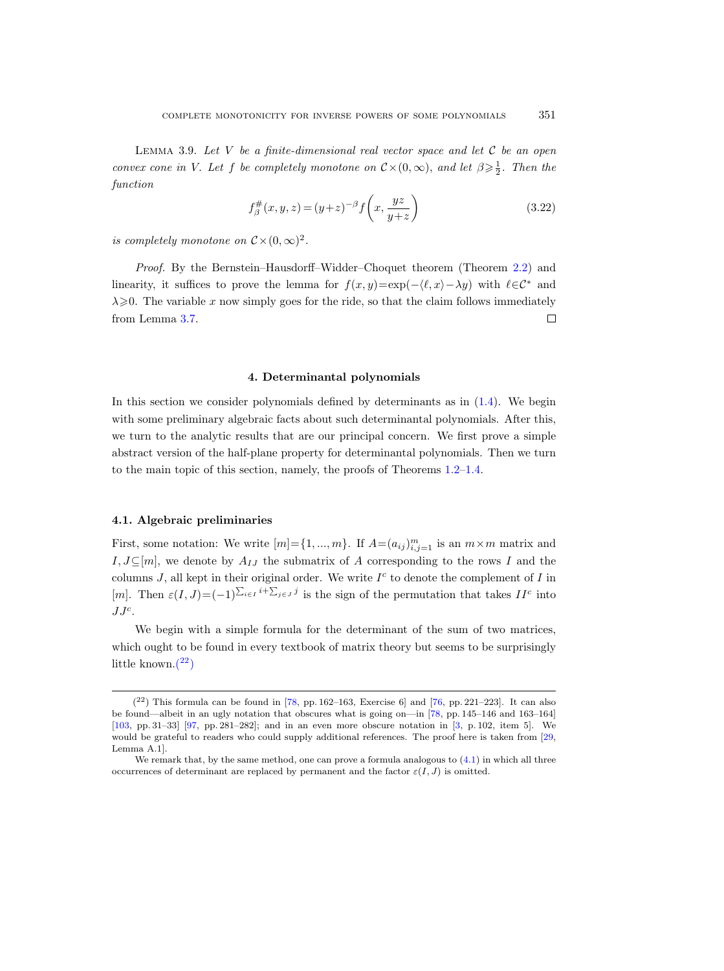LEMMA 3.9. Let  $V$  be a finite-dimensional real vector space and let  $C$  be an open convex cone in V. Let f be completely monotone on  $C \times (0, \infty)$ , and let  $\beta \geq \frac{1}{2}$ . Then the function

$$
f_{\beta}^{\#}(x, y, z) = (y+z)^{-\beta} f\left(x, \frac{yz}{y+z}\right)
$$
 (3.22)

is completely monotone on  $\mathcal{C} \times (0, \infty)^2$ .

Proof. By the Bernstein–Hausdorff–Widder–Choquet theorem (Theorem [2.2\)](#page-17-0) and linearity, it suffices to prove the lemma for  $f(x, y) = \exp(-\langle \ell, x \rangle - \lambda y)$  with  $\ell \in \mathcal{C}^*$  and  $\lambda \geqslant 0$ . The variable x now simply goes for the ride, so that the claim follows immediately from Lemma [3.7.](#page-24-2)  $\Box$ 

#### 4. Determinantal polynomials

<span id="page-28-0"></span>In this section we consider polynomials defined by determinants as in  $(1.4)$ . We begin with some preliminary algebraic facts about such determinantal polynomials. After this, we turn to the analytic results that are our principal concern. We first prove a simple abstract version of the half-plane property for determinantal polynomials. Then we turn to the main topic of this section, namely, the proofs of Theorems [1.2](#page-3-1)[–1.4.](#page-4-0)

### <span id="page-28-1"></span>4.1. Algebraic preliminaries

First, some notation: We write  $[m] = \{1, ..., m\}$ . If  $A = (a_{ij})_{i,j=1}^m$  is an  $m \times m$  matrix and I,  $J\subseteq[m]$ , we denote by  $A_{IJ}$  the submatrix of A corresponding to the rows I and the columns  $J$ , all kept in their original order. We write  $I<sup>c</sup>$  to denote the complement of  $I$  in [m]. Then  $\varepsilon(I,J) = (-1)^{\sum_{i \in I} i + \sum_{j \in J} j}$  is the sign of the permutation that takes  $II^c$  into  $JJ^c$ .

We begin with a simple formula for the determinant of the sum of two matrices, which ought to be found in every textbook of matrix theory but seems to be surprisingly little known[.\(](#page-28-2) <sup>22</sup>)

<span id="page-28-3"></span><span id="page-28-2"></span> $(2^2)$  This formula can be found in [\[78,](#page-67-12) pp. 162–163, Exercise 6] and [\[76,](#page-67-13) pp. 221–223]. It can also be found—albeit in an ugly notation that obscures what is going on—in [\[78,](#page-67-12) pp. 145–146 and 163–164] [\[103,](#page-68-17) pp. 31–33] [\[97,](#page-67-14) pp. 281–282]; and in an even more obscure notation in [\[3,](#page-63-4) p. 102, item 5]. We would be grateful to readers who could supply additional references. The proof here is taken from [\[29,](#page-64-13) Lemma A.1].

We remark that, by the same method, one can prove a formula analogous to  $(4.1)$  in which all three occurrences of determinant are replaced by permanent and the factor  $\varepsilon(I, J)$  is omitted.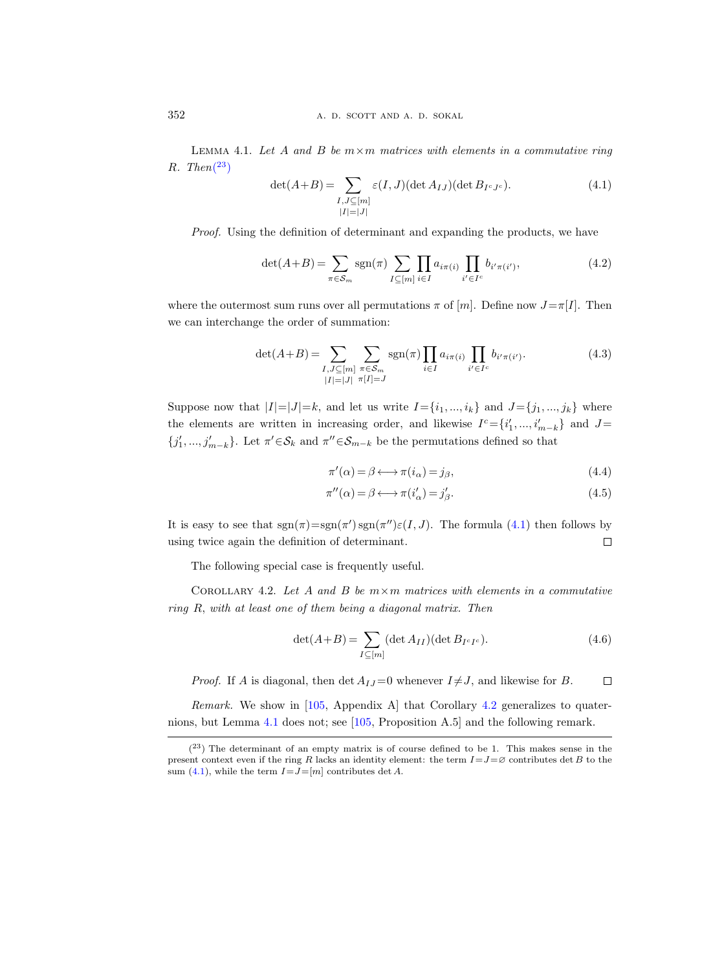LEMMA 4.1. Let A and B be  $m \times m$  matrices with elements in a commutative ring  $R.$  Then $(^{23})$  $(^{23})$  $(^{23})$ 

<span id="page-29-0"></span>
$$
\det(A+B) = \sum_{\substack{I,J \subseteq [m] \\ |I|=|J|}} \varepsilon(I,J)(\det A_{IJ})(\det B_{I^cJ^c}).\tag{4.1}
$$

Proof. Using the definition of determinant and expanding the products, we have

$$
\det(A+B) = \sum_{\pi \in \mathcal{S}_m} \text{sgn}(\pi) \sum_{I \subseteq [m]} \prod_{i \in I} a_{i\pi(i)} \prod_{i' \in I^c} b_{i'\pi(i')},\tag{4.2}
$$

where the outermost sum runs over all permutations  $\pi$  of  $[m]$ . Define now  $J=\pi[I]$ . Then we can interchange the order of summation:

$$
\det(A+B) = \sum_{\substack{I,J \subseteq [m] \\ |I|=|J|}} \sum_{\substack{\pi \in S_m \\ \pi[I]=J}} \text{sgn}(\pi) \prod_{i \in I} a_{i\pi(i)} \prod_{i' \in I^c} b_{i'\pi(i')}.
$$
\n(4.3)

Suppose now that  $|I|=|J|=k$ , and let us write  $I=\{i_1, ..., i_k\}$  and  $J=\{j_1, ..., j_k\}$  where the elements are written in increasing order, and likewise  $I^c = \{i'_1, ..., i'_{m-k}\}\$ and  $J=$  ${j'_1, ..., j'_{m-k}}$ . Let  $\pi' \in S_k$  and  $\pi'' \in S_{m-k}$  be the permutations defined so that

$$
\pi'(\alpha) = \beta \longleftrightarrow \pi(i_{\alpha}) = j_{\beta},\tag{4.4}
$$

$$
\pi''(\alpha) = \beta \longleftrightarrow \pi(i'_{\alpha}) = j'_{\beta}.
$$
\n(4.5)

It is easy to see that  $sgn(\pi) = sgn(\pi')sgn(\pi'')\epsilon(I, J)$ . The formula [\(4.1\)](#page-29-0) then follows by using twice again the definition of determinant.  $\Box$ 

The following special case is frequently useful.

<span id="page-29-2"></span>COROLLARY 4.2. Let A and B be  $m \times m$  matrices with elements in a commutative ring R, with at least one of them being a diagonal matrix. Then

$$
\det(A+B) = \sum_{I \subseteq [m]} (\det A_{II})(\det B_{I^c I^c}).\tag{4.6}
$$

*Proof.* If A is diagonal, then det  $A_{IJ} = 0$  whenever  $I \neq J$ , and likewise for B.  $\Box$ 

Remark. We show in [\[105,](#page-68-5) Appendix A] that Corollary [4.2](#page-29-2) generalizes to quaternions, but Lemma [4.1](#page-28-3) does not; see [\[105,](#page-68-5) Proposition A.5] and the following remark.

<span id="page-29-1"></span> $(23)$  The determinant of an empty matrix is of course defined to be 1. This makes sense in the present context even if the ring R lacks an identity element: the term  $I=J=\varnothing$  contributes det B to the sum [\(4.1\)](#page-29-0), while the term  $I = J = [m]$  contributes det A.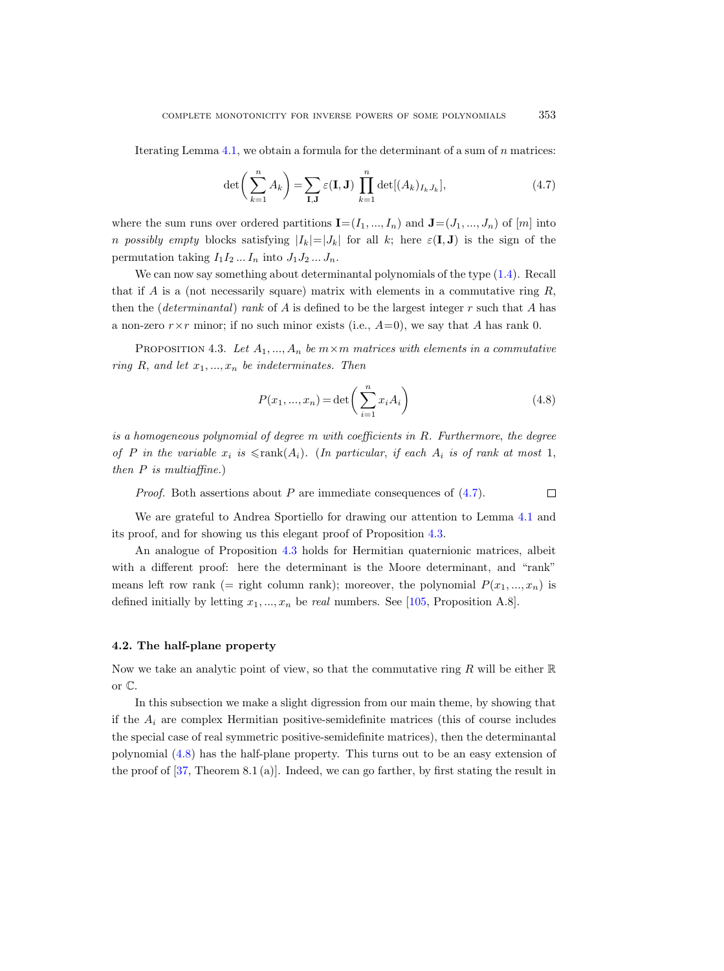Iterating Lemma  $4.1$ , we obtain a formula for the determinant of a sum of n matrices:

<span id="page-30-2"></span>
$$
\det\left(\sum_{k=1}^{n} A_k\right) = \sum_{\mathbf{I},\mathbf{J}} \varepsilon(\mathbf{I},\mathbf{J}) \prod_{k=1}^{n} \det[(A_k)_{I_k} J_k],\tag{4.7}
$$

where the sum runs over ordered partitions  $\mathbf{I}=(I_1, ..., I_n)$  and  $\mathbf{J}=(J_1, ..., J_n)$  of  $[m]$  into n possibly empty blocks satisfying  $|I_k|=|J_k|$  for all k; here  $\varepsilon(I, J)$  is the sign of the permutation taking  $I_1I_2...I_n$  into  $J_1J_2...J_n$ .

We can now say something about determinantal polynomials of the type  $(1.4)$ . Recall that if A is a (not necessarily square) matrix with elements in a commutative ring  $R$ , then the (*determinantal*) rank of A is defined to be the largest integer r such that A has a non-zero  $r \times r$  minor; if no such minor exists (i.e.,  $A=0$ ), we say that A has rank 0.

<span id="page-30-1"></span>PROPOSITION 4.3. Let  $A_1, ..., A_n$  be  $m \times m$  matrices with elements in a commutative ring R, and let  $x_1, ..., x_n$  be indeterminates. Then

<span id="page-30-3"></span>
$$
P(x_1, ..., x_n) = \det\left(\sum_{i=1}^n x_i A_i\right)
$$
\n(4.8)

is a homogeneous polynomial of degree  $m$  with coefficients in  $R$ . Furthermore, the degree of P in the variable  $x_i$  is  $\leq$ rank $(A_i)$ . (In particular, if each  $A_i$  is of rank at most 1, then  $P$  is multiaffine.)

*Proof.* Both assertions about P are immediate consequences of  $(4.7)$ .  $\Box$ 

We are grateful to Andrea Sportiello for drawing our attention to Lemma [4.1](#page-28-3) and its proof, and for showing us this elegant proof of Proposition [4.3.](#page-30-1)

An analogue of Proposition [4.3](#page-30-1) holds for Hermitian quaternionic matrices, albeit with a different proof: here the determinant is the Moore determinant, and "rank" means left row rank (= right column rank); moreover, the polynomial  $P(x_1, ..., x_n)$  is defined initially by letting  $x_1, ..., x_n$  be real numbers. See [\[105,](#page-68-5) Proposition A.8].

# <span id="page-30-0"></span>4.2. The half-plane property

Now we take an analytic point of view, so that the commutative ring R will be either  $\mathbb R$ or C.

In this subsection we make a slight digression from our main theme, by showing that if the  $A_i$  are complex Hermitian positive-semidefinite matrices (this of course includes the special case of real symmetric positive-semidefinite matrices), then the determinantal polynomial [\(4.8\)](#page-30-3) has the half-plane property. This turns out to be an easy extension of the proof of  $[37,$  Theorem 8.1 (a)]. Indeed, we can go farther, by first stating the result in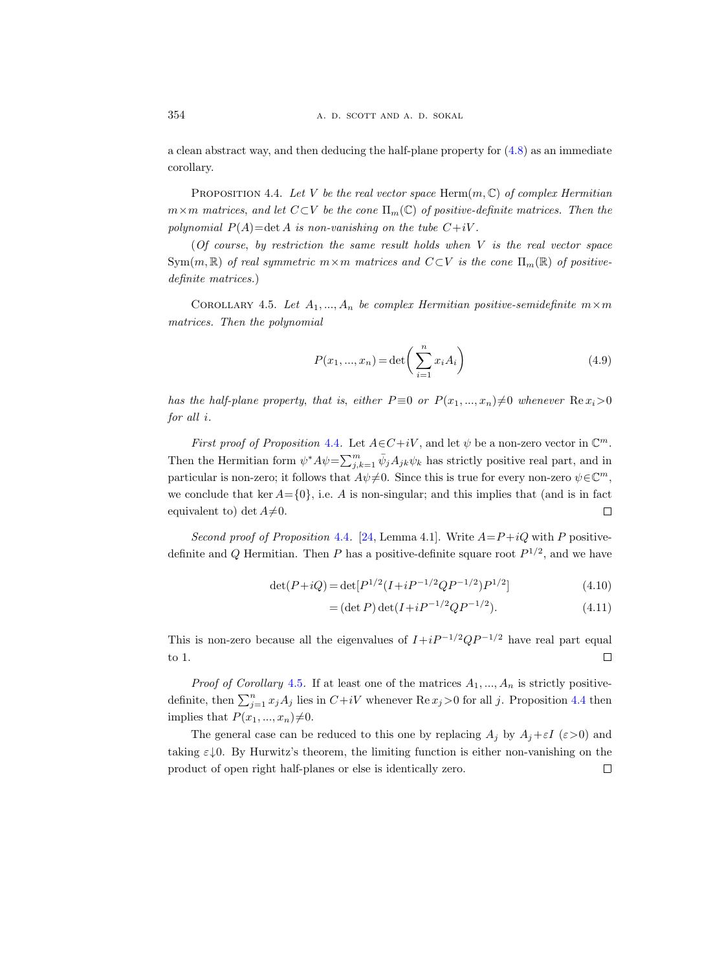a clean abstract way, and then deducing the half-plane property for [\(4.8\)](#page-30-3) as an immediate corollary.

<span id="page-31-1"></span>PROPOSITION 4.4. Let V be the real vector space Herm $(m, \mathbb{C})$  of complex Hermitian  $m \times m$  matrices, and let  $C \subset V$  be the cone  $\Pi_m(\mathbb{C})$  of positive-definite matrices. Then the polynomial  $P(A) = \det A$  is non-vanishing on the tube  $C+iV$ .

(Of course, by restriction the same result holds when  $V$  is the real vector space  $Sym(m, \mathbb{R})$  of real symmetric  $m \times m$  matrices and  $C \subset V$  is the cone  $\Pi_m(\mathbb{R})$  of positivedefinite matrices.)

<span id="page-31-0"></span>COROLLARY 4.5. Let  $A_1, ..., A_n$  be complex Hermitian positive-semidefinite  $m \times m$ matrices. Then the polynomial

<span id="page-31-2"></span>
$$
P(x_1, ..., x_n) = \det\left(\sum_{i=1}^n x_i A_i\right)
$$
\n(4.9)

has the half-plane property, that is, either  $P \equiv 0$  or  $P(x_1, ..., x_n) \neq 0$  whenever  $\text{Re } x_i > 0$ for all i.

First proof of Proposition [4.4](#page-31-1). Let  $A \in C+iV$ , and let  $\psi$  be a non-zero vector in  $\mathbb{C}^m$ . Then the Hermitian form  $\psi^* A \psi = \sum_{j,k=1}^m \bar{\psi}_j A_{jk} \psi_k$  has strictly positive real part, and in particular is non-zero; it follows that  $A\psi\neq0$ . Since this is true for every non-zero  $\psi\in\mathbb{C}^m$ , we conclude that ker  $A = \{0\}$ , i.e. A is non-singular; and this implies that (and is in fact  $\Box$ equivalent to) det  $A\neq 0$ .

Second proof of Proposition [4.4](#page-31-1). [\[24,](#page-64-5) Lemma 4.1]. Write  $A = P + iQ$  with P positivedefinite and Q Hermitian. Then P has a positive-definite square root  $P^{1/2}$ , and we have

$$
\det(P+iQ) = \det[P^{1/2}(I+iP^{-1/2}QP^{-1/2})P^{1/2}]
$$
\n(4.10)

$$
= (\det P) \det(I + iP^{-1/2}QP^{-1/2}). \tag{4.11}
$$

This is non-zero because all the eigenvalues of  $I+iP^{-1/2}QP^{-1/2}$  have real part equal to 1.  $\Box$ 

*Proof of Corollary* [4.5](#page-31-0). If at least one of the matrices  $A_1, ..., A_n$  is strictly positivedefinite, then  $\sum_{j=1}^{n} x_j A_j$  lies in  $C+iV$  whenever  $\text{Re } x_j > 0$  for all j. Proposition [4.4](#page-31-1) then implies that  $P(x_1, ..., x_n) \neq 0$ .

The general case can be reduced to this one by replacing  $A_j$  by  $A_j + \varepsilon I$  ( $\varepsilon > 0$ ) and taking  $\varepsilon \downarrow 0$ . By Hurwitz's theorem, the limiting function is either non-vanishing on the product of open right half-planes or else is identically zero. $\Box$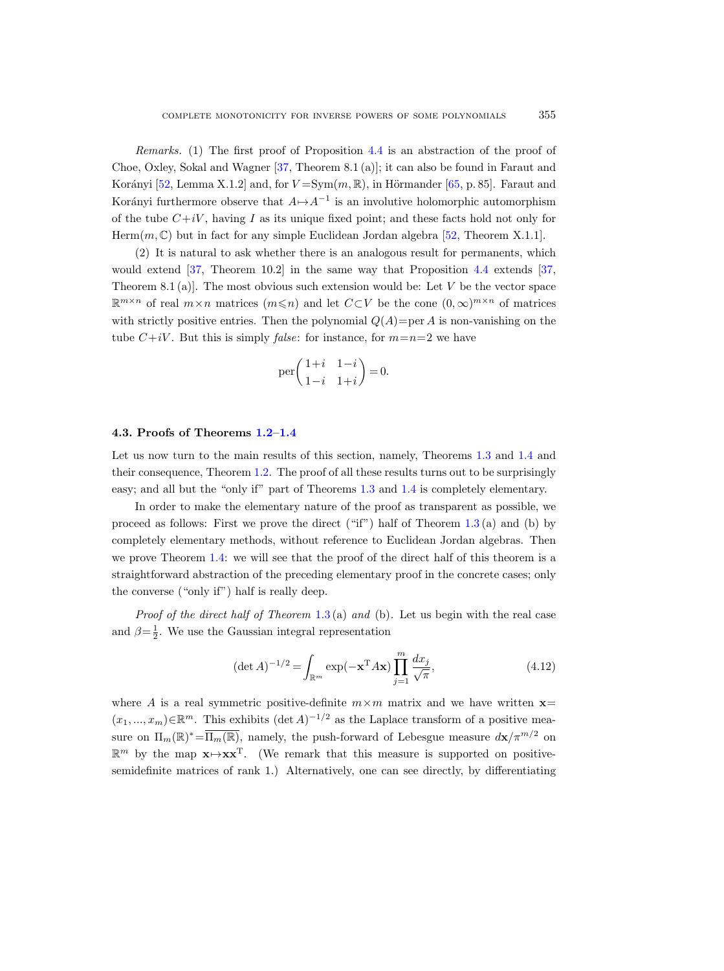Remarks. (1) The first proof of Proposition [4.4](#page-31-1) is an abstraction of the proof of Choe, Oxley, Sokal and Wagner [\[37,](#page-65-2) Theorem 8.1 (a)]; it can also be found in Faraut and Korányi [\[52,](#page-65-0) Lemma X.1.2] and, for  $V = Sym(m, \mathbb{R})$ , in Hörmander [\[65,](#page-66-15) p. 85]. Faraut and Korányi furthermore observe that  $A \mapsto A^{-1}$  is an involutive holomorphic automorphism of the tube  $C+iV$ , having I as its unique fixed point; and these facts hold not only for Herm $(m, \mathbb{C})$  but in fact for any simple Euclidean Jordan algebra [\[52,](#page-65-0) Theorem X.1.1].

(2) It is natural to ask whether there is an analogous result for permanents, which would extend [\[37,](#page-65-2) Theorem 10.2] in the same way that Proposition [4.4](#page-31-1) extends [\[37,](#page-65-2) Theorem 8.1 (a). The most obvious such extension would be: Let  $V$  be the vector space  $\mathbb{R}^{m \times n}$  of real  $m \times n$  matrices  $(m \leq n)$  and let  $C\subset V$  be the cone  $(0, \infty)^{m \times n}$  of matrices with strictly positive entries. Then the polynomial  $Q(A)=\text{per }A$  is non-vanishing on the tube  $C+iV$ . But this is simply *false*: for instance, for  $m=n=2$  we have

$$
\operatorname{per}\left(\begin{matrix} 1+i & 1-i \\ 1-i & 1+i \end{matrix}\right) = 0.
$$

#### <span id="page-32-0"></span>4.3. Proofs of Theorems [1.2–](#page-3-1)[1.4](#page-4-0)

Let us now turn to the main results of this section, namely, Theorems [1.3](#page-4-2) and [1.4](#page-4-0) and their consequence, Theorem [1.2.](#page-3-1) The proof of all these results turns out to be surprisingly easy; and all but the "only if" part of Theorems [1.3](#page-4-2) and [1.4](#page-4-0) is completely elementary.

In order to make the elementary nature of the proof as transparent as possible, we proceed as follows: First we prove the direct ("if") half of Theorem  $1.3$  (a) and (b) by completely elementary methods, without reference to Euclidean Jordan algebras. Then we prove Theorem [1.4:](#page-4-0) we will see that the proof of the direct half of this theorem is a straightforward abstraction of the preceding elementary proof in the concrete cases; only the converse ("only if") half is really deep.

*Proof of the direct half of Theorem* [1.3](#page-4-2) (a) and (b). Let us begin with the real case and  $\beta = \frac{1}{2}$ . We use the Gaussian integral representation

<span id="page-32-1"></span>
$$
(\det A)^{-1/2} = \int_{\mathbb{R}^m} \exp(-\mathbf{x}^{\mathrm{T}} A \mathbf{x}) \prod_{j=1}^m \frac{dx_j}{\sqrt{\pi}},\tag{4.12}
$$

where A is a real symmetric positive-definite  $m \times m$  matrix and we have written  $\mathbf{x} =$  $(x_1, ..., x_m) \in \mathbb{R}^m$ . This exhibits  $(\det A)^{-1/2}$  as the Laplace transform of a positive measure on  $\Pi_m(\mathbb{R})^* = \overline{\Pi_m(\mathbb{R})}$ , namely, the push-forward of Lebesgue measure  $d\mathbf{x}/\pi^{m/2}$  on  $\mathbb{R}^m$  by the map  $\mathbf{x} \mapsto \mathbf{x} \mathbf{x}^T$ . (We remark that this measure is supported on positivesemidefinite matrices of rank 1.) Alternatively, one can see directly, by differentiating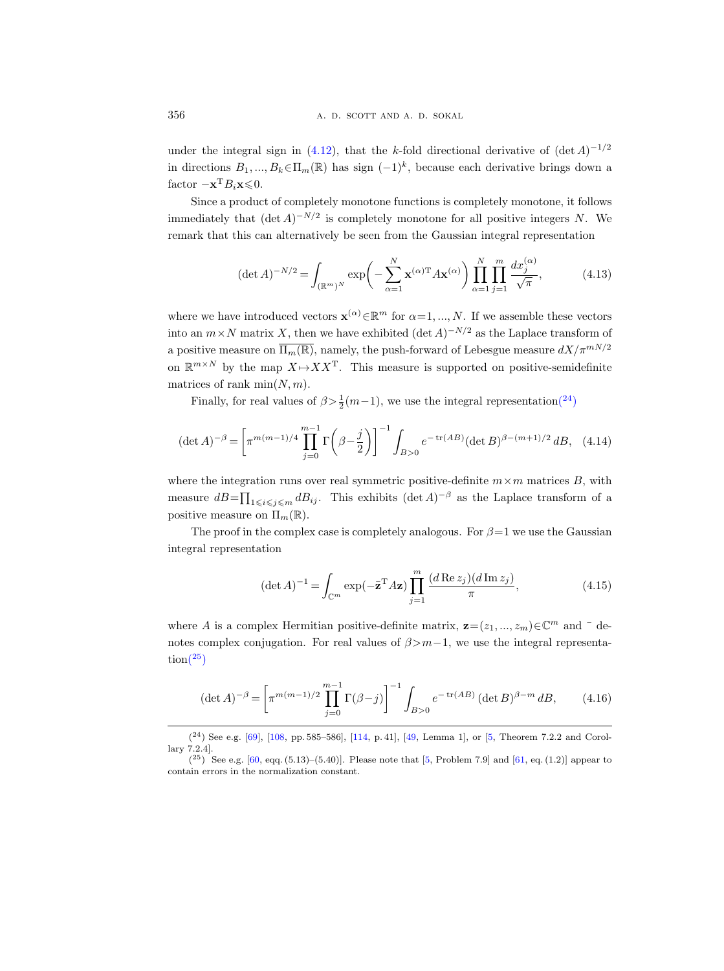under the integral sign in [\(4.12\)](#page-32-1), that the k-fold directional derivative of  $(\det A)^{-1/2}$ in directions  $B_1, ..., B_k \in \Pi_m(\mathbb{R})$  has sign  $(-1)^k$ , because each derivative brings down a factor  $-\mathbf{x}^{\mathrm{T}}B_i\mathbf{x}\leq0$ .

Since a product of completely monotone functions is completely monotone, it follows immediately that  $(\det A)^{-N/2}$  is completely monotone for all positive integers N. We remark that this can alternatively be seen from the Gaussian integral representation

<span id="page-33-4"></span>
$$
(\det A)^{-N/2} = \int_{(\mathbb{R}^m)^N} \exp\left(-\sum_{\alpha=1}^N \mathbf{x}^{(\alpha)T} A \mathbf{x}^{(\alpha)}\right) \prod_{\alpha=1}^N \prod_{j=1}^m \frac{dx_j^{(\alpha)}}{\sqrt{\pi}},\tag{4.13}
$$

where we have introduced vectors  $\mathbf{x}^{(\alpha)} \in \mathbb{R}^m$  for  $\alpha = 1, ..., N$ . If we assemble these vectors into an  $m \times N$  matrix X, then we have exhibited  $(\det A)^{-N/2}$  as the Laplace transform of a positive measure on  $\overline{\Pi_m(\mathbb{R})}$ , namely, the push-forward of Lebesgue measure  $dX/\pi^{mN/2}$ on  $\mathbb{R}^{m \times N}$  by the map  $X \mapsto X X^{T}$ . This measure is supported on positive-semidefinite matrices of rank  $\min(N, m)$ .

Finally, for real values of  $\beta > \frac{1}{2}(m-1)$ , we use the integral representatio[n\(](#page-33-0)<sup>24</sup>)

<span id="page-33-2"></span>
$$
(\det A)^{-\beta} = \left[ \pi^{m(m-1)/4} \prod_{j=0}^{m-1} \Gamma\left(\beta - \frac{j}{2}\right) \right]^{-1} \int_{B>0} e^{-\operatorname{tr}(AB)} (\det B)^{\beta - (m+1)/2} \, dB,\tag{4.14}
$$

where the integration runs over real symmetric positive-definite  $m \times m$  matrices B, with measure  $dB = \prod_{1 \leq i \leq j \leq m} dB_{ij}$ . This exhibits  $(\det A)^{-\beta}$  as the Laplace transform of a positive measure on  $\Pi_m(\mathbb{R})$ .

The proof in the complex case is completely analogous. For  $\beta = 1$  we use the Gaussian integral representation

<span id="page-33-5"></span>
$$
(\det A)^{-1} = \int_{\mathbb{C}^m} \exp(-\bar{\mathbf{z}}^{\mathrm{T}} A \mathbf{z}) \prod_{j=1}^m \frac{(d \operatorname{Re} z_j)(d \operatorname{Im} z_j)}{\pi},\tag{4.15}
$$

where A is a complex Hermitian positive-definite matrix,  $\mathbf{z} = (z_1, ..., z_m) \in \mathbb{C}^m$  and  $\bar{z}$  denotes complex conjugation. For real values of  $\beta > m-1$ , we use the integral representa- $\text{tion}(\overline{25})$ 

<span id="page-33-3"></span>
$$
(\det A)^{-\beta} = \left[ \pi^{m(m-1)/2} \prod_{j=0}^{m-1} \Gamma(\beta - j) \right]^{-1} \int_{B>0} e^{-\operatorname{tr}(AB)} \left( \det B \right)^{\beta - m} dB, \tag{4.16}
$$

<span id="page-33-0"></span> $(2^4)$  See e.g. [\[69\]](#page-66-16), [\[108,](#page-68-18) pp. 585–586], [\[114,](#page-68-19) p. 41], [\[49,](#page-65-15) Lemma 1], or [\[5,](#page-63-5) Theorem 7.2.2 and Corollary 7.2.4].

<span id="page-33-1"></span> $(25)$  See e.g. [\[60,](#page-66-17) eqq. (5.13)–(5.40)]. Please note that [\[5,](#page-63-5) Problem 7.9] and [\[61,](#page-66-18) eq. (1.2)] appear to contain errors in the normalization constant.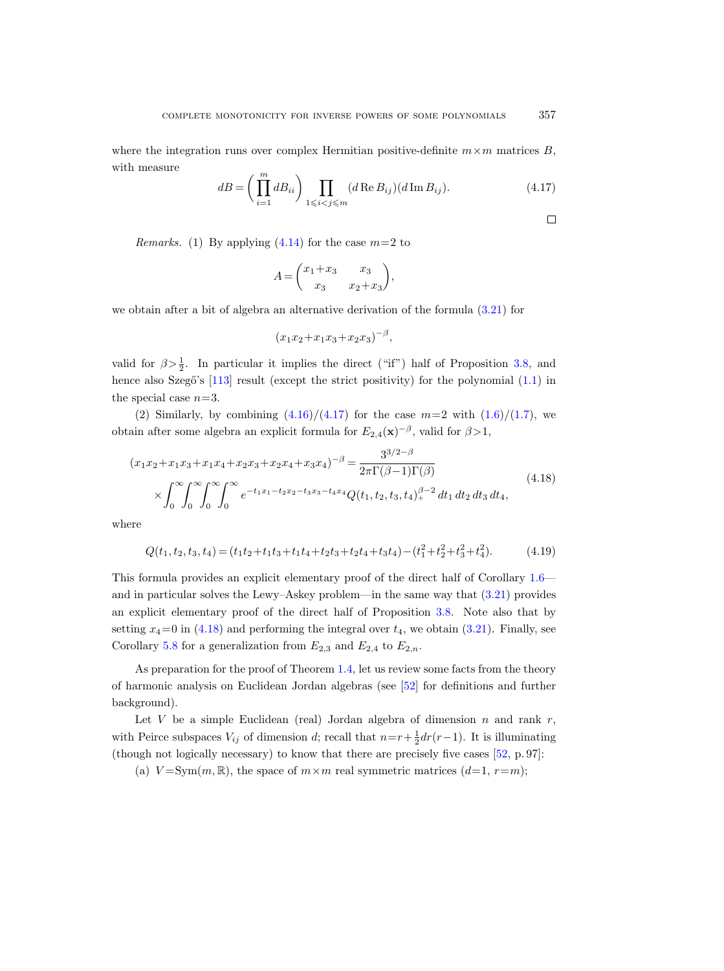where the integration runs over complex Hermitian positive-definite  $m \times m$  matrices B, with measure

<span id="page-34-1"></span>
$$
dB = \left(\prod_{i=1}^{m} dB_{ii}\right) \prod_{1 \leq i < j \leq m} (d \operatorname{Re} B_{ij})(d \operatorname{Im} B_{ij}).\tag{4.17}
$$

*Remarks.* (1) By applying  $(4.14)$  for the case  $m=2$  to

$$
A = \begin{pmatrix} x_1 + x_3 & x_3 \\ x_3 & x_2 + x_3 \end{pmatrix},
$$

we obtain after a bit of algebra an alternative derivation of the formula [\(3.21\)](#page-27-0) for

$$
(x_1x_2 + x_1x_3 + x_2x_3)^{-\beta},
$$

valid for  $\beta > \frac{1}{2}$ . In particular it implies the direct ("if") half of Proposition [3.8,](#page-27-1) and hence also Szegő's  $[113]$  result (except the strict positivity) for the polynomial  $(1.1)$  in the special case  $n=3$ .

(2) Similarly, by combining  $(4.16)/(4.17)$  $(4.16)/(4.17)$  for the case  $m=2$  with  $(1.6)/(1.7)$  $(1.6)/(1.7)$ , we obtain after some algebra an explicit formula for  $E_{2,4}(\mathbf{x})^{-\beta}$ , valid for  $\beta > 1$ ,

<span id="page-34-0"></span>
$$
(x_1x_2 + x_1x_3 + x_1x_4 + x_2x_3 + x_2x_4 + x_3x_4)^{-\beta} = \frac{3^{3/2-\beta}}{2\pi\Gamma(\beta-1)\Gamma(\beta)}
$$
  
\$\times \int\_0^\infty \int\_0^\infty \int\_0^\infty \int\_0^\infty e^{-t\_1x\_1 - t\_2x\_2 - t\_3x\_3 - t\_4x\_4} Q(t\_1, t\_2, t\_3, t\_4)^{\beta-2} dt\_1 dt\_2 dt\_3 dt\_4, \qquad (4.18)\$

where

$$
Q(t_1, t_2, t_3, t_4) = (t_1t_2 + t_1t_3 + t_1t_4 + t_2t_3 + t_2t_4 + t_3t_4) - (t_1^2 + t_2^2 + t_3^2 + t_4^2). \tag{4.19}
$$

This formula provides an explicit elementary proof of the direct half of Corollary [1.6](#page-6-0) and in particular solves the Lewy–Askey problem—in the same way that [\(3.21\)](#page-27-0) provides an explicit elementary proof of the direct half of Proposition [3.8.](#page-27-1) Note also that by setting  $x_4=0$  in [\(4.18\)](#page-34-0) and performing the integral over  $t_4$ , we obtain [\(3.21\)](#page-27-0). Finally, see Corollary [5.8](#page-47-2) for a generalization from  $E_{2,3}$  and  $E_{2,4}$  to  $E_{2,n}$ .

As preparation for the proof of Theorem [1.4,](#page-4-0) let us review some facts from the theory of harmonic analysis on Euclidean Jordan algebras (see [\[52\]](#page-65-0) for definitions and further background).

Let  $V$  be a simple Euclidean (real) Jordan algebra of dimension  $n$  and rank  $r$ , with Peirce subspaces  $V_{ij}$  of dimension d; recall that  $n=r+\frac{1}{2}dr(r-1)$ . It is illuminating (though not logically necessary) to know that there are precisely five cases [\[52,](#page-65-0) p. 97]:

(a)  $V = Sym(m, \mathbb{R})$ , the space of  $m \times m$  real symmetric matrices  $(d=1, r=m)$ ;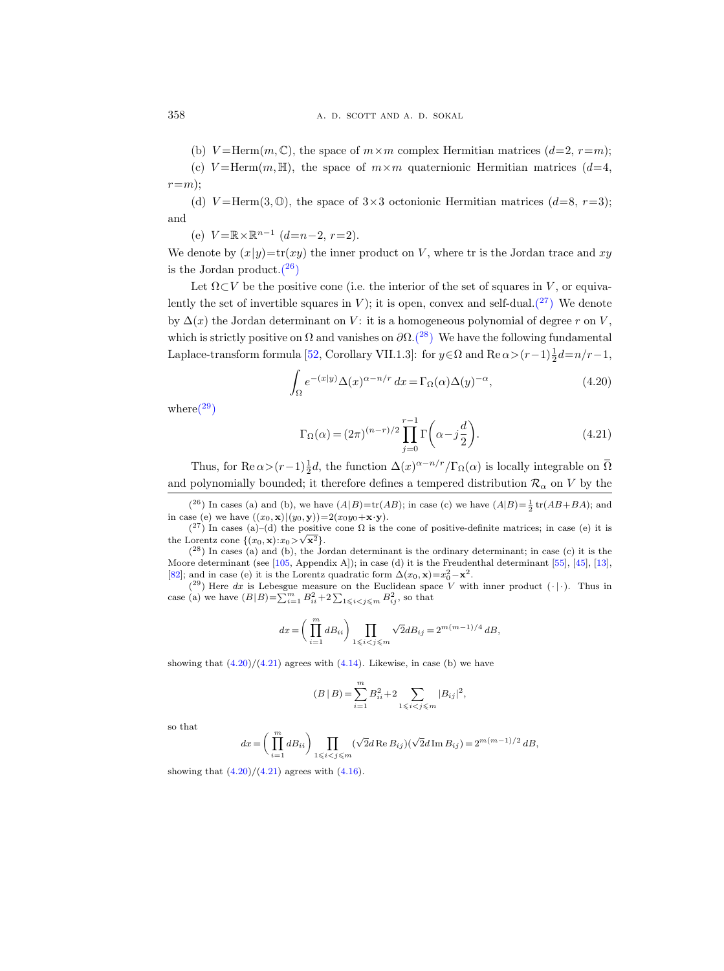(b)  $V = \text{Herm}(m, \mathbb{C})$ , the space of  $m \times m$  complex Hermitian matrices  $(d=2, r=m);$ 

(c)  $V = \text{Herm}(m, \mathbb{H})$ , the space of  $m \times m$  quaternionic Hermitian matrices  $(d=4,$  $r=m$ :

(d)  $V = \text{Herm}(3, \mathbb{O})$ , the space of  $3 \times 3$  octonionic Hermitian matrices  $(d=8, r=3)$ ; and

(e)  $V = \mathbb{R} \times \mathbb{R}^{n-1}$   $(d=n-2, r=2)$ .

We denote by  $(x|y) = \text{tr}(xy)$  the inner product on V, where tr is the Jordan trace and xy is the Jordan product. $(26)$ 

Let  $\Omega \subset V$  be the positive cone (i.e. the interior of the set of squares in V, or equivalently the set of invertible squares in V); it is open, convex and self-dual. $\binom{27}{7}$  We denote by  $\Delta(x)$  the Jordan determinant on V: it is a homogeneous polynomial of degree r on V, which is strictly positive on  $\Omega$  and vanishes on  $\partial\Omega$ .<sup>(28</sup>) We have the following fundamental Laplace-transform formula [\[52,](#page-65-0) Corollary VII.1.3]: for  $y \in \Omega$  and  $\text{Re}\,\alpha > (r-1)\frac{1}{2}d = n/r - 1$ ,

<span id="page-35-4"></span>
$$
\int_{\Omega} e^{-(x|y)} \Delta(x)^{\alpha - n/r} dx = \Gamma_{\Omega}(\alpha) \Delta(y)^{-\alpha},\tag{4.20}
$$

where  $(29)$ 

<span id="page-35-5"></span>
$$
\Gamma_{\Omega}(\alpha) = (2\pi)^{(n-r)/2} \prod_{j=0}^{r-1} \Gamma\left(\alpha - j\frac{d}{2}\right).
$$
 (4.21)

Thus, for  $\text{Re}\,\alpha > (r-1)\frac{1}{2}d$ , the function  $\Delta(x)^{\alpha-n/r}/\Gamma_{\Omega}(\alpha)$  is locally integrable on  $\overline{\Omega}$ and polynomially bounded; it therefore defines a tempered distribution  $\mathcal{R}_{\alpha}$  on V by the

<span id="page-35-0"></span> $(2^6)$  In cases (a) and (b), we have  $(A|B)=tr(AB)$ ; in case (c) we have  $(A|B)=\frac{1}{2}tr(AB+BA)$ ; and in case (e) we have  $((x_0, \mathbf{x})|(y_0, \mathbf{y}))=2(x_0y_0+\mathbf{x}\cdot\mathbf{y})$ .

<span id="page-35-1"></span> $({}^{27})$  In cases (a)–(d) the positive cone  $\Omega$  is the cone of positive-definite matrices; in case (e) it is the Lorentz cone  $\{(x_0, \mathbf{x}): x_0 > \sqrt{\mathbf{x}^2}\}.$ 

<span id="page-35-2"></span> $(28)$  In cases (a) and (b), the Jordan determinant is the ordinary determinant; in case (c) it is the Moore determinant (see [\[105,](#page-68-5) Appendix A]); in case (d) it is the Freudenthal determinant [\[55\]](#page-66-19), [\[45\]](#page-65-16), [\[13\]](#page-64-14), [\[82\]](#page-67-15); and in case (e) it is the Lorentz quadratic form  $\Delta(x_0, \mathbf{x}) = x_0^2 - \mathbf{x}^2$ .

<span id="page-35-3"></span> $(29)$  Here dx is Lebesgue measure on the Euclidean space V with inner product  $( \cdot | \cdot )$ . Thus in case (a) we have  $(B|B) = \sum_{i=1}^{m} B_{ii}^2 + 2 \sum_{1 \leq i < j \leq m} B_{ij}^2$ , so that

$$
dx = \left(\prod_{i=1}^m dB_{ii}\right) \prod_{1 \leqslant i < j \leqslant m} \sqrt{2} dB_{ij} = 2^{m(m-1)/4} \, dB,
$$

showing that  $(4.20)/(4.21)$  $(4.20)/(4.21)$  $(4.20)/(4.21)$  agrees with  $(4.14)$ . Likewise, in case (b) we have

$$
(B | B) = \sum_{i=1}^{m} B_{ii}^{2} + 2 \sum_{1 \leq i < j \leq m} |B_{ij}|^{2},
$$

so that

$$
dx=\bigg(\prod_{i=1}^m dB_{ii}\bigg)\prod_{1\leqslant i
$$

showing that  $(4.20)/(4.21)$  $(4.20)/(4.21)$  $(4.20)/(4.21)$  agrees with  $(4.16)$ .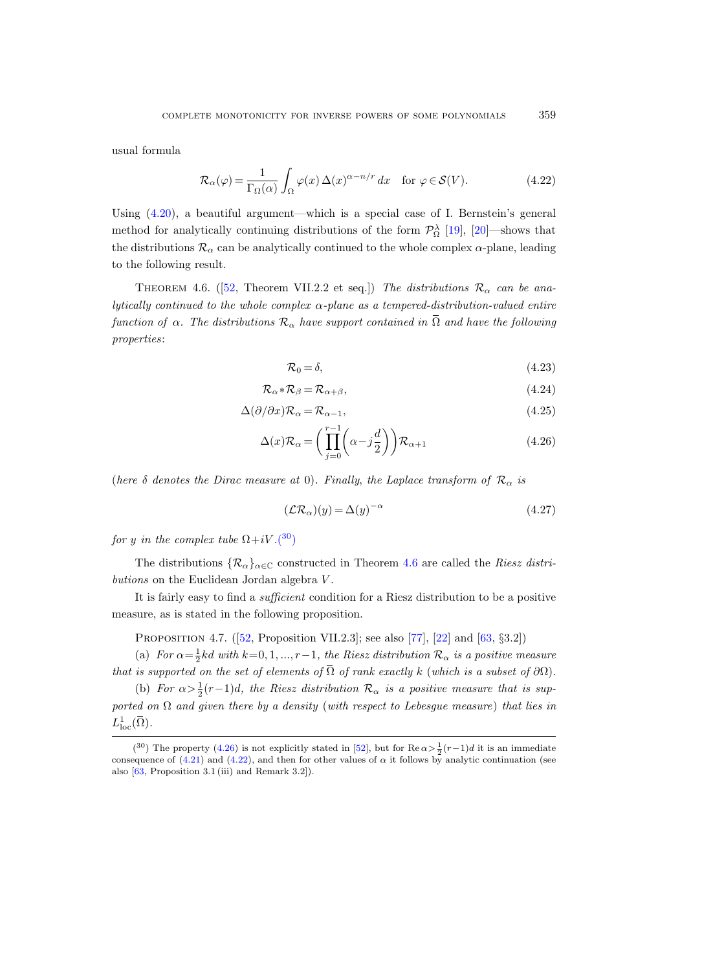usual formula

<span id="page-36-3"></span>
$$
\mathcal{R}_{\alpha}(\varphi) = \frac{1}{\Gamma_{\Omega}(\alpha)} \int_{\Omega} \varphi(x) \,\Delta(x)^{\alpha - n/r} \, dx \quad \text{for } \varphi \in \mathcal{S}(V). \tag{4.22}
$$

Using [\(4.20\)](#page-35-4), a beautiful argument—which is a special case of I. Bernstein's general method for analytically continuing distributions of the form  $\mathcal{P}_{\Omega}^{\lambda}$  [\[19\]](#page-64-15), [\[20\]](#page-64-16)—shows that the distributions  $\mathcal{R}_{\alpha}$  can be analytically continued to the whole complex  $\alpha$ -plane, leading to the following result.

<span id="page-36-1"></span>THEOREM4.6. ([\[52,](#page-65-0) Theorem VII.2.2 et seq.]) The distributions  $\mathcal{R}_{\alpha}$  can be analytically continued to the whole complex  $\alpha$ -plane as a tempered-distribution-valued entire function of  $\alpha$ . The distributions  $\mathcal{R}_{\alpha}$  have support contained in  $\overline{\Omega}$  and have the following properties:

<span id="page-36-2"></span>
$$
\mathcal{R}_0 = \delta,\tag{4.23}
$$

$$
\mathcal{R}_{\alpha} * \mathcal{R}_{\beta} = \mathcal{R}_{\alpha + \beta},\tag{4.24}
$$

$$
\Delta(\partial/\partial x)\mathcal{R}_{\alpha} = \mathcal{R}_{\alpha-1},\tag{4.25}
$$

$$
\Delta(x)\mathcal{R}_{\alpha} = \left(\prod_{j=0}^{r-1} \left(\alpha - j\frac{d}{2}\right)\right)\mathcal{R}_{\alpha+1} \tag{4.26}
$$

(here  $\delta$  denotes the Dirac measure at 0). Finally, the Laplace transform of  $\mathcal{R}_{\alpha}$  is

<span id="page-36-5"></span>
$$
(\mathcal{LR}_{\alpha})(y) = \Delta(y)^{-\alpha} \tag{4.27}
$$

for y in the complex tube  $\Omega+iV.(30)$  $\Omega+iV.(30)$  $\Omega+iV.(30)$ 

The distributions  $\{\mathcal{R}_{\alpha}\}_{{\alpha}\in\mathbb{C}}$  constructed in Theorem [4.6](#page-36-1) are called the *Riesz distri*butions on the Euclidean Jordan algebra V.

It is fairly easy to find a sufficient condition for a Riesz distribution to be a positive measure, as is stated in the following proposition.

<span id="page-36-4"></span>Proposition 4.7.([\[52,](#page-65-0) Proposition VII.2.3]; see also [\[77\]](#page-67-3), [\[22\]](#page-64-17) and [\[63,](#page-66-20) §3.2])

(a) For  $\alpha = \frac{1}{2}kd$  with  $k=0, 1, ..., r-1$ , the Riesz distribution  $\mathcal{R}_{\alpha}$  is a positive measure that is supported on the set of elements of  $\overline{\Omega}$  of rank exactly k (which is a subset of  $\partial\Omega$ ).

(b) For  $\alpha > \frac{1}{2}(r-1)d$ , the Riesz distribution  $\mathcal{R}_{\alpha}$  is a positive measure that is supported on  $\Omega$  and given there by a density (with respect to Lebesgue measure) that lies in  $L^1_{\mathrm{loc}}(\overline{\Omega}).$ 

<span id="page-36-0"></span><sup>(&</sup>lt;sup>30</sup>) The property [\(4.26\)](#page-36-2) is not explicitly stated in [\[52\]](#page-65-0), but for  $\text{Re}\,\alpha > \frac{1}{2}(r-1)d$  it is an immediate consequence of [\(4.21\)](#page-35-5) and [\(4.22\)](#page-36-3), and then for other values of  $\alpha$  it follows by analytic continuation (see also [\[63,](#page-66-20) Proposition 3.1 (iii) and Remark 3.2]).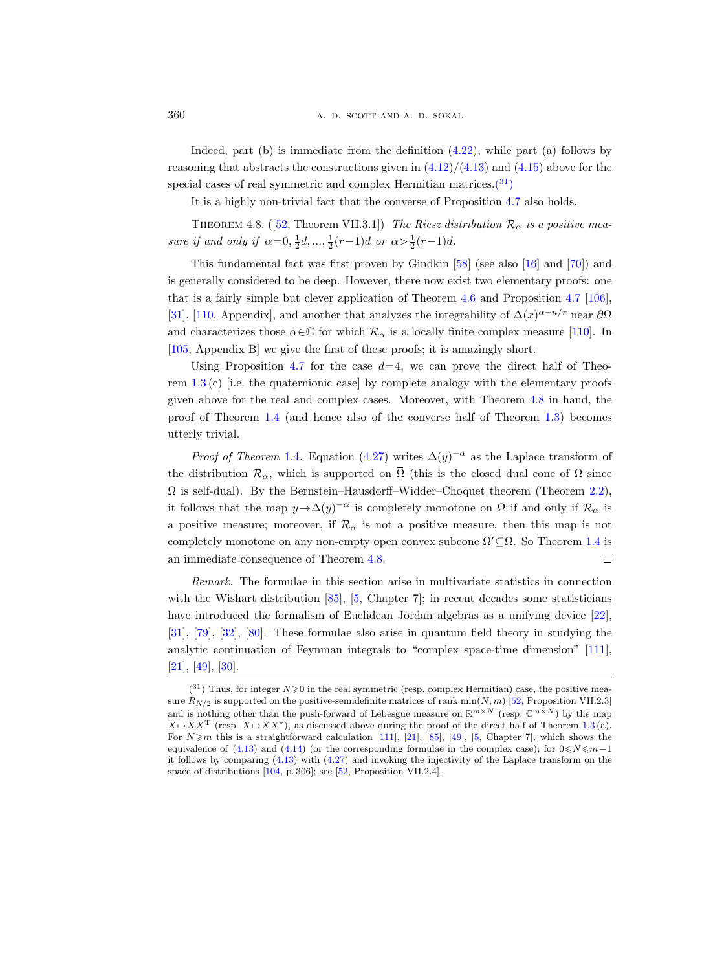Indeed, part  $(b)$  is immediate from the definition  $(4.22)$ , while part  $(a)$  follows by reasoning that abstracts the constructions given in  $(4.12)/(4.13)$  $(4.12)/(4.13)$  and  $(4.15)$  above for the special cases of real symmetric and complex Hermitian matrices. $(31)$ 

It is a highly non-trivial fact that the converse of Proposition [4.7](#page-36-4) also holds.

<span id="page-37-0"></span>THEOREM4.8. ([\[52,](#page-65-0) Theorem VII.3.1]) The Riesz distribution  $\mathcal{R}_{\alpha}$  is a positive measure if and only if  $\alpha = 0, \frac{1}{2}d, ..., \frac{1}{2}(r-1)d$  or  $\alpha > \frac{1}{2}(r-1)d$ .

This fundamental fact was first proven by Gindkin [\[58\]](#page-66-1) (see also [\[16\]](#page-64-3) and [\[70\]](#page-66-2)) and is generally considered to be deep. However, there now exist two elementary proofs: one that is a fairly simple but clever application of Theorem [4.6](#page-36-1) and Proposition [4.7](#page-36-4) [\[106\]](#page-68-2), [\[31\]](#page-65-1), [\[110,](#page-68-3) Appendix], and another that analyzes the integrability of  $\Delta(x)^{\alpha-n/r}$  near  $\partial\Omega$ and characterizes those  $\alpha \in \mathbb{C}$  for which  $\mathcal{R}_{\alpha}$  is a locally finite complex measure [\[110\]](#page-68-3). In [\[105,](#page-68-5) Appendix B] we give the first of these proofs; it is amazingly short.

Using Proposition [4.7](#page-36-4) for the case  $d=4$ , we can prove the direct half of Theorem [1.3](#page-4-2) (c) [i.e. the quaternionic case] by complete analogy with the elementary proofs given above for the real and complex cases. Moreover, with Theorem [4.8](#page-37-0) in hand, the proof of Theorem [1.4](#page-4-0) (and hence also of the converse half of Theorem [1.3\)](#page-4-2) becomes utterly trivial.

*Proof of Theorem* [1.4](#page-4-0). Equation [\(4.27\)](#page-36-5) writes  $\Delta(y)^{-\alpha}$  as the Laplace transform of the distribution  $\mathcal{R}_{\alpha}$ , which is supported on  $\overline{\Omega}$  (this is the closed dual cone of  $\Omega$  since  $\Omega$  is self-dual). By the Bernstein–Hausdorff–Widder–Choquet theorem (Theorem [2.2\)](#page-17-0), it follows that the map  $y \mapsto \Delta(y)^{-\alpha}$  is completely monotone on  $\Omega$  if and only if  $\mathcal{R}_{\alpha}$  is a positive measure; moreover, if  $\mathcal{R}_{\alpha}$  is not a positive measure, then this map is not completely monotone on any non-empty open convex subcone  $\Omega' \subseteq \Omega$ . So Theorem [1.4](#page-4-0) is an immediate consequence of Theorem [4.8.](#page-37-0)  $\Box$ 

Remark. The formulae in this section arise in multivariate statistics in connection with the Wishart distribution  $[85]$ ,  $[5,$  Chapter 7]; in recent decades some statisticians have introduced the formalism of Euclidean Jordan algebras as a unifying device [\[22\]](#page-64-17), [\[31\]](#page-65-1), [\[79\]](#page-67-17), [\[32\]](#page-65-17), [\[80\]](#page-67-18). These formulae also arise in quantum field theory in studying the analytic continuation of Feynman integrals to "complex space-time dimension" [\[111\]](#page-68-20), [\[21\]](#page-64-18), [\[49\]](#page-65-15), [\[30\]](#page-65-18).

<span id="page-37-1"></span> $(31)$  Thus, for integer  $N \geq 0$  in the real symmetric (resp. complex Hermitian) case, the positive measure  $R_{N/2}$  is supported on the positive-semidefinite matrices of rank min $(N, m)$  [\[52,](#page-65-0) Proposition VII.2.3] and is nothing other than the push-forward of Lebesgue measure on  $\mathbb{R}^{m \times N}$  (resp.  $\mathbb{C}^{m \times N}$ ) by the map  $X \mapsto XX^{\mathrm{T}}$  (resp.  $X \mapsto XX^*$ ), as discussed above during the proof of the direct half of Theorem [1.3](#page-4-2) (a). For  $N \ge m$  this is a straightforward calculation [\[111\]](#page-68-20), [\[21\]](#page-64-18), [\[85\]](#page-67-16), [\[49\]](#page-65-15), [\[5,](#page-63-5) Chapter 7], which shows the equivalence of [\(4.13\)](#page-33-4) and [\(4.14\)](#page-33-2) (or the corresponding formulae in the complex case); for  $0 \le N \le m-1$ it follows by comparing [\(4.13\)](#page-33-4) with [\(4.27\)](#page-36-5) and invoking the injectivity of the Laplace transform on the space of distributions [\[104,](#page-68-16) p. 306]; see [\[52,](#page-65-0) Proposition VII.2.4].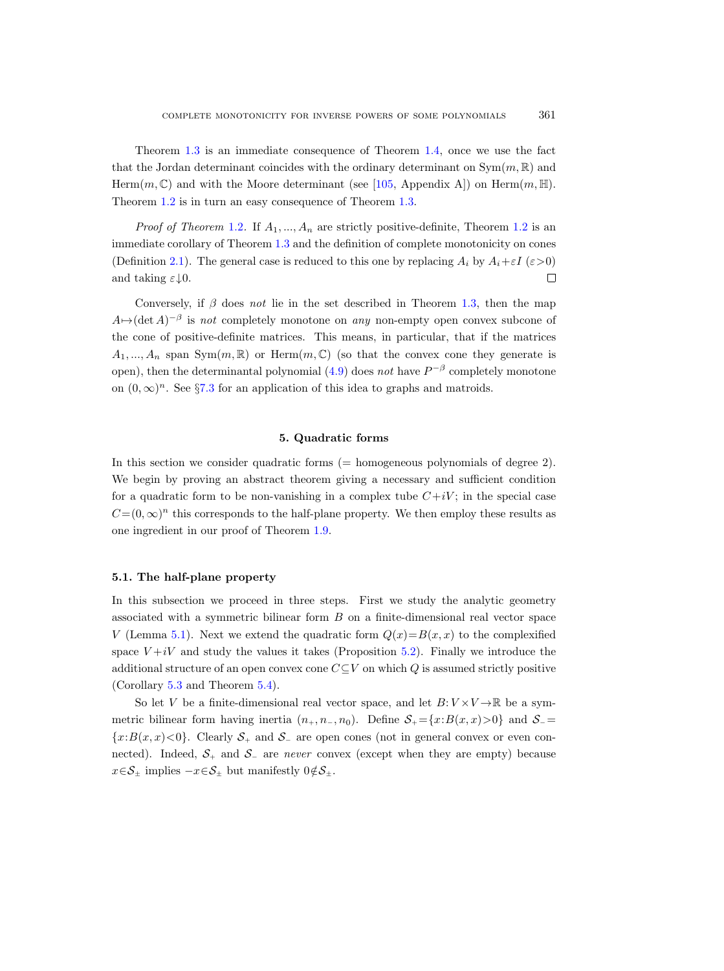Theorem [1.3](#page-4-2) is an immediate consequence of Theorem [1.4,](#page-4-0) once we use the fact that the Jordan determinant coincides with the ordinary determinant on  $Sym(m, \mathbb{R})$  and Herm $(m, \mathbb{C})$  and with the Moore determinant (see [\[105,](#page-68-5) Appendix A]) on Herm $(m, \mathbb{H})$ . Theorem [1.2](#page-3-1) is in turn an easy consequence of Theorem [1.3.](#page-4-2)

*Proof of Theorem* [1.2](#page-3-1). If  $A_1, ..., A_n$  are strictly positive-definite, Theorem 1.2 is an immediate corollary of Theorem [1.3](#page-4-2) and the definition of complete monotonicity on cones (Definition [2.1\)](#page-16-3). The general case is reduced to this one by replacing  $A_i$  by  $A_i + \varepsilon I$  ( $\varepsilon > 0$ ) and taking  $\varepsilon \downarrow 0$ .  $\Box$ 

Conversely, if  $\beta$  does not lie in the set described in Theorem [1.3,](#page-4-2) then the map  $A \mapsto (\det A)^{-\beta}$  is not completely monotone on any non-empty open convex subcone of the cone of positive-definite matrices. This means, in particular, that if the matrices  $A_1, ..., A_n$  span Sym $(m, \mathbb{R})$  or Herm $(m, \mathbb{C})$  (so that the convex cone they generate is open), then the determinantal polynomial  $(4.9)$  does not have  $P^{-\beta}$  completely monotone on  $(0, \infty)^n$ . See §[7.3](#page-55-0) for an application of this idea to graphs and matroids.

# 5. Quadratic forms

<span id="page-38-0"></span>In this section we consider quadratic forms (= homogeneous polynomials of degree 2). We begin by proving an abstract theorem giving a necessary and sufficient condition for a quadratic form to be non-vanishing in a complex tube  $C+iV$ ; in the special case  $C=(0,\infty)^n$  this corresponds to the half-plane property. We then employ these results as one ingredient in our proof of Theorem [1.9.](#page-9-1)

#### <span id="page-38-1"></span>5.1. The half-plane property

In this subsection we proceed in three steps. First we study the analytic geometry associated with a symmetric bilinear form B on a finite-dimensional real vector space V (Lemma [5.1\)](#page-39-0). Next we extend the quadratic form  $Q(x)=B(x, x)$  to the complexified space  $V+iV$  and study the values it takes (Proposition [5.2\)](#page-40-0). Finally we introduce the additional structure of an open convex cone  $C\subseteq V$  on which Q is assumed strictly positive (Corollary [5.3](#page-41-0) and Theorem [5.4\)](#page-42-1).

So let V be a finite-dimensional real vector space, and let  $B: V \times V \rightarrow \mathbb{R}$  be a symmetric bilinear form having inertia  $(n_+, n_-, n_0)$ . Define  $S_+ = \{x : B(x, x) > 0\}$  and  $S_- =$  ${x: B(x, x) < 0}$ . Clearly  $S_+$  and  $S_-$  are open cones (not in general convex or even connected). Indeed,  $S_+$  and  $S_-$  are never convex (except when they are empty) because  $x \in \mathcal{S}_\pm$  implies  $-x \in \mathcal{S}_\pm$  but manifestly  $0 \notin \mathcal{S}_\pm$ .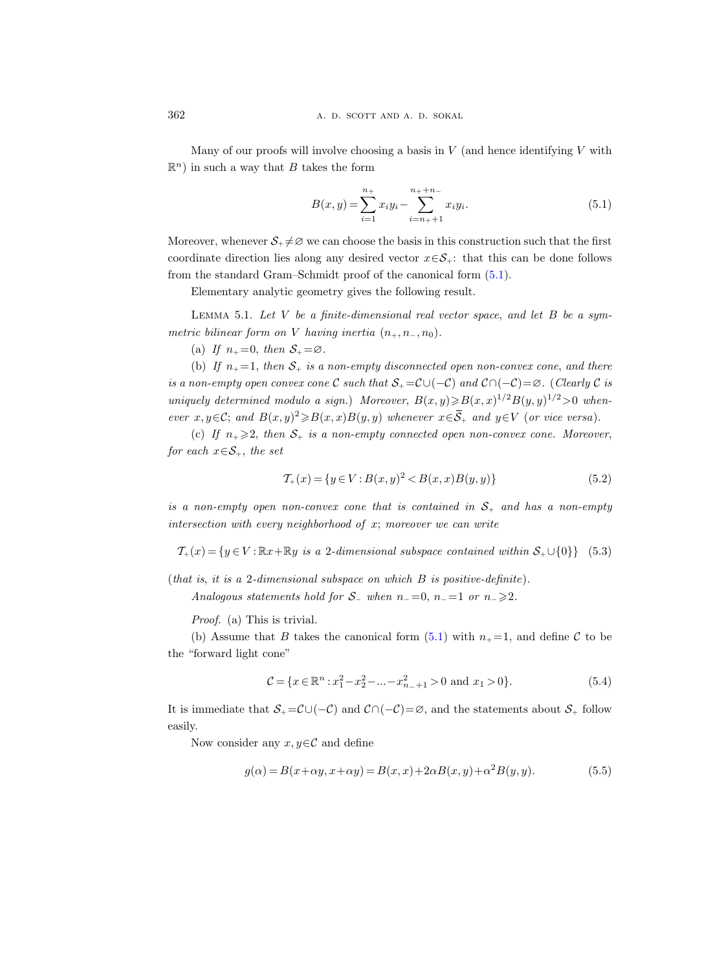Many of our proofs will involve choosing a basis in  $V$  (and hence identifying  $V$  with  $\mathbb{R}^n$ ) in such a way that B takes the form

<span id="page-39-1"></span>
$$
B(x,y) = \sum_{i=1}^{n_+} x_i y_i - \sum_{i=n_++1}^{n_++n_-} x_i y_i.
$$
 (5.1)

Moreover, whenever  $S_+ \neq \emptyset$  we can choose the basis in this construction such that the first coordinate direction lies along any desired vector  $x \in S_{+}$ : that this can be done follows from the standard Gram–Schmidt proof of the canonical form [\(5.1\)](#page-39-1).

Elementary analytic geometry gives the following result.

<span id="page-39-0"></span>LEMMA 5.1. Let  $V$  be a finite-dimensional real vector space, and let  $B$  be a symmetric bilinear form on V having inertia  $(n_+, n_-, n_0)$ .

(a) If  $n_{+}=0$ , then  $S_{+}=\varnothing$ .

(b) If  $n_+ = 1$ , then  $S_+$  is a non-empty disconnected open non-convex cone, and there is a non-empty open convex cone C such that  $S_+ = \mathcal{C} \cup (-\mathcal{C})$  and  $\mathcal{C} \cap (-\mathcal{C}) = \emptyset$ . (Clearly C is uniquely determined modulo a sign.) Moreover,  $B(x,y) \ge B(x,x)^{1/2}B(y,y)^{1/2} > 0$  whenever  $x, y \in \mathcal{C}$ ; and  $B(x, y)^2 \ge B(x, x)B(y, y)$  whenever  $x \in \overline{\mathcal{S}}_+$  and  $y \in V$  (or vice versa).

(c) If  $n_+ \geq 2$ , then  $S_+$  is a non-empty connected open non-convex cone. Moreover, for each  $x \in S_+$ , the set

$$
\mathcal{T}_{+}(x) = \{ y \in V : B(x, y)^{2} < B(x, x)B(y, y) \} \tag{5.2}
$$

is a non-empty open non-convex cone that is contained in  $S_+$  and has a non-empty intersection with every neighborhood of x; moreover we can write

 $\mathcal{T}_+(x) = \{y \in V : \mathbb{R}x + \mathbb{R}y \text{ is a 2-dimensional subspace contained within } \mathcal{S}_+ \cup \{0\}\}\$  (5.3)

(that is, it is a 2-dimensional subspace on which  $B$  is positive-definite).

Analogous statements hold for  $S_$  when  $n_-=0$ ,  $n_-=1$  or  $n_-\geq 2$ .

Proof. (a) This is trivial.

(b) Assume that B takes the canonical form  $(5.1)$  with  $n_{+} = 1$ , and define C to be the "forward light cone"

<span id="page-39-2"></span>
$$
\mathcal{C} = \{x \in \mathbb{R}^n : x_1^2 - x_2^2 - \dots - x_{n-1}^2 > 0 \text{ and } x_1 > 0\}.\tag{5.4}
$$

It is immediate that  $S_+ = \mathcal{C} \cup (-\mathcal{C})$  and  $\mathcal{C} \cap (-\mathcal{C}) = \emptyset$ , and the statements about  $S_+$  follow easily.

Now consider any  $x, y \in \mathcal{C}$  and define

$$
g(\alpha) = B(x + \alpha y, x + \alpha y) = B(x, x) + 2\alpha B(x, y) + \alpha^2 B(y, y). \tag{5.5}
$$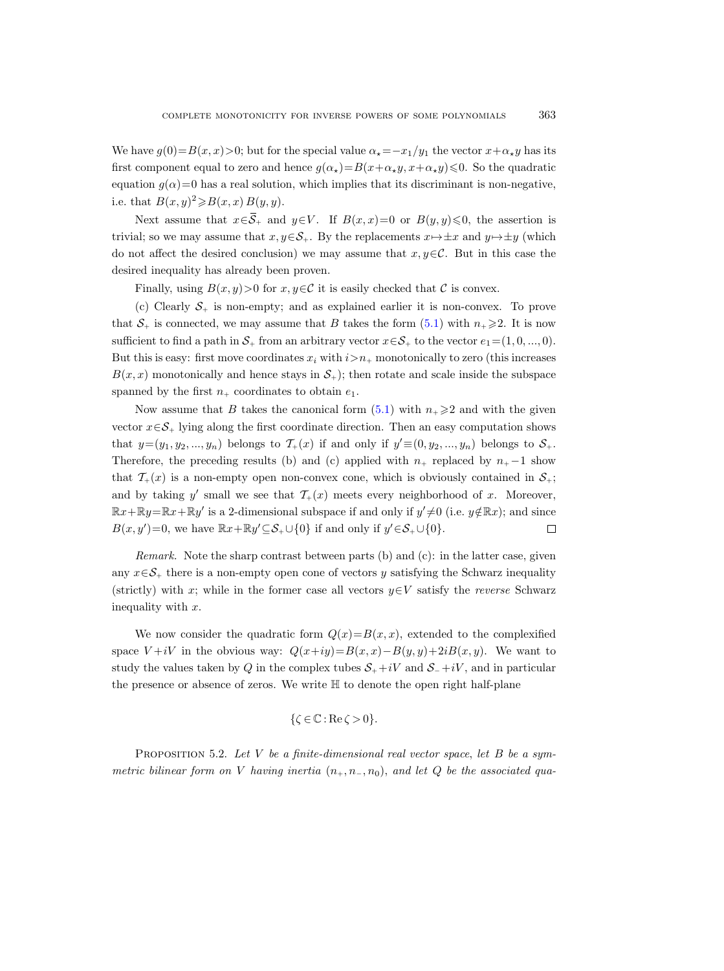We have  $g(0)=B(x, x)>0$ ; but for the special value  $\alpha_*=-x_1/y_1$  the vector  $x+\alpha_*y$  has its first component equal to zero and hence  $g(\alpha_{\star})=B(x+\alpha_{\star}y, x+\alpha_{\star}y)\leq 0$ . So the quadratic equation  $g(\alpha)=0$  has a real solution, which implies that its discriminant is non-negative, i.e. that  $B(x, y)^2 \ge B(x, x) B(y, y)$ .

Next assume that  $x \in \overline{S}_+$  and  $y \in V$ . If  $B(x, x)=0$  or  $B(y, y) \leq 0$ , the assertion is trivial; so we may assume that  $x, y \in S_+$ . By the replacements  $x \mapsto \pm x$  and  $y \mapsto \pm y$  (which do not affect the desired conclusion) we may assume that  $x, y \in \mathcal{C}$ . But in this case the desired inequality has already been proven.

Finally, using  $B(x, y) > 0$  for  $x, y \in \mathcal{C}$  it is easily checked that  $\mathcal C$  is convex.

(c) Clearly  $S_+$  is non-empty; and as explained earlier it is non-convex. To prove that  $S_+$  is connected, we may assume that B takes the form [\(5.1\)](#page-39-1) with  $n_+ \geq 2$ . It is now sufficient to find a path in  $S_+$  from an arbitrary vector  $x \in S_+$  to the vector  $e_1 = (1, 0, ..., 0)$ . But this is easy: first move coordinates  $x_i$  with  $i>n_+$  monotonically to zero (this increases  $B(x, x)$  monotonically and hence stays in  $S<sub>+</sub>$ ; then rotate and scale inside the subspace spanned by the first  $n_+$  coordinates to obtain  $e_1$ .

Now assume that B takes the canonical form  $(5.1)$  with  $n_+ \geqslant 2$  and with the given vector  $x \in \mathcal{S}_+$  lying along the first coordinate direction. Then an easy computation shows that  $y=(y_1, y_2, ..., y_n)$  belongs to  $\mathcal{T}_+(x)$  if and only if  $y' \equiv (0, y_2, ..., y_n)$  belongs to  $\mathcal{S}_+$ . Therefore, the preceding results (b) and (c) applied with  $n_+$  replaced by  $n_+ - 1$  show that  $\mathcal{T}_{+}(x)$  is a non-empty open non-convex cone, which is obviously contained in  $\mathcal{S}_{+}$ ; and by taking y' small we see that  $\mathcal{T}_+(x)$  meets every neighborhood of x. Moreover,  $\mathbb{R}x + \mathbb{R}y = \mathbb{R}x + \mathbb{R}y'$  is a 2-dimensional subspace if and only if  $y' \neq 0$  (i.e.  $y \notin \mathbb{R}x$ ); and since  $B(x, y') = 0$ , we have  $\mathbb{R}x + \mathbb{R}y' \subseteq S_+ \cup \{0\}$  if and only if  $y' \in S_+ \cup \{0\}$ .  $\Box$ 

*Remark.* Note the sharp contrast between parts (b) and (c): in the latter case, given any  $x \in \mathcal{S}_+$  there is a non-empty open cone of vectors y satisfying the Schwarz inequality (strictly) with x; while in the former case all vectors  $y \in V$  satisfy the *reverse* Schwarz inequality with x.

We now consider the quadratic form  $Q(x)=B(x, x)$ , extended to the complexified space  $V + iV$  in the obvious way:  $Q(x+iy) = B(x, x) - B(y, y) + 2iB(x, y)$ . We want to study the values taken by Q in the complex tubes  $S_+ + iV$  and  $S_- + iV$ , and in particular the presence or absence of zeros. We write H to denote the open right half-plane

$$
\{\zeta \in \mathbb{C} : \text{Re}\,\zeta > 0\}.
$$

<span id="page-40-0"></span>PROPOSITION 5.2. Let  $V$  be a finite-dimensional real vector space, let  $B$  be a symmetric bilinear form on V having inertia  $(n_+, n_-, n_0)$ , and let Q be the associated qua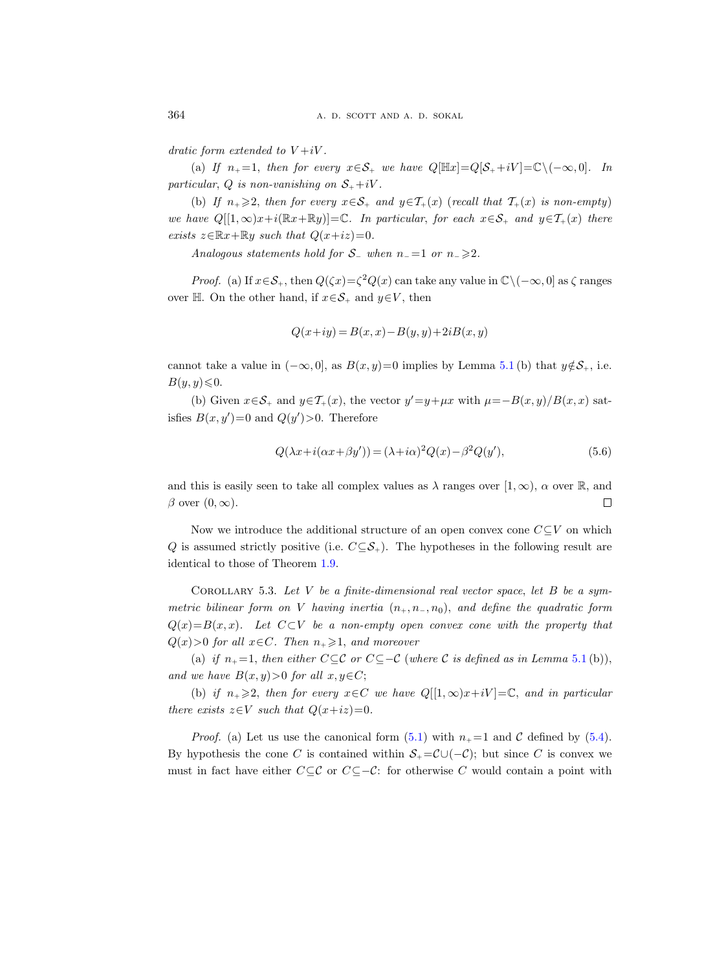dratic form extended to  $V+iV$ .

(a) If  $n_+ = 1$ , then for every  $x \in S_+$  we have  $Q[\mathbb{H}x] = Q[S_+ + iV] = \mathbb{C} \setminus (-\infty, 0].$  In particular, Q is non-vanishing on  $S_+ + iV$ .

(b) If  $n_+ \geq 2$ , then for every  $x \in S_+$  and  $y \in T_+(x)$  (recall that  $T_+(x)$  is non-empty) we have  $Q[[1,\infty)x+i(\mathbb{R}x+\mathbb{R}y)]=\mathbb{C}$ . In particular, for each  $x \in \mathcal{S}_+$  and  $y \in \mathcal{T}_+(x)$  there exists  $z \in \mathbb{R}x + \mathbb{R}y$  such that  $Q(x+iz)=0$ .

Analogous statements hold for  $S_$  when  $n_$  =1 or  $n_$  >2.

*Proof.* (a) If  $x \in S_+$ , then  $Q(\zeta x) = \zeta^2 Q(x)$  can take any value in  $\mathbb{C} \setminus (-\infty, 0]$  as  $\zeta$  ranges over H. On the other hand, if  $x \in S_+$  and  $y \in V$ , then

$$
Q(x+iy) = B(x,x) - B(y,y) + 2iB(x,y)
$$

cannot take a value in  $(-\infty, 0]$ , as  $B(x, y)=0$  implies by Lemma [5.1](#page-39-0) (b) that  $y \notin S_+$ , i.e.  $B(y, y) \leq 0.$ 

(b) Given  $x \in S_+$  and  $y \in T_+(x)$ , the vector  $y' = y + \mu x$  with  $\mu = -B(x, y)/B(x, x)$  satisfies  $B(x, y') = 0$  and  $Q(y') > 0$ . Therefore

$$
Q(\lambda x + i(\alpha x + \beta y')) = (\lambda + i\alpha)^2 Q(x) - \beta^2 Q(y'),\tag{5.6}
$$

and this is easily seen to take all complex values as  $\lambda$  ranges over  $[1,\infty)$ ,  $\alpha$  over  $\mathbb{R}$ , and  $\beta$  over  $(0, \infty)$ .  $\Box$ 

Now we introduce the additional structure of an open convex cone  $C\subseteq V$  on which Q is assumed strictly positive (i.e.  $C \subseteq S_+$ ). The hypotheses in the following result are identical to those of Theorem [1.9.](#page-9-1)

<span id="page-41-0"></span>COROLLARY 5.3. Let  $V$  be a finite-dimensional real vector space, let  $B$  be a symmetric bilinear form on V having inertia  $(n_{+}, n_{-}, n_{0})$ , and define the quadratic form  $Q(x)=B(x, x)$ . Let  $C\subset V$  be a non-empty open convex cone with the property that  $Q(x) > 0$  for all  $x \in C$ . Then  $n_+ \geq 1$ , and moreover

(a) if  $n_{+}=1$ , then either  $C \subseteq \mathcal{C}$  or  $C \subseteq -\mathcal{C}$  (where  $\mathcal{C}$  is defined as in Lemma [5.1](#page-39-0)(b)), and we have  $B(x, y) > 0$  for all  $x, y \in C$ ;

(b) if  $n_+ \geq 2$ , then for every  $x \in C$  we have  $Q[[1,\infty)x+iV] = \mathbb{C}$ , and in particular there exists  $z \in V$  such that  $Q(x+iz)=0$ .

*Proof.* (a) Let us use the canonical form [\(5.1\)](#page-39-1) with  $n_{+} = 1$  and C defined by [\(5.4\)](#page-39-2). By hypothesis the cone C is contained within  $S_+ = \mathcal{C} \cup (-\mathcal{C})$ ; but since C is convex we must in fact have either  $C \subseteq \mathcal{C}$  or  $C \subseteq -\mathcal{C}$ : for otherwise C would contain a point with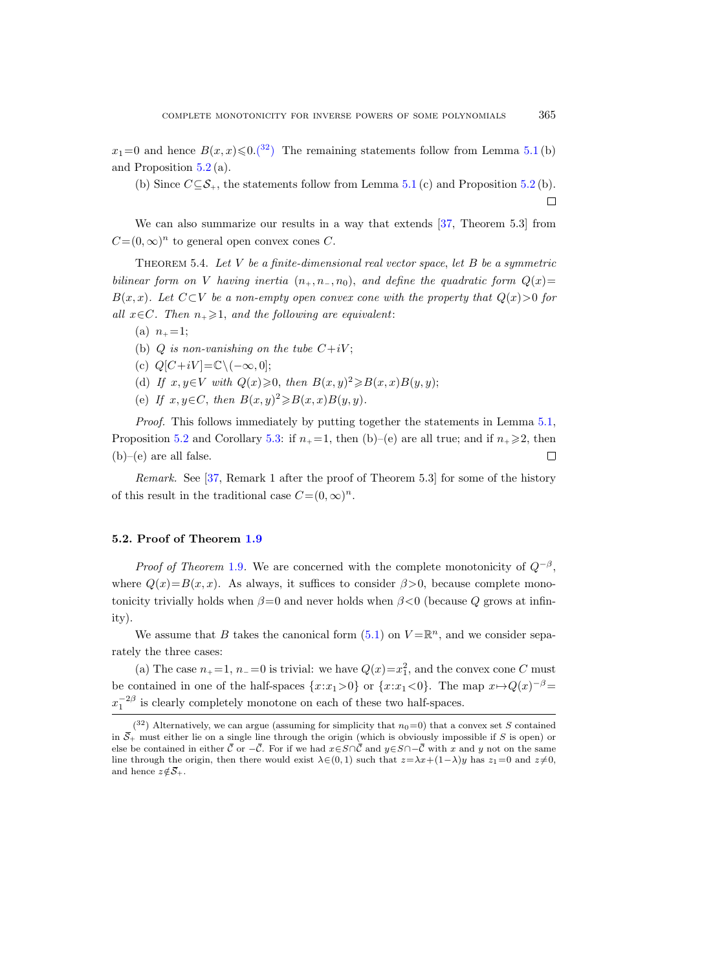$x_1=0$  and hence  $B(x, x) \leq 0.$  (32) The remaining statements follow from Lemma [5.1](#page-39-0) (b) and Proposition [5.2](#page-40-0) (a).

(b) Since  $C \subseteq \mathcal{S}_+$ , the statements follow from Lemma [5.1](#page-39-0) (c) and Proposition [5.2](#page-40-0) (b).  $\Box$ 

We can also summarize our results in a way that extends [\[37,](#page-65-2) Theorem 5.3] from  $C=(0,\infty)^n$  to general open convex cones C.

<span id="page-42-1"></span>THEOREM 5.4. Let  $V$  be a finite-dimensional real vector space, let  $B$  be a symmetric bilinear form on V having inertia  $(n_+, n_-, n_0)$ , and define the quadratic form  $Q(x)$ =  $B(x, x)$ . Let  $C\subset V$  be a non-empty open convex cone with the property that  $Q(x) > 0$  for all  $x \in C$ . Then  $n_+ \geq 1$ , and the following are equivalent:

- (a)  $n_{+} = 1$ ;
- (b) Q is non-vanishing on the tube  $C+iV$ ;
- (c)  $Q[C+iV] = \mathbb{C}\setminus(-\infty, 0];$
- (d) If  $x, y \in V$  with  $Q(x) \geqslant 0$ , then  $B(x, y)^2 \geqslant B(x, x)B(y, y)$ ;
- (e) If  $x, y \in C$ , then  $B(x, y)^2 \ge B(x, x)B(y, y)$ .

Proof. This follows immediately by putting together the statements in Lemma [5.1,](#page-39-0) Proposition [5.2](#page-40-0) and Corollary [5.3:](#page-41-0) if  $n_+ = 1$ , then (b)–(e) are all true; and if  $n_+ \geq 2$ , then  $(b)$ –(e) are all false.  $\Box$ 

Remark. See [\[37,](#page-65-2) Remark 1 after the proof of Theorem 5.3] for some of the history of this result in the traditional case  $C=(0,\infty)^n$ .

#### <span id="page-42-0"></span>5.2. Proof of Theorem [1.9](#page-9-1)

*Proof of Theorem* [1.9](#page-9-1). We are concerned with the complete monotonicity of  $Q^{-\beta}$ , where  $Q(x)=B(x, x)$ . As always, it suffices to consider  $\beta > 0$ , because complete monotonicity trivially holds when  $\beta = 0$  and never holds when  $\beta < 0$  (because Q grows at infinity).

We assume that B takes the canonical form  $(5.1)$  on  $V = \mathbb{R}^n$ , and we consider separately the three cases:

(a) The case  $n_{+}=1$ ,  $n_{-}=0$  is trivial: we have  $Q(x)=x_1^2$ , and the convex cone C must be contained in one of the half-spaces  $\{x:x_1>0\}$  or  $\{x:x_1<0\}$ . The map  $x\mapsto Q(x)^{-\beta}$  $x_1^{-2\beta}$  is clearly completely monotone on each of these two half-spaces. ity).<br>
We assume that *B* takes the canonical form (5.1) on  $V = \mathbb{R}^n$ , and we consider sepa-<br>
rately the three cases:<br>
(a) The case  $n_+ = 1$ ,  $n_- = 0$  is trivial: we have  $Q(x) = x_1^2$ , and the convex cone *C* must<br>
be co

<span id="page-42-2"></span> $(3^2)$  Alternatively, we can argue (assuming for simplicity that  $n_0=0$ ) that a convex set S contained in  $\overline{S}_+$  must either lie on a single line through the origin (which is obviously impossible if S is open) or else be contained in either  $\overline{C}$  or  $-\overline{C}$ . For if we had  $x \in S \cap \overline{C}$  and  $y \in S \cap -\overline{C}$  with x an line through the origin, then there would exist  $\lambda \in (0, 1)$  such that  $z = \lambda x + (1-\lambda)y$  has  $z_1 = 0$  and  $z \neq 0$ , rately the three<br>
(a) The ca<br>
be contained in<br>  $x_1^{-2\beta}$  is clearly<br>  $\frac{32}{\sqrt{3}}$  Alterna<br>
in  $\bar{S}_+$  must either<br>
else be contained<br>
line through the<br>
and hence  $z \notin \bar{S}_+$ .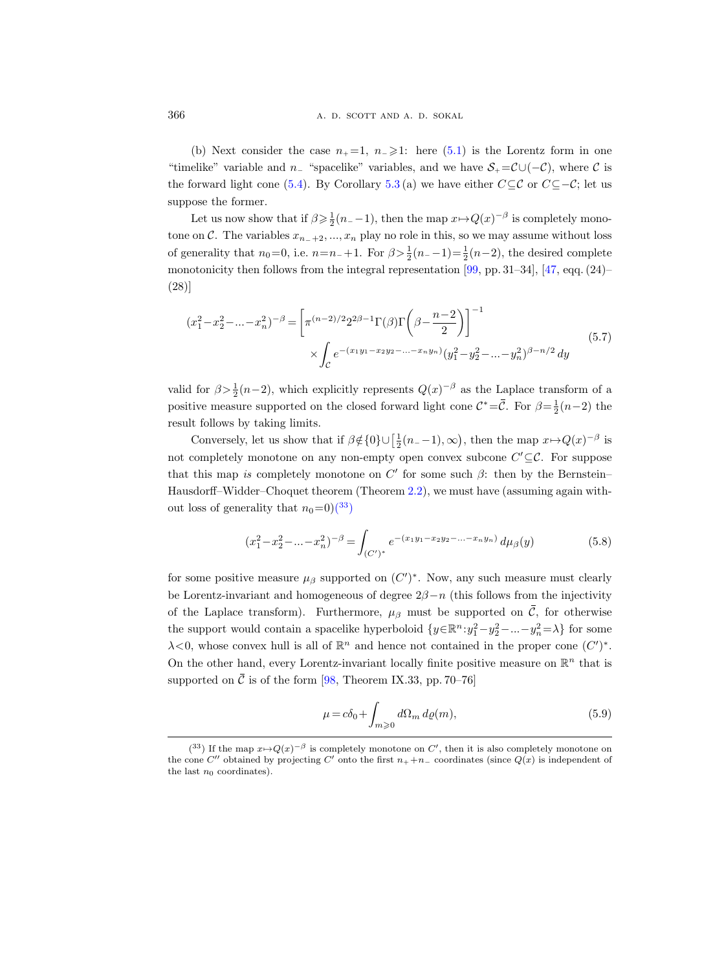(b) Next consider the case  $n_{+} = 1$ ,  $n_{-} \geq 1$ : here [\(5.1\)](#page-39-1) is the Lorentz form in one "timelike" variable and  $n_$  "spacelike" variables, and we have  $S_+ = \mathcal{C} \cup (-\mathcal{C})$ , where  $\mathcal C$  is the forward light cone [\(5.4\)](#page-39-2). By Corollary [5.3](#page-41-0)(a) we have either  $C \subseteq \mathcal{C}$  or  $C \subseteq -\mathcal{C}$ ; let us suppose the former.

Let us now show that if  $\beta \geq \frac{1}{2}(n_{-}-1)$ , then the map  $x \mapsto Q(x)^{-\beta}$  is completely monotone on C. The variables  $x_{n-+2},...,x_n$  play no role in this, so we may assume without loss of generality that  $n_0=0$ , i.e.  $n=n_+1$ . For  $\beta > \frac{1}{2}(n_--1) = \frac{1}{2}(n-2)$ , the desired complete monotonicity then follows from the integral representation [\[99,](#page-68-9) pp. 31–34],  $[47, \text{eqq.} (24)$ – (28)]

<span id="page-43-2"></span>
$$
(x_1^2 - x_2^2 - \dots - x_n^2)^{-\beta} = \left[ \pi^{(n-2)/2} 2^{2\beta - 1} \Gamma(\beta) \Gamma\left(\beta - \frac{n-2}{2}\right) \right]^{-1}
$$
  
 
$$
\times \int_C e^{-(x_1 y_1 - x_2 y_2 - \dots - x_n y_n)} (y_1^2 - y_2^2 - \dots - y_n^2)^{\beta - n/2} dy
$$
(5.7)

valid for  $\beta > \frac{1}{2}(n-2)$ , which explicitly represents  $Q(x)^{-\beta}$  as the Laplace transform of a positive measure supported on the closed forward light cone  $\mathcal{C}^* = \overline{\mathcal{C}}$ . For  $\beta = \frac{1}{2}(n-2)$  the result follows by taking limits.

Conversely, let us show that if  $\beta \notin \{0\} \cup \left[\frac{1}{2}(n_{-}-1), \infty\right)$ , then the map  $x \mapsto Q(x)^{-\beta}$  is not completely monotone on any non-empty open convex subcone  $C' \subseteq \mathcal{C}$ . For suppose that this map is completely monotone on  $C'$  for some such  $\beta$ : then by the Bernstein– Hausdorff–Widder–Choquet theorem (Theorem [2.2\)](#page-17-0), we must have (assuming again without loss of generality that  $n_0=0$  $\binom{33}{3}$ 

$$
(x_1^2 - x_2^2 - \dots - x_n^2)^{-\beta} = \int_{(C')^*} e^{-(x_1y_1 - x_2y_2 - \dots - x_ny_n)} d\mu_{\beta}(y)
$$
(5.8)

for some positive measure  $\mu_{\beta}$  supported on  $(C')^*$ . Now, any such measure must clearly be Lorentz-invariant and homogeneous of degree  $2\beta - n$  (this follows from the injectivity of the Laplace transform). Furthermore,  $\mu_{\beta}$  must be supported on  $\overline{C}$ , for otherwise the support would contain a spacelike hyperboloid  $\{y \in \mathbb{R}^n : y_1^2 - y_2^2 - ... - y_n^2 = \lambda\}$  for some  $\lambda$ <0, whose convex hull is all of  $\mathbb{R}^n$  and hence not contained in the proper cone  $(C')^*$ . On the other hand, every Lorentz-invariant locally finite positive measure on  $\mathbb{R}^n$  that is supported on  $\overline{C}$  is of the form [\[98,](#page-67-19) Theorem IX.33, pp. 70–76]

<span id="page-43-1"></span>
$$
\mu = c\delta_0 + \int_{m\geqslant 0} d\Omega_m \, d\varrho(m),\tag{5.9}
$$

<span id="page-43-0"></span><sup>(&</sup>lt;sup>33</sup>) If the map  $x \mapsto Q(x)^{-\beta}$  is completely monotone on C', then it is also completely monotone on the cone C'' obtained by projecting C' onto the first  $n_{+} + n_{-}$  coordinates (since  $Q(x)$  is independent of the last  $n_0$  coordinates).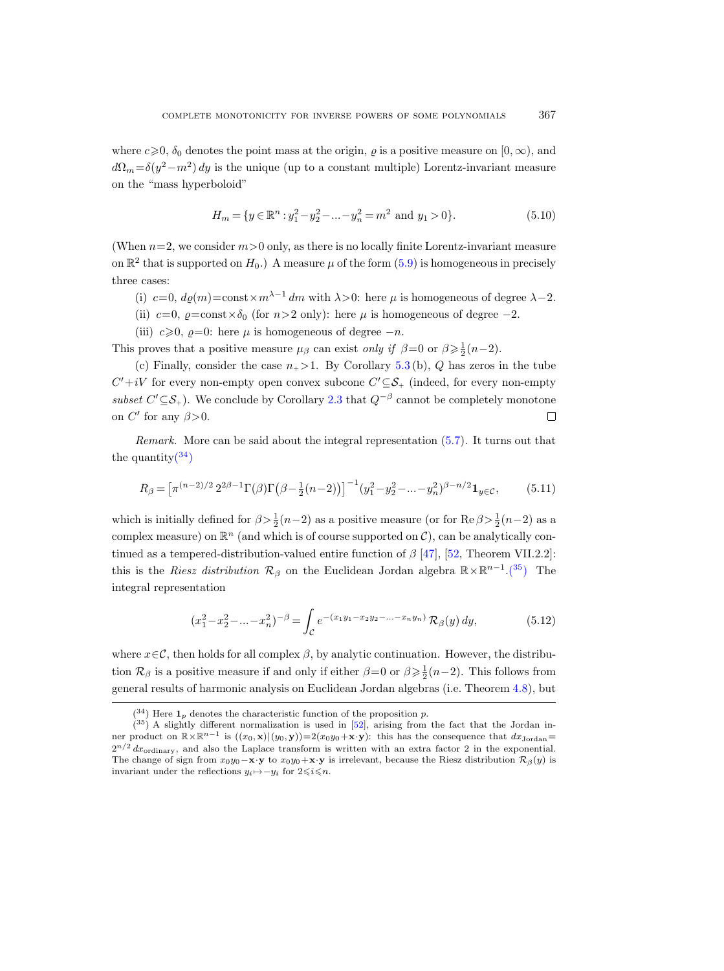where  $c\geqslant0$ ,  $\delta_0$  denotes the point mass at the origin,  $\varrho$  is a positive measure on  $[0,\infty)$ , and  $d\Omega_m = \delta(y^2 - m^2) dy$  is the unique (up to a constant multiple) Lorentz-invariant measure on the "mass hyperboloid"

$$
H_m = \{ y \in \mathbb{R}^n : y_1^2 - y_2^2 - \dots - y_n^2 = m^2 \text{ and } y_1 > 0 \}. \tag{5.10}
$$

(When  $n=2$ , we consider  $m>0$  only, as there is no locally finite Lorentz-invariant measure on  $\mathbb{R}^2$  that is supported on  $H_0$ .) A measure  $\mu$  of the form  $(5.9)$  is homogeneous in precisely three cases:

- (i) c=0,  $d\varrho(m) = \text{const} \times m^{\lambda-1} dm$  with  $\lambda > 0$ : here  $\mu$  is homogeneous of degree  $\lambda 2$ .
- (ii)  $c=0$ ,  $\varrho = \text{const} \times \delta_0$  (for  $n>2$  only): here  $\mu$  is homogeneous of degree -2.
- (iii)  $c \ge 0$ ,  $\varrho=0$ : here  $\mu$  is homogeneous of degree  $-n$ .

This proves that a positive measure  $\mu_{\beta}$  can exist *only if*  $\beta=0$  or  $\beta \geq \frac{1}{2}(n-2)$ .

(c) Finally, consider the case  $n_{+} > 1$ . By Corollary [5.3](#page-41-0)(b), Q has zeros in the tube  $C'+iV$  for every non-empty open convex subcone  $C' \subseteq S_+$  (indeed, for every non-empty subset  $C' \subseteq S_+$ ). We conclude by Corollary [2.3](#page-18-0) that  $Q^{-\beta}$  cannot be completely monotone on  $C'$  for any  $\beta > 0$ .  $\Box$ 

Remark. More can be said about the integral representation [\(5.7\)](#page-43-2). It turns out that the quantity $(34)$ 

<span id="page-44-2"></span>
$$
R_{\beta} = \left[\pi^{(n-2)/2} 2^{2\beta - 1} \Gamma(\beta) \Gamma(\beta - \frac{1}{2}(n-2))\right]^{-1} (y_1^2 - y_2^2 - \dots - y_n^2)^{\beta - n/2} \mathbf{1}_{y \in \mathcal{C}},\tag{5.11}
$$

which is initially defined for  $\beta > \frac{1}{2}(n-2)$  as a positive measure (or for Re  $\beta > \frac{1}{2}(n-2)$  as a complex measure) on  $\mathbb{R}^n$  (and which is of course supported on  $\mathcal{C}$ ), can be analytically continued as a tempered-distribution-valued entire function of  $\beta$  [\[47\]](#page-65-8), [\[52,](#page-65-0) Theorem VII.2.2]: this is the Riesz distribution  $\mathcal{R}_{\beta}$  on the Euclidean Jordan algebra  $\mathbb{R}\times\mathbb{R}^{n-1}$ [.\(](#page-44-1)<sup>35</sup>) The integral representation

$$
(x_1^2 - x_2^2 - \dots - x_n^2)^{-\beta} = \int_{\mathcal{C}} e^{-(x_1 y_1 - x_2 y_2 - \dots - x_n y_n)} \mathcal{R}_{\beta}(y) \, dy,\tag{5.12}
$$

where  $x \in \mathcal{C}$ , then holds for all complex  $\beta$ , by analytic continuation. However, the distribution  $\mathcal{R}_{\beta}$  is a positive measure if and only if either  $\beta=0$  or  $\beta \geq \frac{1}{2}(n-2)$ . This follows from general results of harmonic analysis on Euclidean Jordan algebras (i.e. Theorem [4.8\)](#page-37-0), but

<span id="page-44-1"></span><span id="page-44-0"></span> $(34)$  Here  $\mathbf{1}_p$  denotes the characteristic function of the proposition p.

<sup>(</sup> <sup>35</sup>) A slightly different normalization is used in [\[52\]](#page-65-0), arising from the fact that the Jordan inner product on  $\mathbb{R}\times\mathbb{R}^{n-1}$  is  $((x_0,\mathbf{x})|(y_0,\mathbf{y}))=2(x_0y_0+\mathbf{x}\cdot\mathbf{y})$ : this has the consequence that  $dx_{\text{Jordan}}=$  $2^{n/2} dx_{\text{ordinary}}$ , and also the Laplace transform is written with an extra factor 2 in the exponential. The change of sign from  $x_0y_0 - \mathbf{x} \cdot \mathbf{y}$  to  $x_0y_0 + \mathbf{x} \cdot \mathbf{y}$  is irrelevant, because the Riesz distribution  $\mathcal{R}_{\beta}(y)$  is invariant under the reflections  $y_i \mapsto -y_i$  for  $2 \leqslant i \leqslant n$ .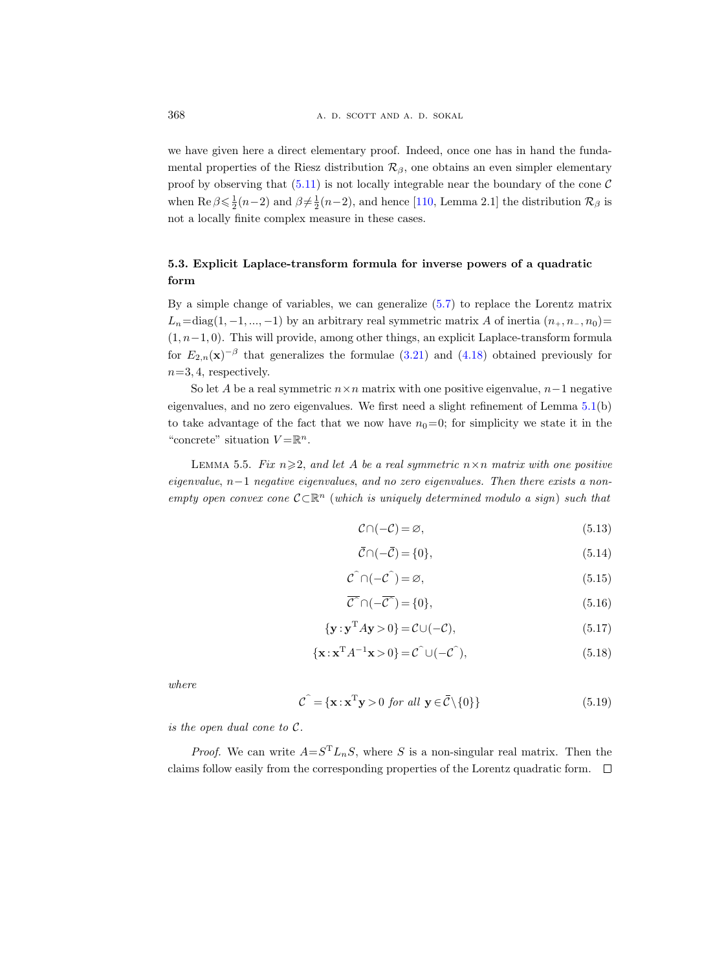we have given here a direct elementary proof. Indeed, once one has in hand the fundamental properties of the Riesz distribution  $\mathcal{R}_{\beta}$ , one obtains an even simpler elementary proof by observing that  $(5.11)$  is not locally integrable near the boundary of the cone C when  $\text{Re}\,\beta \leq \frac{1}{2}(n-2)$  and  $\beta \neq \frac{1}{2}(n-2)$ , and hence [\[110,](#page-68-3) Lemma 2.1] the distribution  $\mathcal{R}_{\beta}$  is not a locally finite complex measure in these cases.

# <span id="page-45-0"></span>5.3. Explicit Laplace-transform formula for inverse powers of a quadratic form

By a simple change of variables, we can generalize [\(5.7\)](#page-43-2) to replace the Lorentz matrix  $L_n=\text{diag}(1, -1, ..., -1)$  by an arbitrary real symmetric matrix A of inertia  $(n_+, n_-, n_0)=$  $(1, n-1, 0)$ . This will provide, among other things, an explicit Laplace-transform formula for  $E_{2,n}(\mathbf{x})^{-\beta}$  that generalizes the formulae [\(3.21\)](#page-27-0) and [\(4.18\)](#page-34-0) obtained previously for  $n=3, 4$ , respectively.

So let A be a real symmetric  $n \times n$  matrix with one positive eigenvalue,  $n-1$  negative eigenvalues, and no zero eigenvalues. We first need a slight refinement of Lemma [5.1\(](#page-39-0)b) to take advantage of the fact that we now have  $n_0=0$ ; for simplicity we state it in the "concrete" situation  $V = \mathbb{R}^n$ .

<span id="page-45-2"></span>LEMMA 5.5. Fix  $n \geqslant 2$ , and let A be a real symmetric  $n \times n$  matrix with one positive eigenvalue,  $n-1$  negative eigenvalues, and no zero eigenvalues. Then there exists a nonempty open convex cone  $\mathcal{C} \subset \mathbb{R}^n$  (which is uniquely determined modulo a sign) such that

$$
\mathcal{C} \cap (-\mathcal{C}) = \varnothing,\tag{5.13}
$$

$$
\bar{\mathcal{C}} \cap (-\bar{\mathcal{C}}) = \{0\},\tag{5.14}
$$

$$
\mathcal{C}^{\widehat{}} \cap (-\mathcal{C}^{\widehat{}}) = \varnothing, \tag{5.15}
$$

$$
\overline{\mathcal{C}} \cap (-\overline{\mathcal{C}}) = \{0\},\tag{5.16}
$$

$$
\{\mathbf{y} : \mathbf{y}^{\mathrm{T}} A \mathbf{y} > 0\} = \mathcal{C} \cup (-\mathcal{C}),\tag{5.17}
$$

$$
\{\mathbf x : \mathbf x^{\mathrm{T}} A^{-1} \mathbf x > 0\} = \mathcal{C}^{\hat{}} \cup (-\mathcal{C}^{\hat{}}),\tag{5.18}
$$

where

$$
\hat{\mathcal{C}} = \{ \mathbf{x} : \mathbf{x}^{\mathrm{T}} \mathbf{y} > 0 \text{ for all } \mathbf{y} \in \bar{\mathcal{C}} \setminus \{0\} \} \tag{5.19}
$$

is the open dual cone to C.

<span id="page-45-1"></span>*Proof.* We can write  $A = S^{T} L_{n} S$ , where S is a non-singular real matrix. Then the claims follow easily from the corresponding properties of the Lorentz quadratic form.  $\Box$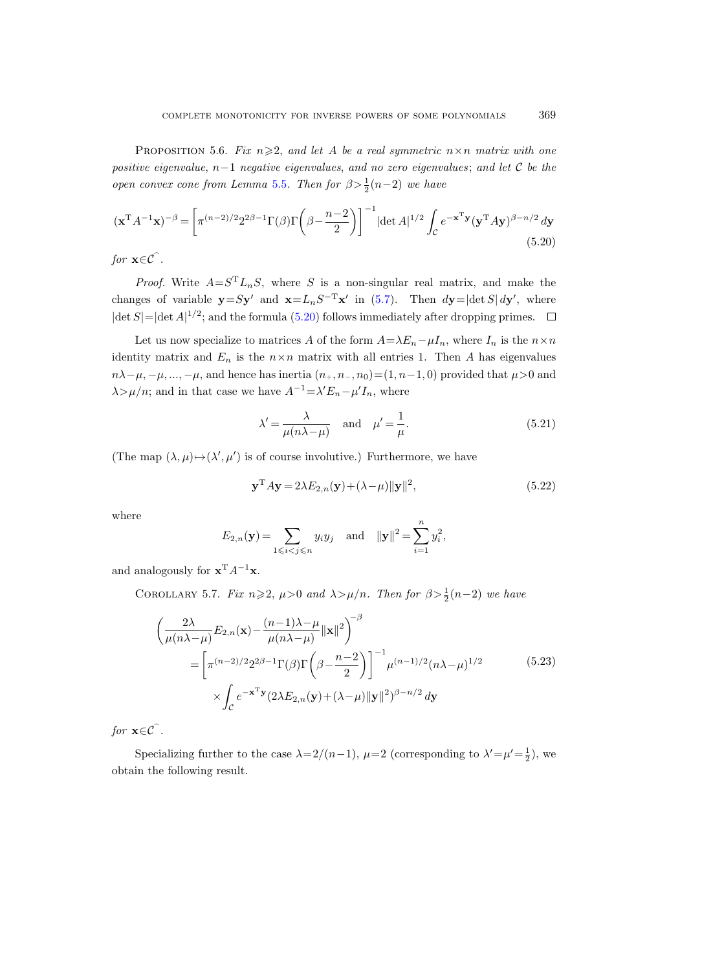PROPOSITION 5.6. Fix  $n \geq 2$ , and let A be a real symmetric  $n \times n$  matrix with one positive eigenvalue, n−1 negative eigenvalues, and no zero eigenvalues; and let C be the open convex cone from Lemma [5.5](#page-45-2). Then for  $\beta > \frac{1}{2}(n-2)$  we have

<span id="page-46-0"></span>
$$
(\mathbf{x}^{\mathrm{T}}A^{-1}\mathbf{x})^{-\beta} = \left[\pi^{(n-2)/2}2^{2\beta-1}\Gamma(\beta)\Gamma\left(\beta - \frac{n-2}{2}\right)\right]^{-1} |\det A|^{1/2} \int_{\mathcal{C}} e^{-\mathbf{x}^{\mathrm{T}}\mathbf{y}} (\mathbf{y}^{\mathrm{T}}A\mathbf{y})^{\beta - n/2} d\mathbf{y}
$$
\n(5.20)

for  $\mathbf{x} \in \mathcal{C}$ .

*Proof.* Write  $A = S^T L_n S$ , where S is a non-singular real matrix, and make the changes of variable  $y = Sy'$  and  $x = L_nS^{-T}x'$  in [\(5.7\)](#page-43-2). Then  $dy = |\det S| dy'$ , where  $|\det S| = |\det A|^{1/2}$ ; and the formula [\(5.20\)](#page-46-0) follows immediately after dropping primes.

Let us now specialize to matrices A of the form  $A=\lambda E_n-\mu I_n$ , where  $I_n$  is the  $n\times n$ identity matrix and  $E_n$  is the  $n \times n$  matrix with all entries 1. Then A has eigenvalues  $n\lambda-\mu, -\mu, ..., -\mu$ , and hence has inertia  $(n_+, n_-, n_0)=(1, n-1, 0)$  provided that  $\mu>0$  and  $\lambda > \mu/n$ ; and in that case we have  $A^{-1} = \lambda' E_n - \mu' I_n$ , where

$$
\lambda' = \frac{\lambda}{\mu(n\lambda - \mu)} \quad \text{and} \quad \mu' = \frac{1}{\mu}.\tag{5.21}
$$

(The map  $(\lambda, \mu) \rightarrow (\lambda', \mu')$  is of course involutive.) Furthermore, we have

$$
\mathbf{y}^{\mathrm{T}} A \mathbf{y} = 2\lambda E_{2,n}(\mathbf{y}) + (\lambda - \mu) \|\mathbf{y}\|^2, \tag{5.22}
$$

where

$$
E_{2,n}(\mathbf{y}) = \sum_{1 \le i < j \le n} y_i y_j
$$
 and  $\|\mathbf{y}\|^2 = \sum_{i=1}^n y_i^2$ ,

and analogously for  $\mathbf{x}^T A^{-1} \mathbf{x}$ .

COROLLARY 5.7. Fix  $n \geqslant 2$ ,  $\mu > 0$  and  $\lambda > \mu/n$ . Then for  $\beta > \frac{1}{2}(n-2)$  we have

$$
\begin{split}\n&\left(\frac{2\lambda}{\mu(n\lambda-\mu)}E_{2,n}(\mathbf{x})-\frac{(n-1)\lambda-\mu}{\mu(n\lambda-\mu)}\|\mathbf{x}\|^2\right)^{-\beta} \\
&=\left[\pi^{(n-2)/2}2^{2\beta-1}\Gamma(\beta)\Gamma\left(\beta-\frac{n-2}{2}\right)\right]^{-1}\mu^{(n-1)/2}(n\lambda-\mu)^{1/2} \\
&\times\int_{\mathcal{C}}e^{-\mathbf{x}^{\mathrm{T}}\mathbf{y}}(2\lambda E_{2,n}(\mathbf{y})+(\lambda-\mu)\|\mathbf{y}\|^2)^{\beta-n/2}\,d\mathbf{y}\n\end{split} \tag{5.23}
$$

for  $\mathbf{x} \in \mathcal{C}$ .

Specializing further to the case  $\lambda = 2/(n-1)$ ,  $\mu = 2$  (corresponding to  $\lambda' = \mu' = \frac{1}{2}$ ), we obtain the following result.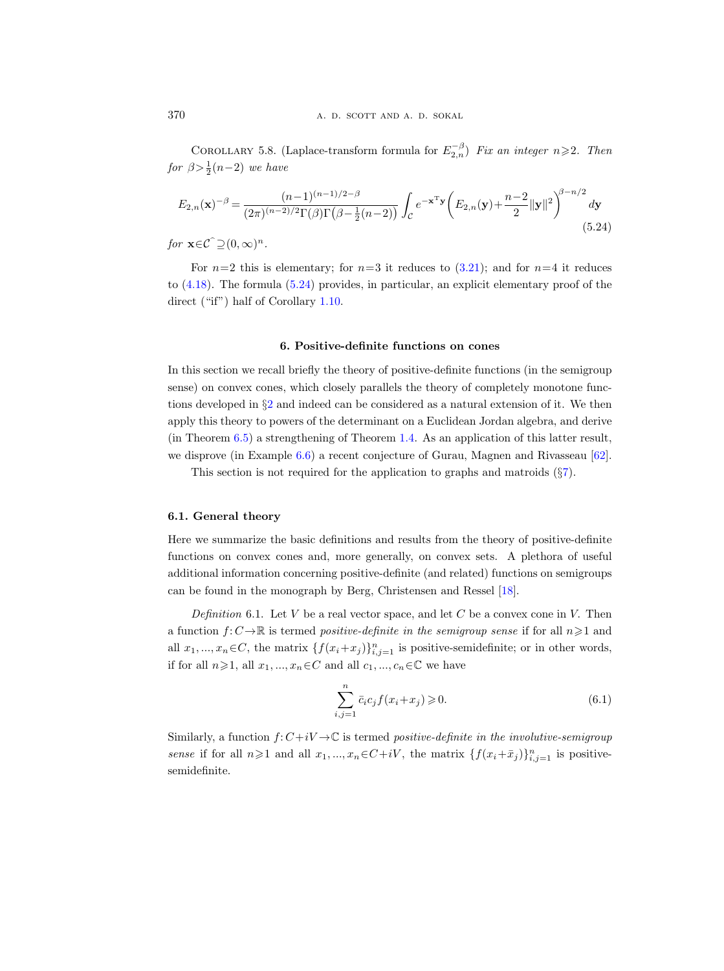<span id="page-47-2"></span>COROLLARY 5.8. (Laplace-transform formula for  $E_{2,n}^{-\beta}$ ) Fix an integer  $n \geq 2$ . Then for  $\beta > \frac{1}{2}(n-2)$  we have

<span id="page-47-3"></span>
$$
E_{2,n}(\mathbf{x})^{-\beta} = \frac{(n-1)^{(n-1)/2-\beta}}{(2\pi)^{(n-2)/2}\Gamma(\beta)\Gamma(\beta - \frac{1}{2}(n-2))} \int_{\mathcal{C}} e^{-\mathbf{x}^{\mathrm{T}}\mathbf{y}} \left(E_{2,n}(\mathbf{y}) + \frac{n-2}{2} ||\mathbf{y}||^2\right)^{\beta - n/2} d\mathbf{y}
$$
\n(5.24)

for  $\mathbf{x} \in \mathcal{C}^{\frown} \supseteq (0,\infty)^n$ .

For  $n=2$  this is elementary; for  $n=3$  it reduces to  $(3.21)$ ; and for  $n=4$  it reduces to [\(4.18\)](#page-34-0). The formula [\(5.24\)](#page-47-3) provides, in particular, an explicit elementary proof of the direct ("if") half of Corollary [1.10.](#page-10-1)

### 6. Positive-definite functions on cones

<span id="page-47-0"></span>In this section we recall briefly the theory of positive-definite functions (in the semigroup sense) on convex cones, which closely parallels the theory of completely monotone functions developed in §[2](#page-16-0) and indeed can be considered as a natural extension of it. We then apply this theory to powers of the determinant on a Euclidean Jordan algebra, and derive (in Theorem [6.5\)](#page-50-3) a strengthening of Theorem [1.4.](#page-4-0) As an application of this latter result, we disprove (in Example [6.6\)](#page-50-4) a recent conjecture of Gurau, Magnen and Rivasseau [\[62\]](#page-66-21).

This section is not required for the application to graphs and matroids (§[7\)](#page-50-0).

#### <span id="page-47-1"></span>6.1. General theory

Here we summarize the basic definitions and results from the theory of positive-definite functions on convex cones and, more generally, on convex sets. A plethora of useful additional information concerning positive-definite (and related) functions on semigroups can be found in the monograph by Berg, Christensen and Ressel [\[18\]](#page-64-9).

Definition 6.1. Let V be a real vector space, and let C be a convex cone in V. Then a function  $f: C \to \mathbb{R}$  is termed positive-definite in the semigroup sense if for all  $n \geq 1$  and all  $x_1, ..., x_n \in C$ , the matrix  $\{f(x_i + x_j)\}_{i,j=1}^n$  is positive-semidefinite; or in other words, if for all  $n\geqslant 1$ , all  $x_1, ..., x_n \in C$  and all  $c_1, ..., c_n \in \mathbb{C}$  we have

$$
\sum_{i,j=1}^{n} \bar{c}_i c_j f(x_i + x_j) \ge 0.
$$
\n
$$
(6.1)
$$

<span id="page-47-4"></span>Similarly, a function  $f: C+iV \to \mathbb{C}$  is termed positive-definite in the involutive-semigroup sense if for all  $n \geq 1$  and all  $x_1, ..., x_n \in C+iV$ , the matrix  $\{f(x_i+\bar{x}_j)\}_{i,j=1}^n$  is positivesemidefinite.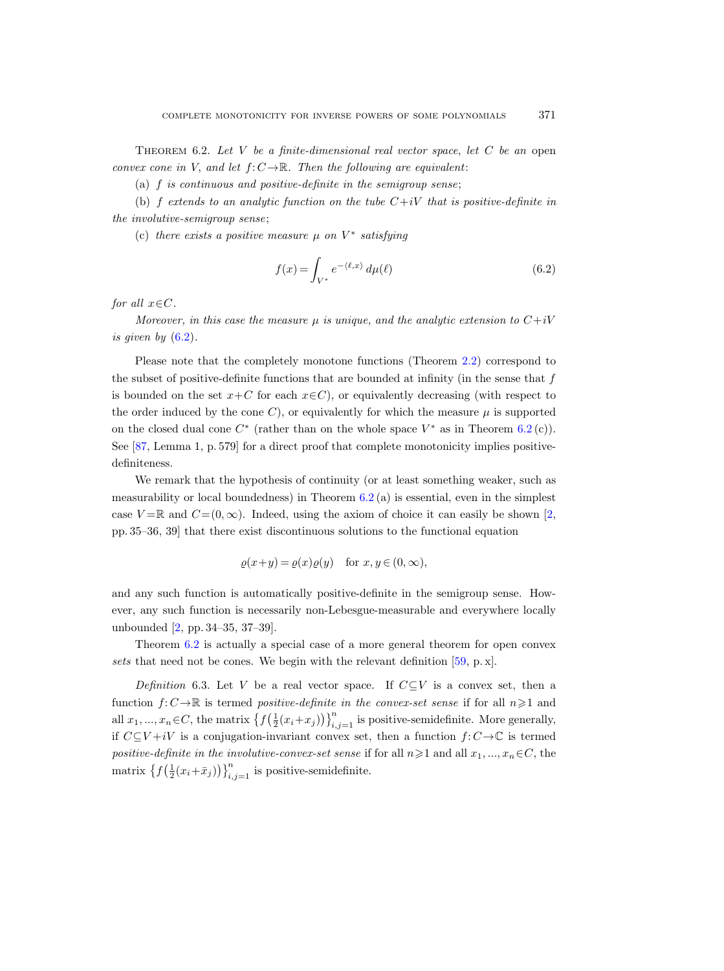THEOREM 6.2. Let  $V$  be a finite-dimensional real vector space, let  $C$  be an open convex cone in V, and let  $f: C \to \mathbb{R}$ . Then the following are equivalent:

(a) f is continuous and positive-definite in the semigroup sense;

(b) f extends to an analytic function on the tube  $C+iV$  that is positive-definite in the involutive-semigroup sense;

(c) there exists a positive measure  $\mu$  on  $V^*$  satisfying

<span id="page-48-0"></span>
$$
f(x) = \int_{V^*} e^{-\langle \ell, x \rangle} d\mu(\ell)
$$
 (6.2)

for all  $x \in C$ .

Moreover, in this case the measure  $\mu$  is unique, and the analytic extension to  $C+iV$ is given by  $(6.2)$ .

Please note that the completely monotone functions (Theorem [2.2\)](#page-17-0) correspond to the subset of positive-definite functions that are bounded at infinity (in the sense that  $f$ is bounded on the set  $x+C$  for each  $x\in C$ ), or equivalently decreasing (with respect to the order induced by the cone  $C$ ), or equivalently for which the measure  $\mu$  is supported on the closed dual cone  $C^*$  (rather than on the whole space  $V^*$  as in Theorem [6.2](#page-47-4)(c)). See [\[87,](#page-67-10) Lemma 1, p. 579] for a direct proof that complete monotonicity implies positivedefiniteness.

We remark that the hypothesis of continuity (or at least something weaker, such as measurability or local boundedness) in Theorem  $6.2$  (a) is essential, even in the simplest case  $V = \mathbb{R}$  and  $C = (0, \infty)$ . Indeed, using the axiom of choice it can easily be shown [\[2,](#page-63-6) pp. 35–36, 39] that there exist discontinuous solutions to the functional equation

$$
\varrho(x+y) = \varrho(x)\varrho(y) \quad \text{for } x, y \in (0, \infty),
$$

and any such function is automatically positive-definite in the semigroup sense. However, any such function is necessarily non-Lebesgue-measurable and everywhere locally unbounded [\[2,](#page-63-6) pp. 34–35, 37–39].

Theorem [6.2](#page-47-4) is actually a special case of a more general theorem for open convex sets that need not be cones. We begin with the relevant definition [\[59,](#page-66-12) p. x].

Definition 6.3. Let V be a real vector space. If  $C\subseteq V$  is a convex set, then a function  $f: C \to \mathbb{R}$  is termed positive-definite in the convex-set sense if for all  $n \geq 1$  and all  $x_1, ..., x_n \in C$ , the matrix  $\{f(\frac{1}{2}(x_i+x_j))\}_{i,j=1}^n$  is positive-semidefinite. More generally, if  $C\subseteq V+iV$  is a conjugation-invariant convex set, then a function  $f: C\to\mathbb{C}$  is termed positive-definite in the involutive-convex-set sense if for all  $n\geqslant1$  and all  $x_1, ..., x_n\in C$ , the matrix  $\left\{f\left(\frac{1}{2}(x_i+\bar{x}_j)\right)\right\}_{i,j=1}^n$  is positive-semidefinite.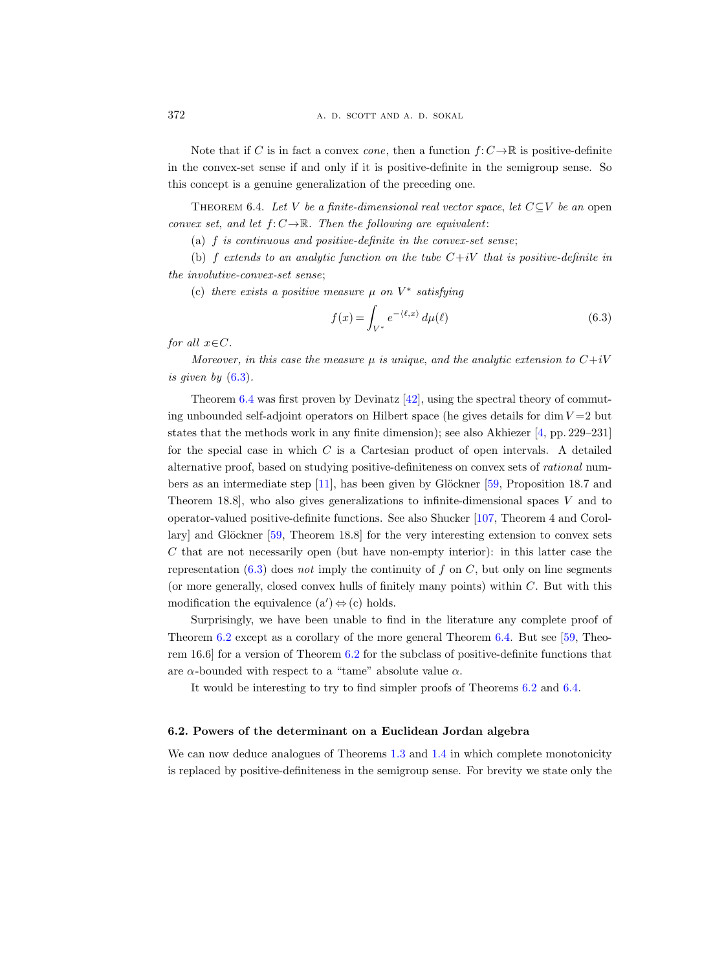Note that if C is in fact a convex cone, then a function  $f: C \to \mathbb{R}$  is positive-definite in the convex-set sense if and only if it is positive-definite in the semigroup sense. So this concept is a genuine generalization of the preceding one.

<span id="page-49-2"></span>THEOREM 6.4. Let V be a finite-dimensional real vector space, let  $C\subseteq V$  be an open convex set, and let  $f: C \to \mathbb{R}$ . Then the following are equivalent:

(a)  $f$  is continuous and positive-definite in the convex-set sense;

(b) f extends to an analytic function on the tube  $C+iV$  that is positive-definite in the involutive-convex-set sense;

(c) there exists a positive measure  $\mu$  on  $V^*$  satisfying

<span id="page-49-1"></span>
$$
f(x) = \int_{V^*} e^{-\langle \ell, x \rangle} d\mu(\ell) \tag{6.3}
$$

for all  $x \in C$ .

Moreover, in this case the measure  $\mu$  is unique, and the analytic extension to  $C+iV$ is given by [\(6.3\)](#page-49-1).

Theorem  $6.4$  was first proven by Devinatz  $[42]$ , using the spectral theory of commuting unbounded self-adjoint operators on Hilbert space (he gives details for dim  $V = 2$  but states that the methods work in any finite dimension); see also Akhiezer [\[4,](#page-63-7) pp. 229–231] for the special case in which C is a Cartesian product of open intervals. A detailed alternative proof, based on studying positive-definiteness on convex sets of rational numbers as an intermediate step  $[11]$ , has been given by Glöckner  $[59,$  Proposition 18.7 and Theorem 18.8], who also gives generalizations to infinite-dimensional spaces V and to operator-valued positive-definite functions. See also Shucker [\[107,](#page-68-21) Theorem 4 and Corollary] and Glöckner  $[59,$  Theorem 18.8] for the very interesting extension to convex sets  $C$  that are not necessarily open (but have non-empty interior): in this latter case the representation  $(6.3)$  does not imply the continuity of f on C, but only on line segments (or more generally, closed convex hulls of finitely many points) within C. But with this modification the equivalence  $(a') \Leftrightarrow (c)$  holds.

Surprisingly, we have been unable to find in the literature any complete proof of Theorem [6.2](#page-47-4) except as a corollary of the more general Theorem [6.4.](#page-49-2) But see [\[59,](#page-66-12) Theorem 16.6] for a version of Theorem [6.2](#page-47-4) for the subclass of positive-definite functions that are  $\alpha$ -bounded with respect to a "tame" absolute value  $\alpha$ .

It would be interesting to try to find simpler proofs of Theorems [6.2](#page-47-4) and [6.4.](#page-49-2)

#### <span id="page-49-0"></span>6.2. Powers of the determinant on a Euclidean Jordan algebra

We can now deduce analogues of Theorems [1.3](#page-4-2) and [1.4](#page-4-0) in which complete monotonicity is replaced by positive-definiteness in the semigroup sense. For brevity we state only the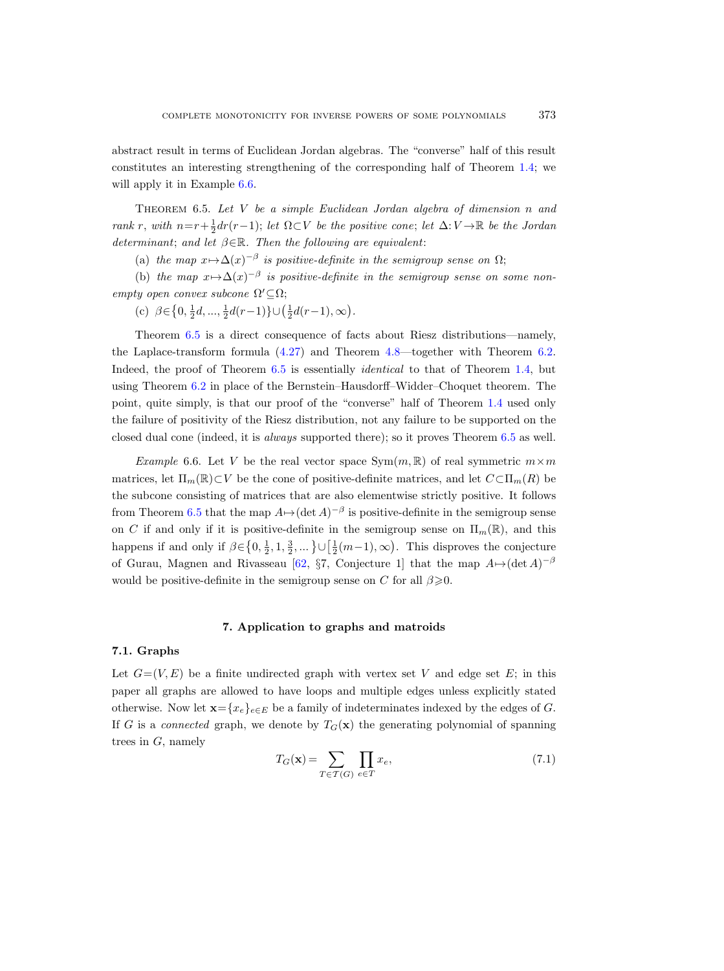abstract result in terms of Euclidean Jordan algebras. The "converse" half of this result constitutes an interesting strengthening of the corresponding half of Theorem [1.4;](#page-4-0) we will apply it in Example [6.6.](#page-50-4)

<span id="page-50-3"></span>THEOREM 6.5. Let  $V$  be a simple Euclidean Jordan algebra of dimension n and rank r, with  $n=r+\frac{1}{2}dr(r-1)$ ; let  $\Omega\subset V$  be the positive cone; let  $\Delta: V\to \mathbb{R}$  be the Jordan determinant; and let  $\beta \in \mathbb{R}$ . Then the following are equivalent:

(a) the map  $x \mapsto \Delta(x)^{-\beta}$  is positive-definite in the semigroup sense on  $\Omega$ ;

(b) the map  $x \mapsto \Delta(x)^{-\beta}$  is positive-definite in the semigroup sense on some nonempty open convex subcone  $\Omega' \subseteq \Omega$ ;

(c)  $\beta \in \left\{0, \frac{1}{2}d, ..., \frac{1}{2}d(r-1)\right\} \cup \left(\frac{1}{2}d(r-1), \infty\right).$ 

Theorem [6.5](#page-50-3) is a direct consequence of facts about Riesz distributions—namely, the Laplace-transform formula [\(4.27\)](#page-36-5) and Theorem [4.8—](#page-37-0)together with Theorem [6.2.](#page-47-4) Indeed, the proof of Theorem [6.5](#page-50-3) is essentially *identical* to that of Theorem [1.4,](#page-4-0) but using Theorem [6.2](#page-47-4) in place of the Bernstein–Hausdorff–Widder–Choquet theorem. The point, quite simply, is that our proof of the "converse" half of Theorem [1.4](#page-4-0) used only the failure of positivity of the Riesz distribution, not any failure to be supported on the closed dual cone (indeed, it is always supported there); so it proves Theorem [6.5](#page-50-3) as well.

<span id="page-50-4"></span>Example 6.6. Let V be the real vector space  $Sym(m, \mathbb{R})$  of real symmetric  $m \times m$ matrices, let  $\Pi_m(\mathbb{R}) \subset V$  be the cone of positive-definite matrices, and let  $C \subset \Pi_m(R)$  be the subcone consisting of matrices that are also elementwise strictly positive. It follows from Theorem [6.5](#page-50-3) that the map  $A \mapsto (\det A)^{-\beta}$  is positive-definite in the semigroup sense on C if and only if it is positive-definite in the semigroup sense on  $\Pi_m(\mathbb{R})$ , and this happens if and only if  $\beta \in \left\{0, \frac{1}{2}, 1, \frac{3}{2}, ...\right\} \cup \left[\frac{1}{2}(m-1), \infty\right)$ . This disproves the conjecture of Gurau, Magnen and Rivasseau [\[62,](#page-66-21) §7, Conjecture 1] that the map  $A \mapsto (\det A)^{-\beta}$ would be positive-definite in the semigroup sense on C for all  $\beta \geqslant 0$ .

# 7. Application to graphs and matroids

# <span id="page-50-1"></span><span id="page-50-0"></span>7.1. Graphs

Let  $G=(V, E)$  be a finite undirected graph with vertex set V and edge set E; in this paper all graphs are allowed to have loops and multiple edges unless explicitly stated otherwise. Now let  $\mathbf{x}=\{x_e\}_{e\in E}$  be a family of indeterminates indexed by the edges of G. If G is a connected graph, we denote by  $T_G(\mathbf{x})$  the generating polynomial of spanning trees in  $G$ , namely

<span id="page-50-2"></span>
$$
T_G(\mathbf{x}) = \sum_{T \in \mathcal{T}(G)} \prod_{e \in T} x_e,\tag{7.1}
$$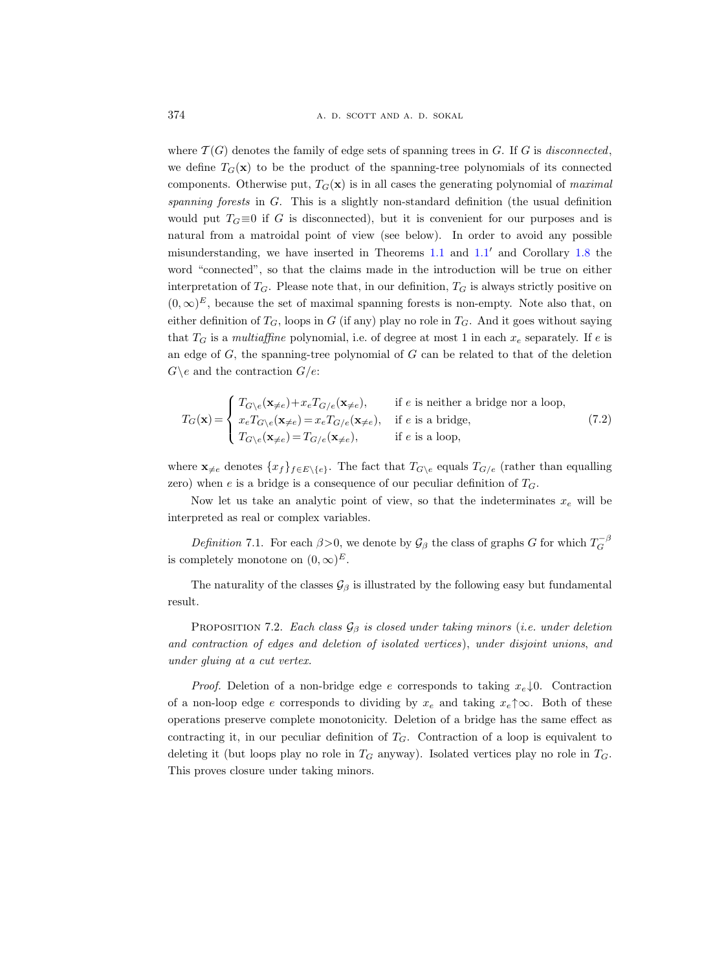where  $\mathcal{T}(G)$  denotes the family of edge sets of spanning trees in G. If G is disconnected, we define  $T_G(\mathbf{x})$  to be the product of the spanning-tree polynomials of its connected components. Otherwise put,  $T_G(\mathbf{x})$  is in all cases the generating polynomial of maximal spanning forests in  $G$ . This is a slightly non-standard definition (the usual definition would put  $T<sub>G</sub> \equiv 0$  if G is disconnected), but it is convenient for our purposes and is natural from a matroidal point of view (see below). In order to avoid any possible misunderstanding, we have inserted in Theorems  $1.1$  and  $1.1'$  and Corollary [1.8](#page-8-0) the word "connected", so that the claims made in the introduction will be true on either interpretation of  $T_G$ . Please note that, in our definition,  $T_G$  is always strictly positive on  $(0, \infty)^E$ , because the set of maximal spanning forests is non-empty. Note also that, on either definition of  $T_G$ , loops in G (if any) play no role in  $T_G$ . And it goes without saying that  $T_G$  is a multiaffine polynomial, i.e. of degree at most 1 in each  $x_e$  separately. If e is an edge of  $G$ , the spanning-tree polynomial of  $G$  can be related to that of the deletion  $G \backslash e$  and the contraction  $G/e$ :

$$
T_G(\mathbf{x}) = \begin{cases} T_{G \setminus e}(\mathbf{x}_{\neq e}) + x_e T_{G/e}(\mathbf{x}_{\neq e}), & \text{if } e \text{ is neither a bridge nor a loop,} \\ x_e T_{G \setminus e}(\mathbf{x}_{\neq e}) = x_e T_{G/e}(\mathbf{x}_{\neq e}), & \text{if } e \text{ is a bridge,} \\ T_{G \setminus e}(\mathbf{x}_{\neq e}) = T_{G/e}(\mathbf{x}_{\neq e}), & \text{if } e \text{ is a loop,} \end{cases}
$$
(7.2)

where  $\mathbf{x}_{\neq e}$  denotes  $\{x_f\}_{f\in E\setminus\{e\}}$ . The fact that  $T_{G\setminus e}$  equals  $T_{G/e}$  (rather than equalling zero) when  $e$  is a bridge is a consequence of our peculiar definition of  $T_G$ .

Now let us take an analytic point of view, so that the indeterminates  $x_e$  will be interpreted as real or complex variables.

Definition 7.1. For each  $\beta > 0$ , we denote by  $\mathcal{G}_{\beta}$  the class of graphs G for which  $T_G^{-\beta}$ is completely monotone on  $(0, \infty)^E$ .

The naturality of the classes  $\mathcal{G}_{\beta}$  is illustrated by the following easy but fundamental result.

<span id="page-51-0"></span>PROPOSITION 7.2. Each class  $\mathcal{G}_{\beta}$  is closed under taking minors (i.e. under deletion and contraction of edges and deletion of isolated vertices), under disjoint unions, and under gluing at a cut vertex.

*Proof.* Deletion of a non-bridge edge e corresponds to taking  $x_e \downarrow 0$ . Contraction of a non-loop edge e corresponds to dividing by  $x_e$  and taking  $x_e \uparrow \infty$ . Both of these operations preserve complete monotonicity. Deletion of a bridge has the same effect as contracting it, in our peculiar definition of  $T<sub>G</sub>$ . Contraction of a loop is equivalent to deleting it (but loops play no role in  $T_G$  anyway). Isolated vertices play no role in  $T_G$ . This proves closure under taking minors.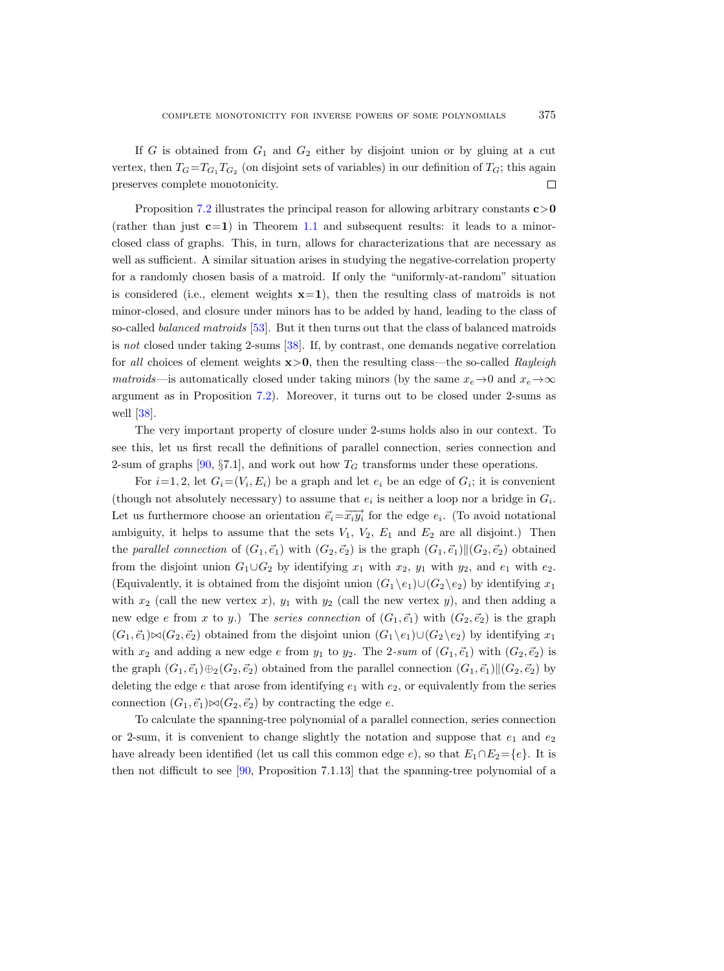If G is obtained from  $G_1$  and  $G_2$  either by disjoint union or by gluing at a cut vertex, then  $T_G = T_{G_1} T_{G_2}$  (on disjoint sets of variables) in our definition of  $T_G$ ; this again preserves complete monotonicity.  $\Box$ 

Proposition [7.2](#page-51-0) illustrates the principal reason for allowing arbitrary constants  $c > 0$ (rather than just  $c=1$ ) in Theorem [1.1](#page-2-1) and subsequent results: it leads to a minorclosed class of graphs. This, in turn, allows for characterizations that are necessary as well as sufficient. A similar situation arises in studying the negative-correlation property for a randomly chosen basis of a matroid. If only the "uniformly-at-random" situation is considered (i.e., element weights  $x=1$ ), then the resulting class of matroids is not minor-closed, and closure under minors has to be added by hand, leading to the class of so-called balanced matroids [\[53\]](#page-65-20). But it then turns out that the class of balanced matroids is not closed under taking 2-sums [\[38\]](#page-65-10). If, by contrast, one demands negative correlation for all choices of element weights  $x>0$ , then the resulting class—the so-called Rayleigh matroids—is automatically closed under taking minors (by the same  $x_e \to 0$  and  $x_e \to \infty$ argument as in Proposition [7.2\)](#page-51-0). Moreover, it turns out to be closed under 2-sums as well [\[38\]](#page-65-10).

The very important property of closure under 2-sums holds also in our context. To see this, let us first recall the definitions of parallel connection, series connection and 2-sum of graphs [\[90,](#page-67-4) §7.1], and work out how  $T_G$  transforms under these operations.

For  $i=1, 2$ , let  $G_i = (V_i, E_i)$  be a graph and let  $e_i$  be an edge of  $G_i$ ; it is convenient (though not absolutely necessary) to assume that  $e_i$  is neither a loop nor a bridge in  $G_i$ . Let us furthermore choose an orientation  $\vec{e}_i = \overrightarrow{x_i y_i}$  for the edge  $e_i$ . (To avoid notational ambiguity, it helps to assume that the sets  $V_1$ ,  $V_2$ ,  $E_1$  and  $E_2$  are all disjoint.) Then the parallel connection of  $(G_1, \vec{e}_1)$  with  $(G_2, \vec{e}_2)$  is the graph  $(G_1, \vec{e}_1)$  $\|(G_2, \vec{e}_2)$  obtained from the disjoint union  $G_1 \cup G_2$  by identifying  $x_1$  with  $x_2$ ,  $y_1$  with  $y_2$ , and  $e_1$  with  $e_2$ . (Equivalently, it is obtained from the disjoint union  $(G_1 \backslash e_1) \cup (G_2 \backslash e_2)$  by identifying  $x_1$ with  $x_2$  (call the new vertex x),  $y_1$  with  $y_2$  (call the new vertex y), and then adding a new edge e from x to y.) The series connection of  $(G_1, \vec{e}_1)$  with  $(G_2, \vec{e}_2)$  is the graph  $(G_1, \vec{e}_1) \bowtie (G_2, \vec{e}_2)$  obtained from the disjoint union  $(G_1 \backslash e_1) \cup (G_2 \backslash e_2)$  by identifying  $x_1$ with  $x_2$  and adding a new edge e from  $y_1$  to  $y_2$ . The 2-sum of  $(G_1, \vec{e}_1)$  with  $(G_2, \vec{e}_2)$  is the graph  $(G_1, \vec{e}_1) \oplus_2 (G_2, \vec{e}_2)$  obtained from the parallel connection  $(G_1, \vec{e}_1)$   $|(G_2, \vec{e}_2)$  by deleting the edge  $e$  that arose from identifying  $e_1$  with  $e_2$ , or equivalently from the series connection  $(G_1, \vec{e}_1) \bowtie (G_2, \vec{e}_2)$  by contracting the edge e.

To calculate the spanning-tree polynomial of a parallel connection, series connection or 2-sum, it is convenient to change slightly the notation and suppose that  $e_1$  and  $e_2$ have already been identified (let us call this common edge e), so that  $E_1 \cap E_2 = \{e\}$ . It is then not difficult to see [\[90,](#page-67-4) Proposition 7.1.13] that the spanning-tree polynomial of a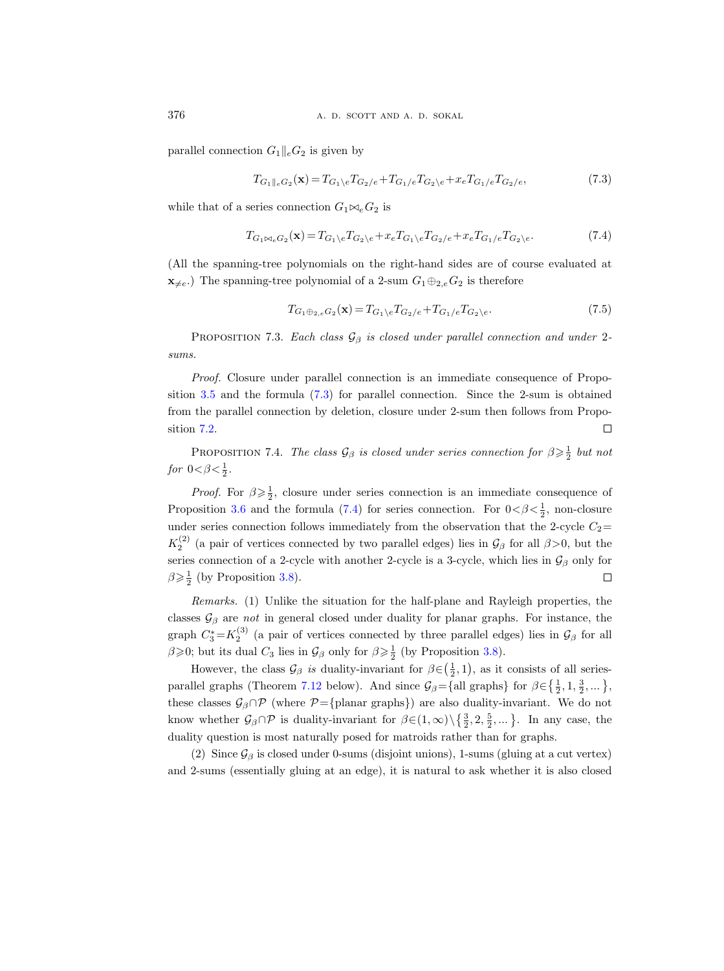parallel connection  $G_1||_eG_2$  is given by

<span id="page-53-0"></span>
$$
T_{G_1||_eG_2}(\mathbf{x}) = T_{G_1\backslash e}T_{G_2/e} + T_{G_1/e}T_{G_2\backslash e} + x_eT_{G_1/e}T_{G_2/e},\tag{7.3}
$$

while that of a series connection  $G_1 \bowtie_e G_2$  is

<span id="page-53-1"></span>
$$
T_{G_1 \bowtie_e G_2}(\mathbf{x}) = T_{G_1 \backslash e} T_{G_2 \backslash e} + x_e T_{G_1 \backslash e} T_{G_2 \backslash e} + x_e T_{G_1 \backslash e} T_{G_2 \backslash e}.
$$
\n
$$
(7.4)
$$

(All the spanning-tree polynomials on the right-hand sides are of course evaluated at  $\mathbf{x}_{\neq e}$ .) The spanning-tree polynomial of a 2-sum  $G_1 \oplus_{2,e} G_2$  is therefore

<span id="page-53-2"></span>
$$
T_{G_1 \oplus_{2,e} G_2}(\mathbf{x}) = T_{G_1 \backslash e} T_{G_2 / e} + T_{G_1 / e} T_{G_2 \backslash e}.
$$
\n(7.5)

PROPOSITION 7.3. Each class  $\mathcal{G}_{\beta}$  is closed under parallel connection and under 2sums.

Proof. Closure under parallel connection is an immediate consequence of Proposition [3.5](#page-24-5) and the formula [\(7.3\)](#page-53-0) for parallel connection. Since the 2-sum is obtained from the parallel connection by deletion, closure under 2-sum then follows from Proposition [7.2.](#page-51-0)  $\Box$ 

<span id="page-53-3"></span>PROPOSITION 7.4. The class  $\mathcal{G}_{\beta}$  is closed under series connection for  $\beta \geqslant \frac{1}{2}$  but not for  $0<\beta<\frac{1}{2}$ .

*Proof.* For  $\beta \geq \frac{1}{2}$ , closure under series connection is an immediate consequence of Proposition [3.6](#page-24-0) and the formula [\(7.4\)](#page-53-1) for series connection. For  $0 < \beta < \frac{1}{2}$ , non-closure under series connection follows immediately from the observation that the 2-cycle  $C_2=$  $K_2^{(2)}$  (a pair of vertices connected by two parallel edges) lies in  $\mathcal{G}_{\beta}$  for all  $\beta$ >0, but the series connection of a 2-cycle with another 2-cycle is a 3-cycle, which lies in  $\mathcal{G}_{\beta}$  only for  $\beta \geqslant \frac{1}{2}$  (by Proposition [3.8\)](#page-27-1).  $\Box$ 

Remarks. (1) Unlike the situation for the half-plane and Rayleigh properties, the classes  $\mathcal{G}_{\beta}$  are *not* in general closed under duality for planar graphs. For instance, the graph  $C_3^* = K_2^{(3)}$  (a pair of vertices connected by three parallel edges) lies in  $\mathcal{G}_{\beta}$  for all  $\beta \geqslant 0$ ; but its dual  $C_3$  lies in  $\mathcal{G}_{\beta}$  only for  $\beta \geqslant \frac{1}{2}$  (by Proposition [3.8\)](#page-27-1).

However, the class  $\mathcal{G}_{\beta}$  is duality-invariant for  $\beta \in (\frac{1}{2}, 1)$ , as it consists of all series-parallel graphs (Theorem [7.12](#page-59-0) below). And since  $\mathcal{G}_{\beta} = \{ \text{all graphs} \}$  for  $\beta \in \{ \frac{1}{2}, 1, \frac{3}{2}, \dots \}$ , these classes  $\mathcal{G}_{\beta} \cap \mathcal{P}$  (where  $\mathcal{P} = \{\text{planar graphs}\}\)$  are also duality-invariant. We do not know whether  $\mathcal{G}_{\beta} \cap \mathcal{P}$  is duality-invariant for  $\beta \in (1,\infty) \setminus \{\frac{3}{2}, 2, \frac{5}{2}, ...\}$ . In any case, the duality question is most naturally posed for matroids rather than for graphs.

(2) Since  $\mathcal{G}_{\beta}$  is closed under 0-sums (disjoint unions), 1-sums (gluing at a cut vertex) and 2-sums (essentially gluing at an edge), it is natural to ask whether it is also closed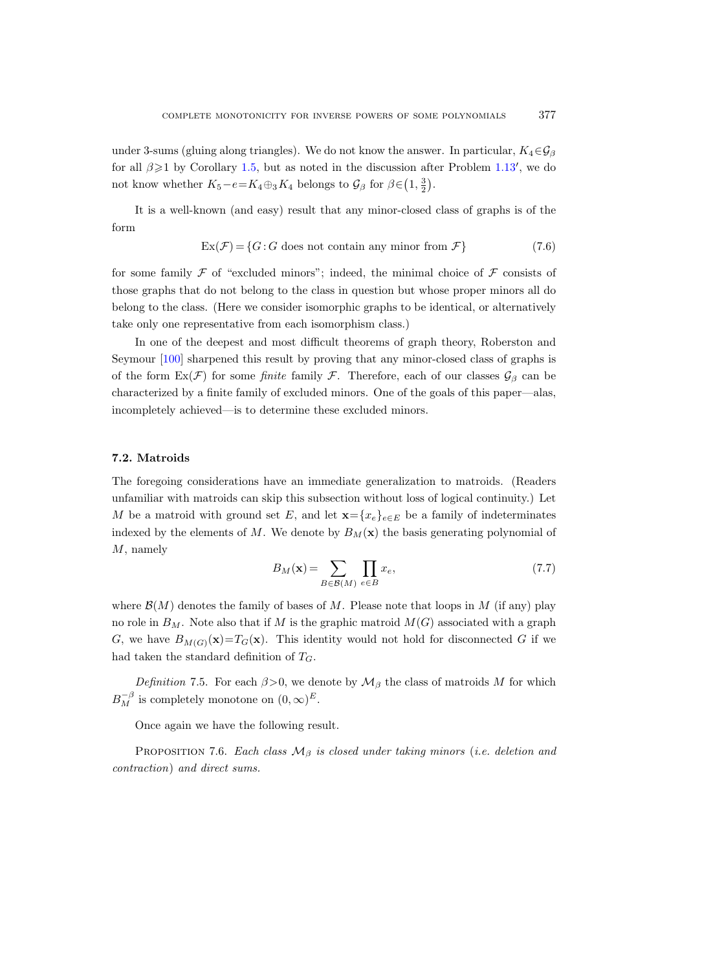under 3-sums (gluing along triangles). We do not know the answer. In particular,  $K_4 \in \mathcal{G}_{\beta}$ for all  $\beta \geq 1$  by Corollary [1.5,](#page-5-3) but as noted in the discussion after Problem [1.13](#page-12-0)', we do not know whether  $K_5 - e = K_4 \oplus_3 K_4$  belongs to  $\mathcal{G}_{\beta}$  for  $\beta \in (1, \frac{3}{2})$ .

It is a well-known (and easy) result that any minor-closed class of graphs is of the form

$$
Ex(\mathcal{F}) = \{G : G \text{ does not contain any minor from } \mathcal{F}\}\
$$
 (7.6)

for some family  $\mathcal F$  of "excluded minors"; indeed, the minimal choice of  $\mathcal F$  consists of those graphs that do not belong to the class in question but whose proper minors all do belong to the class. (Here we consider isomorphic graphs to be identical, or alternatively take only one representative from each isomorphism class.)

In one of the deepest and most difficult theorems of graph theory, Roberston and Seymour [\[100\]](#page-68-22) sharpened this result by proving that any minor-closed class of graphs is of the form  $\text{Ex}(\mathcal{F})$  for some *finite* family  $\mathcal{F}$ . Therefore, each of our classes  $\mathcal{G}_{\beta}$  can be characterized by a finite family of excluded minors. One of the goals of this paper—alas, incompletely achieved—is to determine these excluded minors.

# <span id="page-54-0"></span>7.2. Matroids

The foregoing considerations have an immediate generalization to matroids. (Readers unfamiliar with matroids can skip this subsection without loss of logical continuity.) Let M be a matroid with ground set E, and let  $\mathbf{x} = \{x_e\}_{e \in E}$  be a family of indeterminates indexed by the elements of M. We denote by  $B_M(\mathbf{x})$  the basis generating polynomial of M, namely

$$
B_M(\mathbf{x}) = \sum_{B \in \mathcal{B}(M)} \prod_{e \in B} x_e,\tag{7.7}
$$

where  $\mathcal{B}(M)$  denotes the family of bases of M. Please note that loops in M (if any) play no role in  $B_M$ . Note also that if M is the graphic matroid  $M(G)$  associated with a graph G, we have  $B_{M(G)}(\mathbf{x})=T_G(\mathbf{x})$ . This identity would not hold for disconnected G if we had taken the standard definition of  $T_G$ .

Definition 7.5. For each  $\beta > 0$ , we denote by  $\mathcal{M}_{\beta}$  the class of matroids M for which  $B_M^{-\beta}$  is completely monotone on  $(0, \infty)^E$ .

Once again we have the following result.

<span id="page-54-1"></span>PROPOSITION 7.6. Each class  $\mathcal{M}_{\beta}$  is closed under taking minors (i.e. deletion and contraction) and direct sums.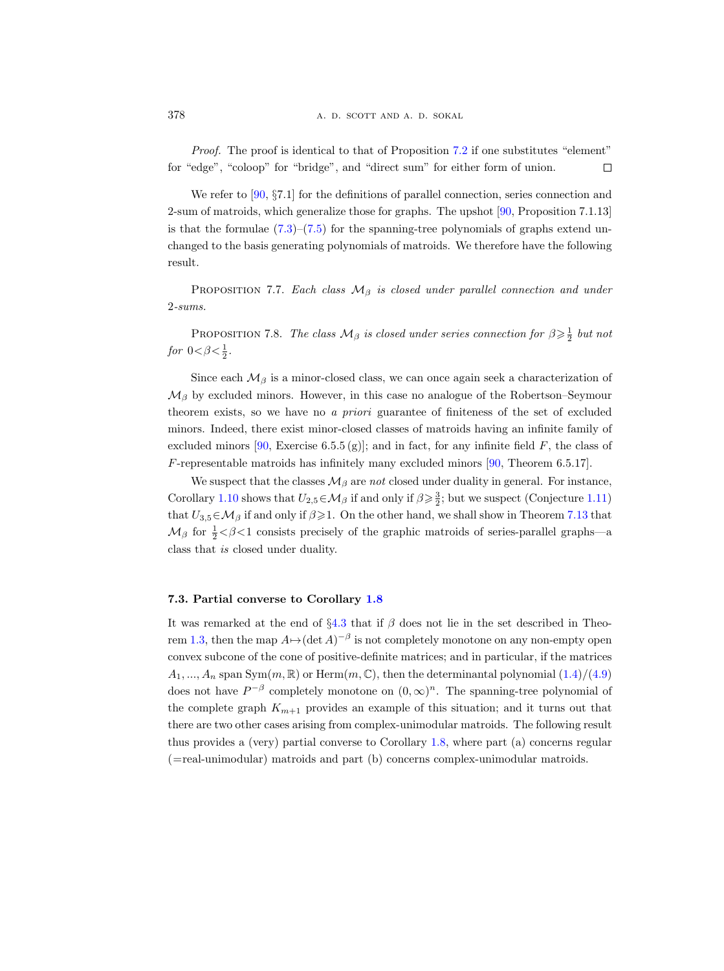Proof. The proof is identical to that of Proposition [7.2](#page-51-0) if one substitutes "element" for "edge", "coloop" for "bridge", and "direct sum" for either form of union.  $\Box$ 

We refer to [\[90,](#page-67-4) §7.1] for the definitions of parallel connection, series connection and 2-sum of matroids, which generalize those for graphs. The upshot [\[90,](#page-67-4) Proposition 7.1.13] is that the formulae  $(7.3)$ – $(7.5)$  for the spanning-tree polynomials of graphs extend unchanged to the basis generating polynomials of matroids. We therefore have the following result.

PROPOSITION 7.7. Each class  $\mathcal{M}_{\beta}$  is closed under parallel connection and under 2-sums.

<span id="page-55-2"></span>PROPOSITION 7.8. The class  $\mathcal{M}_{\beta}$  is closed under series connection for  $\beta \geqslant \frac{1}{2}$  but not for  $0 < \beta < \frac{1}{2}$ .

Since each  $\mathcal{M}_{\beta}$  is a minor-closed class, we can once again seek a characterization of  $\mathcal{M}_{\beta}$  by excluded minors. However, in this case no analogue of the Robertson–Seymour theorem exists, so we have no a priori guarantee of finiteness of the set of excluded minors. Indeed, there exist minor-closed classes of matroids having an infinite family of excluded minors [\[90,](#page-67-4) Exercise 6.5.5 (g)]; and in fact, for any infinite field F, the class of F-representable matroids has infinitely many excluded minors [\[90,](#page-67-4) Theorem 6.5.17].

We suspect that the classes  $\mathcal{M}_{\beta}$  are not closed under duality in general. For instance, Corollary [1.10](#page-10-1) shows that  $U_{2,5} \in \mathcal{M}_{\beta}$  if and only if  $\beta \geq \frac{3}{2}$ ; but we suspect (Conjecture [1.11\)](#page-11-1) that  $U_{3,5} \in \mathcal{M}_{\beta}$  if and only if  $\beta \geq 1$ . On the other hand, we shall show in Theorem [7.13](#page-60-2) that  $\mathcal{M}_{\beta}$  for  $\frac{1}{2} < \beta < 1$  consists precisely of the graphic matroids of series-parallel graphs—a class that is closed under duality.

# <span id="page-55-0"></span>7.3. Partial converse to Corollary [1.8](#page-8-0)

<span id="page-55-1"></span>It was remarked at the end of  $\S4.3$  $\S4.3$  that if  $\beta$  does not lie in the set described in Theo-rem [1.3,](#page-4-2) then the map  $A \mapsto (\det A)^{-\beta}$  is not completely monotone on any non-empty open convex subcone of the cone of positive-definite matrices; and in particular, if the matrices  $A_1, ..., A_n$  span Sym $(m, \mathbb{R})$  or Herm $(m, \mathbb{C})$ , then the determinantal polynomial  $(1.4)/(4.9)$  $(1.4)/(4.9)$ does not have  $P^{-\beta}$  completely monotone on  $(0,\infty)^n$ . The spanning-tree polynomial of the complete graph  $K_{m+1}$  provides an example of this situation; and it turns out that there are two other cases arising from complex-unimodular matroids. The following result thus provides a (very) partial converse to Corollary [1.8,](#page-8-0) where part (a) concerns regular (=real-unimodular) matroids and part (b) concerns complex-unimodular matroids.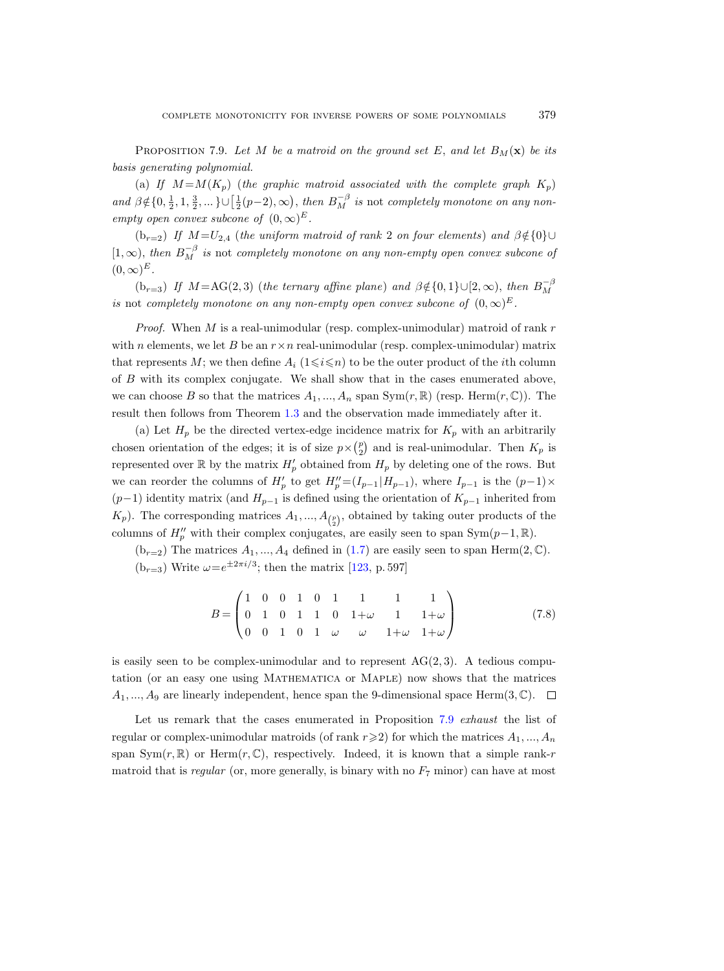PROPOSITION 7.9. Let M be a matroid on the ground set E, and let  $B_M(\mathbf{x})$  be its basis generating polynomial.

(a) If  $M = M(K_n)$  (the graphic matroid associated with the complete graph  $K_n$ ) and  $\beta \notin \{0, \frac{1}{2}, 1, \frac{3}{2}, \dots\} \cup \left[\frac{1}{2}(p-2), \infty\right)$ , then  $B_M^{-\beta}$  is not completely monotone on any nonempty open convex subcone of  $(0, \infty)^E$ .

(b<sub>r=2</sub>) If  $M=U_{2,4}$  (the uniform matroid of rank 2 on four elements) and  $\beta \notin \{0\} \cup$  $[1,\infty)$ , then  $B_M^{-\beta}$  is not completely monotone on any non-empty open convex subcone of  $(0,\infty)^E$ .

(b<sub>r=3</sub>) If  $M = AG(2,3)$  (the ternary affine plane) and  $\beta \notin \{0,1\} \cup [2,\infty)$ , then  $B_M^{-\beta}$ is not completely monotone on any non-empty open convex subcone of  $(0,\infty)^E$ .

*Proof.* When  $M$  is a real-unimodular (resp. complex-unimodular) matroid of rank  $r$ with n elements, we let B be an  $r \times n$  real-unimodular (resp. complex-unimodular) matrix that represents M; we then define  $A_i$  ( $1\leq i\leq n$ ) to be the outer product of the *i*th column of B with its complex conjugate. We shall show that in the cases enumerated above, we can choose B so that the matrices  $A_1, ..., A_n$  span Sym $(r, \mathbb{R})$  (resp. Herm $(r, \mathbb{C})$ ). The result then follows from Theorem [1.3](#page-4-2) and the observation made immediately after it.

(a) Let  $H_p$  be the directed vertex-edge incidence matrix for  $K_p$  with an arbitrarily chosen orientation of the edges; it is of size  $p \times \binom{p}{2}$  and is real-unimodular. Then  $K_p$  is represented over  $\mathbb R$  by the matrix  $H'_p$  obtained from  $H_p$  by deleting one of the rows. But we can reorder the columns of  $H'_p$  to get  $H''_p = (I_{p-1} | H_{p-1})$ , where  $I_{p-1}$  is the  $(p-1) \times$  $(p-1)$  identity matrix (and  $H_{p-1}$  is defined using the orientation of  $K_{p-1}$  inherited from  $(K_p)$ . The corresponding matrices  $A_1, ..., A_{\binom{p}{2}}$ , obtained by taking outer products of the columns of  $H_p''$  with their complex conjugates, are easily seen to span Sym $(p-1, \mathbb{R})$ .

 $(b_{r=2})$  The matrices  $A_1, ..., A_4$  defined in  $(1.7)$  are easily seen to span Herm $(2, \mathbb{C})$ .  $(b_{r=3})$  Write  $\omega=e^{\pm 2\pi i/3}$ ; then the matrix [\[123,](#page-69-4) p. 597]

$$
B = \begin{pmatrix} 1 & 0 & 0 & 1 & 0 & 1 & 1 & 1 & 1 \\ 0 & 1 & 0 & 1 & 1 & 0 & 1 + \omega & 1 & 1 + \omega \\ 0 & 0 & 1 & 0 & 1 & \omega & \omega & 1 + \omega & 1 + \omega \end{pmatrix}
$$
(7.8)

is easily seen to be complex-unimodular and to represent  $AG(2,3)$ . A tedious computation (or an easy one using Mathematica or Maple) now shows that the matrices  $A_1, ..., A_9$  are linearly independent, hence span the 9-dimensional space Herm $(3, \mathbb{C})$ .  $\Box$ 

Let us remark that the cases enumerated in Proposition [7.9](#page-55-1) exhaust the list of regular or complex-unimodular matroids (of rank  $r\geqslant 2$ ) for which the matrices  $A_1, ..., A_n$ span  $Sym(r, \mathbb{R})$  or Herm $(r, \mathbb{C})$ , respectively. Indeed, it is known that a simple rank-r matroid that is regular (or, more generally, is binary with no  $F<sub>7</sub>$  minor) can have at most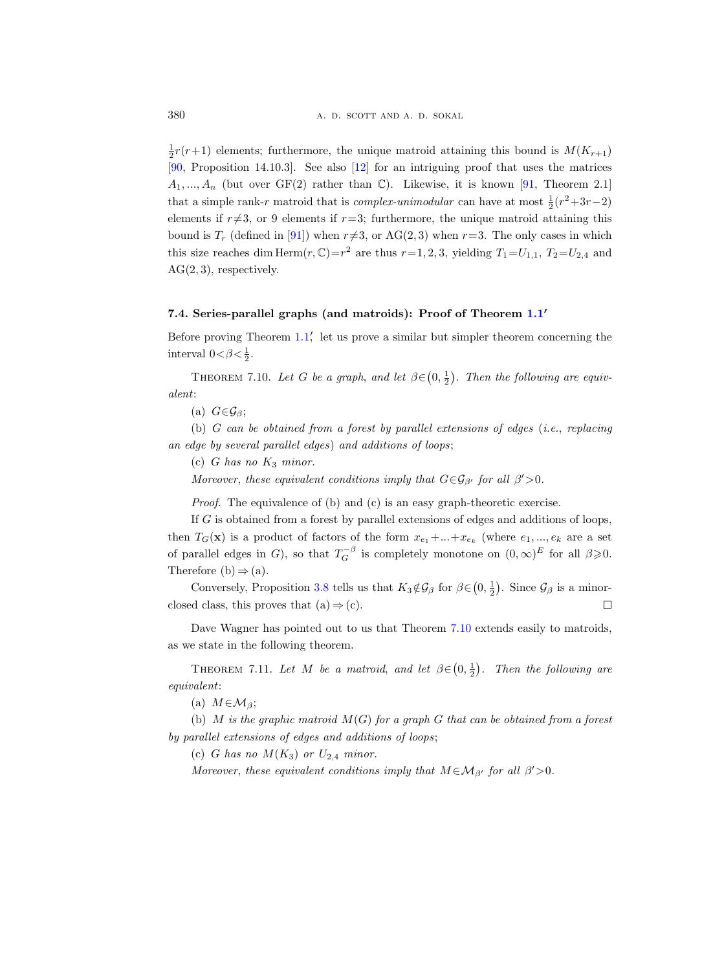$\frac{1}{2}r(r+1)$  elements; furthermore, the unique matroid attaining this bound is  $M(K_{r+1})$ [\[90,](#page-67-4) Proposition 14.10.3]. See also [\[12\]](#page-64-20) for an intriguing proof that uses the matrices  $A_1, ..., A_n$  (but over GF(2) rather than C). Likewise, it is known [\[91,](#page-67-20) Theorem 2.1] that a simple rank-r matroid that is *complex-unimodular* can have at most  $\frac{1}{2}(r^2+3r-2)$ elements if  $r\neq3$ , or 9 elements if  $r=3$ ; furthermore, the unique matroid attaining this bound is  $T_r$  (defined in [\[91\]](#page-67-20)) when  $r\neq 3$ , or AG(2, 3) when  $r=3$ . The only cases in which this size reaches dim  $\text{Herm}(r, \mathbb{C})=r^2$  are thus  $r=1, 2, 3$ , yielding  $T_1=U_{1,1}$ ,  $T_2=U_{2,4}$  and  $AG(2,3)$ , respectively.

# <span id="page-57-0"></span>7.4. Series-parallel graphs (and matroids): Proof of Theorem [1.1](#page-2-1)'

Before proving Theorem [1.1,](#page-2-1) let us prove a similar but simpler theorem concerning the interval  $0 < \beta < \frac{1}{2}$ .

<span id="page-57-1"></span>THEOREM 7.10. Let G be a graph, and let  $\beta \in (0, \frac{1}{2})$ . Then the following are equivalent:

(a)  $G \in \mathcal{G}_{\beta};$ 

(b) G can be obtained from a forest by parallel extensions of edges (i.e., replacing an edge by several parallel edges) and additions of loops;

(c) G has no  $K_3$  minor.

Moreover, these equivalent conditions imply that  $G \in \mathcal{G}_{\beta'}$  for all  $\beta' > 0$ .

Proof. The equivalence of (b) and (c) is an easy graph-theoretic exercise.

If G is obtained from a forest by parallel extensions of edges and additions of loops, then  $T_G(\mathbf{x})$  is a product of factors of the form  $x_{e_1} + ... + x_{e_k}$  (where  $e_1, ..., e_k$  are a set of parallel edges in G, so that  $T_G^{-\beta}$  is completely monotone on  $(0,\infty)^E$  for all  $\beta \geqslant 0$ . Therefore (b)  $\Rightarrow$  (a).

Conversely, Proposition [3.8](#page-27-1) tells us that  $K_3 \notin \mathcal{G}_{\beta}$  for  $\beta \in (0, \frac{1}{2})$ . Since  $\mathcal{G}_{\beta}$  is a minorclosed class, this proves that  $(a) \Rightarrow (c)$ .  $\Box$ 

Dave Wagner has pointed out to us that Theorem [7.10](#page-57-1) extends easily to matroids, as we state in the following theorem.

<span id="page-57-2"></span>THEOREM 7.11. Let M be a matroid, and let  $\beta \in (0, \frac{1}{2})$ . Then the following are equivalent:

(a)  $M \in \mathcal{M}_{\beta}$ ;

(b) M is the graphic matroid  $M(G)$  for a graph G that can be obtained from a forest by parallel extensions of edges and additions of loops;

(c) G has no  $M(K_3)$  or  $U_{2,4}$  minor.

Moreover, these equivalent conditions imply that  $M \in \mathcal{M}_{\beta'}$  for all  $\beta' > 0$ .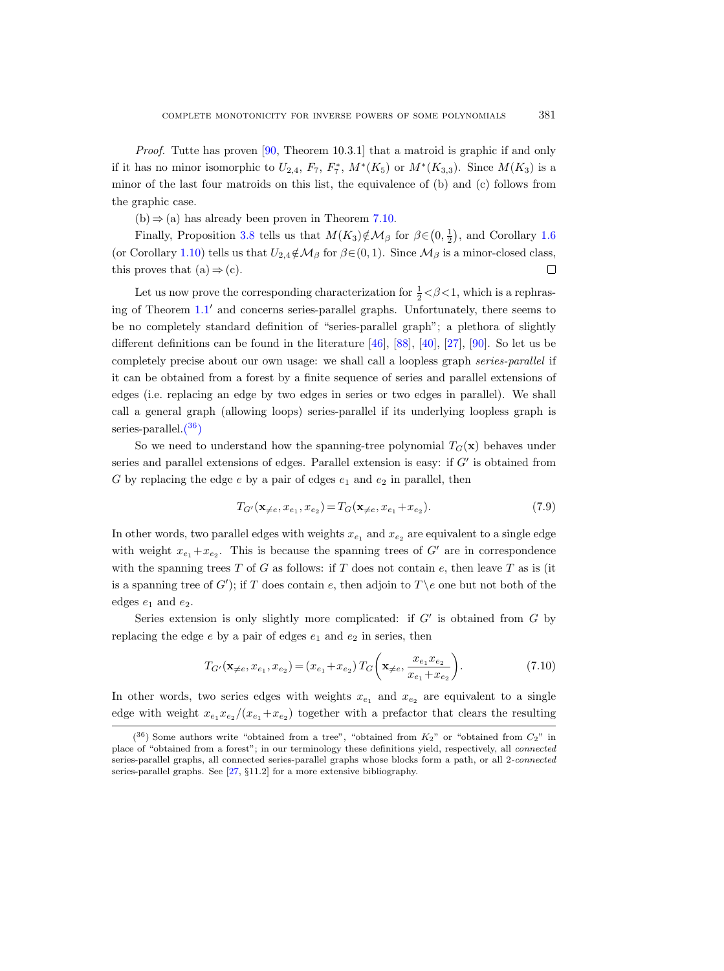Proof. Tutte has proven [\[90,](#page-67-4) Theorem 10.3.1] that a matroid is graphic if and only if it has no minor isomorphic to  $U_{2,4}$ ,  $F_7$ ,  $F_7^*$ ,  $M^*(K_5)$  or  $M^*(K_{3,3})$ . Since  $M(K_3)$  is a minor of the last four matroids on this list, the equivalence of (b) and (c) follows from the graphic case.

 $(b) \Rightarrow (a)$  has already been proven in Theorem [7.10.](#page-57-1)

Finally, Proposition [3.8](#page-27-1) tells us that  $M(K_3) \notin \mathcal{M}_\beta$  for  $\beta \in (0, \frac{1}{2})$ , and Corollary [1.6](#page-6-0) (or Corollary [1.10\)](#page-10-1) tells us that  $U_{2,4}\notin\mathcal{M}_{\beta}$  for  $\beta\in(0,1)$ . Since  $\mathcal{M}_{\beta}$  is a minor-closed class, this proves that  $(a) \Rightarrow (c)$ .  $\Box$ 

Let us now prove the corresponding characterization for  $\frac{1}{2} < \beta < 1$ , which is a rephrasing of Theorem  $1.1<sup>′</sup>$  $1.1<sup>′</sup>$  and concerns series-parallel graphs. Unfortunately, there seems to be no completely standard definition of "series-parallel graph"; a plethora of slightly different definitions can be found in the literature [\[46\]](#page-65-21), [\[88\]](#page-67-21), [\[40\]](#page-65-22), [\[27\]](#page-64-21), [\[90\]](#page-67-4). So let us be completely precise about our own usage: we shall call a loopless graph series-parallel if it can be obtained from a forest by a finite sequence of series and parallel extensions of edges (i.e. replacing an edge by two edges in series or two edges in parallel). We shall call a general graph (allowing loops) series-parallel if its underlying loopless graph is series-parallel[.\(](#page-58-0) <sup>36</sup>)

So we need to understand how the spanning-tree polynomial  $T_G(\mathbf{x})$  behaves under series and parallel extensions of edges. Parallel extension is easy: if  $G'$  is obtained from G by replacing the edge  $e$  by a pair of edges  $e_1$  and  $e_2$  in parallel, then

<span id="page-58-2"></span>
$$
T_{G'}(\mathbf{x}_{\neq e}, x_{e_1}, x_{e_2}) = T_G(\mathbf{x}_{\neq e}, x_{e_1} + x_{e_2}).
$$
\n(7.9)

In other words, two parallel edges with weights  $x_{e_1}$  and  $x_{e_2}$  are equivalent to a single edge with weight  $x_{e_1}+x_{e_2}$ . This is because the spanning trees of G' are in correspondence with the spanning trees  $T$  of  $G$  as follows: if  $T$  does not contain  $e$ , then leave  $T$  as is (it is a spanning tree of G'); if T does contain e, then adjoin to  $T \ e$  one but not both of the edges  $e_1$  and  $e_2$ .

Series extension is only slightly more complicated: if  $G'$  is obtained from  $G$  by replacing the edge  $e$  by a pair of edges  $e_1$  and  $e_2$  in series, then

<span id="page-58-1"></span>
$$
T_{G'}(\mathbf{x}_{\neq e}, x_{e_1}, x_{e_2}) = (x_{e_1} + x_{e_2}) T_G\left(\mathbf{x}_{\neq e}, \frac{x_{e_1} x_{e_2}}{x_{e_1} + x_{e_2}}\right).
$$
 (7.10)

In other words, two series edges with weights  $x_{e_1}$  and  $x_{e_2}$  are equivalent to a single edge with weight  $x_{e_1}x_{e_2}/(x_{e_1}+x_{e_2})$  together with a prefactor that clears the resulting

<span id="page-58-0"></span> $(36)$  Some authors write "obtained from a tree", "obtained from  $K_2$ " or "obtained from  $C_2$ " in place of "obtained from a forest"; in our terminology these definitions yield, respectively, all connected series-parallel graphs, all connected series-parallel graphs whose blocks form a path, or all 2-connected series-parallel graphs. See [\[27,](#page-64-21) §11.2] for a more extensive bibliography.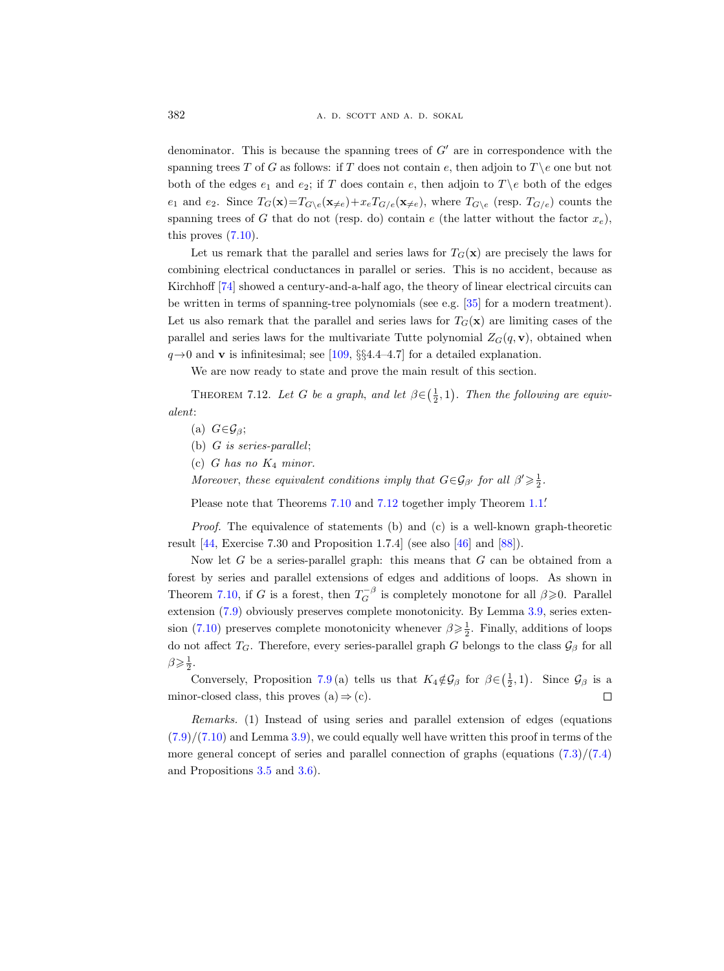denominator. This is because the spanning trees of  $G'$  are in correspondence with the spanning trees T of G as follows: if T does not contain e, then adjoin to  $T \backslash e$  one but not both of the edges  $e_1$  and  $e_2$ ; if T does contain e, then adjoin to  $T \e$  both of the edges  $e_1$  and  $e_2$ . Since  $T_G(\mathbf{x})=T_{G\setminus e}(\mathbf{x}_{\neq e})+x_eT_{G/e}(\mathbf{x}_{\neq e})$ , where  $T_{G\setminus e}$  (resp.  $T_{G/e}$ ) counts the spanning trees of G that do not (resp. do) contain e (the latter without the factor  $x_e$ ), this proves  $(7.10)$ .

Let us remark that the parallel and series laws for  $T_G(\mathbf{x})$  are precisely the laws for combining electrical conductances in parallel or series. This is no accident, because as Kirchhoff [\[74\]](#page-66-3) showed a century-and-a-half ago, the theory of linear electrical circuits can be written in terms of spanning-tree polynomials (see e.g. [\[35\]](#page-65-3) for a modern treatment). Let us also remark that the parallel and series laws for  $T_G(\mathbf{x})$  are limiting cases of the parallel and series laws for the multivariate Tutte polynomial  $Z_G(q, v)$ , obtained when  $q\rightarrow 0$  and **v** is infinitesimal; see [\[109,](#page-68-4) §§4.4–4.7] for a detailed explanation.

We are now ready to state and prove the main result of this section.

<span id="page-59-0"></span>THEOREM 7.12. Let G be a graph, and let  $\beta \in (\frac{1}{2}, 1)$ . Then the following are equivalent:

(a)  $G \in \mathcal{G}_{\beta}$ ;

(b)  $G$  is series-parallel;

(c) G has no  $K_4$  minor.

Moreover, these equivalent conditions imply that  $G \in \mathcal{G}_{\beta'}$  for all  $\beta' \geq \frac{1}{2}$ .

Please note that Theorems [7.10](#page-57-1) and [7.12](#page-59-0) together imply Theorem [1.1.](#page-2-1)

*Proof.* The equivalence of statements (b) and (c) is a well-known graph-theoretic result [\[44,](#page-65-23) Exercise 7.30 and Proposition 1.7.4] (see also [\[46\]](#page-65-21) and [\[88\]](#page-67-21)).

Now let  $G$  be a series-parallel graph: this means that  $G$  can be obtained from a forest by series and parallel extensions of edges and additions of loops. As shown in Theorem [7.10,](#page-57-1) if G is a forest, then  $T_G^{-\beta}$  is completely monotone for all  $\beta \geq 0$ . Parallel extension [\(7.9\)](#page-58-2) obviously preserves complete monotonicity. By Lemma [3.9,](#page-27-2) series exten-sion [\(7.10\)](#page-58-1) preserves complete monotonicity whenever  $\beta \geq \frac{1}{2}$ . Finally, additions of loops do not affect  $T_G$ . Therefore, every series-parallel graph G belongs to the class  $\mathcal{G}_{\beta}$  for all  $\beta \geqslant \frac{1}{2}$ .

Conversely, Proposition [7.9](#page-55-1)(a) tells us that  $K_4 \notin \mathcal{G}_{\beta}$  for  $\beta \in (\frac{1}{2}, 1)$ . Since  $\mathcal{G}_{\beta}$  is a minor-closed class, this proves  $(a) \Rightarrow (c)$ .  $\Box$ 

Remarks. (1) Instead of using series and parallel extension of edges (equations  $(7.9)/(7.10)$  $(7.9)/(7.10)$  $(7.9)/(7.10)$  and Lemma [3.9\)](#page-27-2), we could equally well have written this proof in terms of the more general concept of series and parallel connection of graphs (equations  $(7.3)/(7.4)$  $(7.3)/(7.4)$ ) and Propositions [3.5](#page-24-5) and [3.6\)](#page-24-0).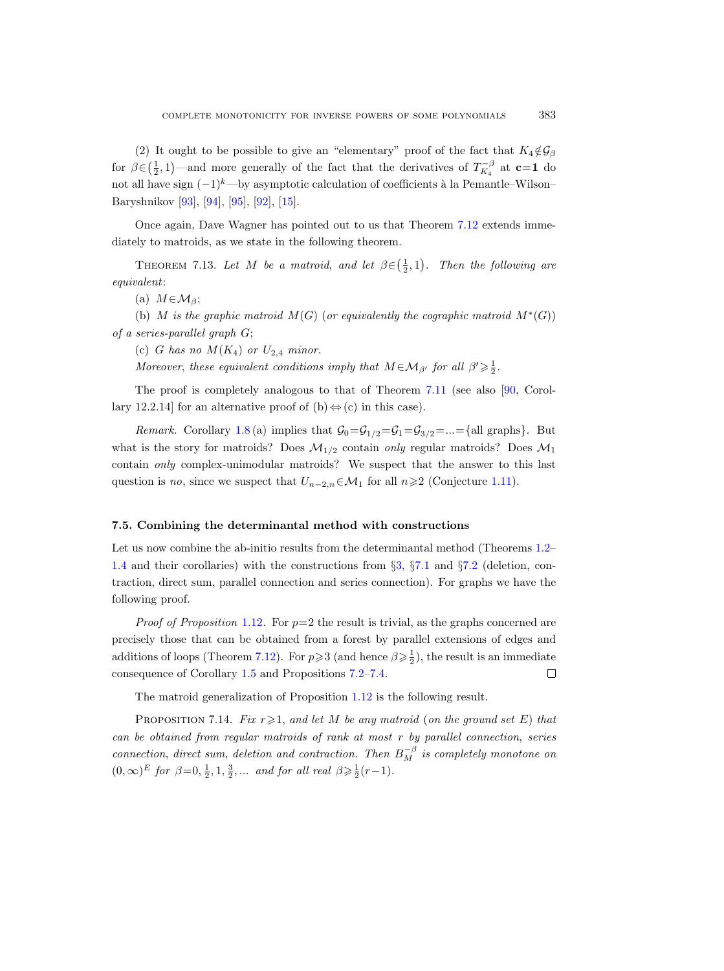(2) It ought to be possible to give an "elementary" proof of the fact that  $K_4 \notin \mathcal{G}_{\beta}$ for  $\beta \in (\frac{1}{2}, 1)$ —and more generally of the fact that the derivatives of  $T_{K_4}^{-\beta}$  at  $c=1$  do not all have sign  $(-1)^{k}$ —by asymptotic calculation of coefficients à la Pemantle–Wilson– Baryshnikov [\[93\]](#page-67-6), [\[94\]](#page-67-7), [\[95\]](#page-67-8), [\[92\]](#page-67-9), [\[15\]](#page-64-4).

Once again, Dave Wagner has pointed out to us that Theorem [7.12](#page-59-0) extends immediately to matroids, as we state in the following theorem.

<span id="page-60-2"></span>THEOREM 7.13. Let M be a matroid, and let  $\beta \in (\frac{1}{2}, 1)$ . Then the following are equivalent:

(a)  $M \in \mathcal{M}_{\beta};$ 

(b) M is the graphic matroid  $M(G)$  (or equivalently the cographic matroid  $M^*(G)$ ) of a series-parallel graph G;

(c) G has no  $M(K_4)$  or  $U_{2,4}$  minor.

Moreover, these equivalent conditions imply that  $M \in \mathcal{M}_{\beta'}$  for all  $\beta' \geq \frac{1}{2}$ .

The proof is completely analogous to that of Theorem [7.11](#page-57-2) (see also [\[90,](#page-67-4) Corollary 12.2.14] for an alternative proof of (b)  $\Leftrightarrow$  (c) in this case).

*Remark.* Corollary [1.8](#page-8-0) (a) implies that  $\mathcal{G}_0 = \mathcal{G}_{1/2} = \mathcal{G}_1 = \mathcal{G}_{3/2} = ... = \{\text{all graphs}\}\.$  But what is the story for matroids? Does  $\mathcal{M}_{1/2}$  contain *only* regular matroids? Does  $\mathcal{M}_1$ contain only complex-unimodular matroids? We suspect that the answer to this last question is no, since we suspect that  $U_{n-2,n} \in \mathcal{M}_1$  for all  $n \geq 2$  (Conjecture [1.11\)](#page-11-1).

#### <span id="page-60-0"></span>7.5. Combining the determinantal method with constructions

Let us now combine the ab-initio results from the determinantal method (Theorems [1.2–](#page-3-1) [1.4](#page-4-0) and their corollaries) with the constructions from §[3,](#page-21-0) §[7.1](#page-50-1) and §[7.2](#page-54-0) (deletion, contraction, direct sum, parallel connection and series connection). For graphs we have the following proof.

*Proof of Proposition [1.12](#page-11-3).* For  $p=2$  the result is trivial, as the graphs concerned are precisely those that can be obtained from a forest by parallel extensions of edges and additions of loops (Theorem [7.12\)](#page-59-0). For  $p \ge 3$  (and hence  $\beta \ge \frac{1}{2}$ ), the result is an immediate consequence of Corollary [1.5](#page-5-3) and Propositions [7.2–](#page-51-0)[7.4.](#page-53-3)  $\Box$ 

The matroid generalization of Proposition [1.12](#page-11-3) is the following result.

<span id="page-60-1"></span>PROPOSITION 7.14. Fix  $r \geq 1$ , and let M be any matroid (on the ground set E) that can be obtained from regular matroids of rank at most r by parallel connection, series connection, direct sum, deletion and contraction. Then  $B_M^{-\beta}$  is completely monotone on  $(0, \infty)^E$  for  $\beta=0, \frac{1}{2}, 1, \frac{3}{2}, \dots$  and for all real  $\beta \geq \frac{1}{2}(r-1)$ .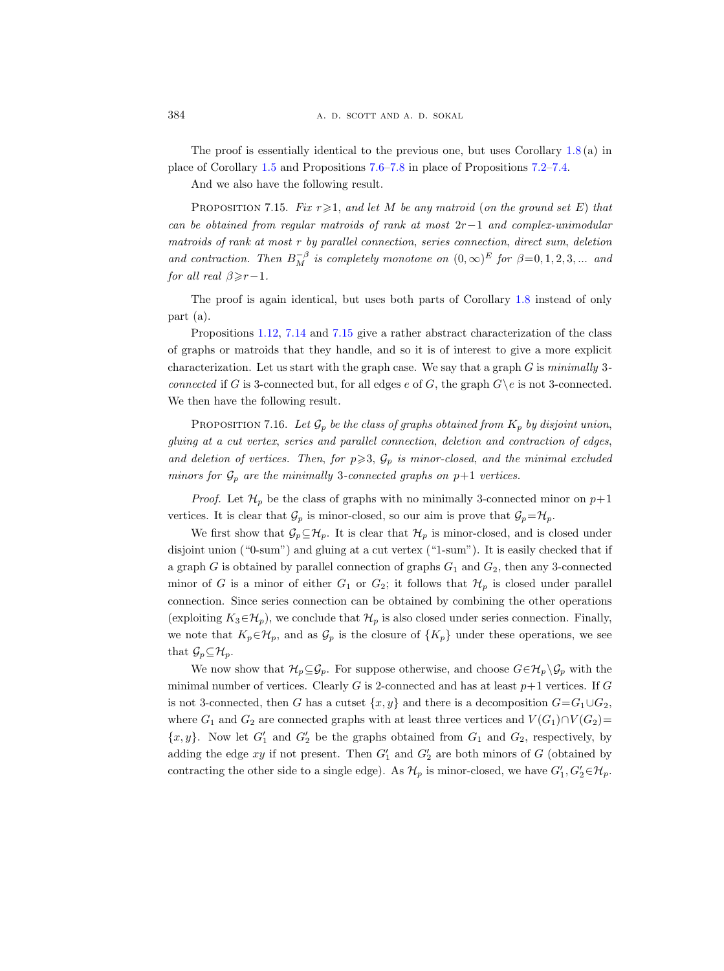The proof is essentially identical to the previous one, but uses Corollary [1.8](#page-8-0) (a) in place of Corollary [1.5](#page-5-3) and Propositions [7.6](#page-54-1)[–7.8](#page-55-2) in place of Propositions [7.2–](#page-51-0)[7.4.](#page-53-3)

And we also have the following result.

<span id="page-61-0"></span>PROPOSITION 7.15. Fix  $r \geq 1$ , and let M be any matroid (on the ground set E) that can be obtained from regular matroids of rank at most  $2r-1$  and complex-unimodular matroids of rank at most r by parallel connection, series connection, direct sum, deletion and contraction. Then  $B_M^{-\beta}$  is completely monotone on  $(0, \infty)^E$  for  $\beta = 0, 1, 2, 3, ...$  and for all real  $\beta \geq r-1$ .

The proof is again identical, but uses both parts of Corollary [1.8](#page-8-0) instead of only part (a).

Propositions [1.12,](#page-11-3) [7.14](#page-60-1) and [7.15](#page-61-0) give a rather abstract characterization of the class of graphs or matroids that they handle, and so it is of interest to give a more explicit characterization. Let us start with the graph case. We say that a graph  $G$  is minimally 3connected if G is 3-connected but, for all edges e of G, the graph  $G\backslash e$  is not 3-connected. We then have the following result.

<span id="page-61-1"></span>PROPOSITION 7.16. Let  $\mathcal{G}_p$  be the class of graphs obtained from  $K_p$  by disjoint union, gluing at a cut vertex, series and parallel connection, deletion and contraction of edges, and deletion of vertices. Then, for  $p \geqslant 3$ ,  $\mathcal{G}_p$  is minor-closed, and the minimal excluded minors for  $\mathcal{G}_p$  are the minimally 3-connected graphs on  $p+1$  vertices.

*Proof.* Let  $\mathcal{H}_p$  be the class of graphs with no minimally 3-connected minor on  $p+1$ vertices. It is clear that  $\mathcal{G}_p$  is minor-closed, so our aim is prove that  $\mathcal{G}_p = \mathcal{H}_p$ .

We first show that  $\mathcal{G}_p \subseteq \mathcal{H}_p$ . It is clear that  $\mathcal{H}_p$  is minor-closed, and is closed under disjoint union ("0-sum") and gluing at a cut vertex ("1-sum"). It is easily checked that if a graph  $G$  is obtained by parallel connection of graphs  $G_1$  and  $G_2$ , then any 3-connected minor of G is a minor of either  $G_1$  or  $G_2$ ; it follows that  $\mathcal{H}_p$  is closed under parallel connection. Since series connection can be obtained by combining the other operations (exploiting  $K_3 \in \mathcal{H}_p$ ), we conclude that  $\mathcal{H}_p$  is also closed under series connection. Finally, we note that  $K_p \in \mathcal{H}_p$ , and as  $\mathcal{G}_p$  is the closure of  $\{K_p\}$  under these operations, we see that  $\mathcal{G}_p \subseteq \mathcal{H}_p$ .

We now show that  $\mathcal{H}_p \subseteq \mathcal{G}_p$ . For suppose otherwise, and choose  $G \in \mathcal{H}_p \backslash \mathcal{G}_p$  with the minimal number of vertices. Clearly  $G$  is 2-connected and has at least  $p+1$  vertices. If  $G$ is not 3-connected, then G has a cutset  $\{x, y\}$  and there is a decomposition  $G = G_1 \cup G_2$ , where  $G_1$  and  $G_2$  are connected graphs with at least three vertices and  $V(G_1) \cap V(G_2)$ =  $\{x, y\}$ . Now let  $G'_1$  and  $G'_2$  be the graphs obtained from  $G_1$  and  $G_2$ , respectively, by adding the edge  $xy$  if not present. Then  $G'_1$  and  $G'_2$  are both minors of G (obtained by contracting the other side to a single edge). As  $\mathcal{H}_p$  is minor-closed, we have  $G'_1, G'_2 \in \mathcal{H}_p$ .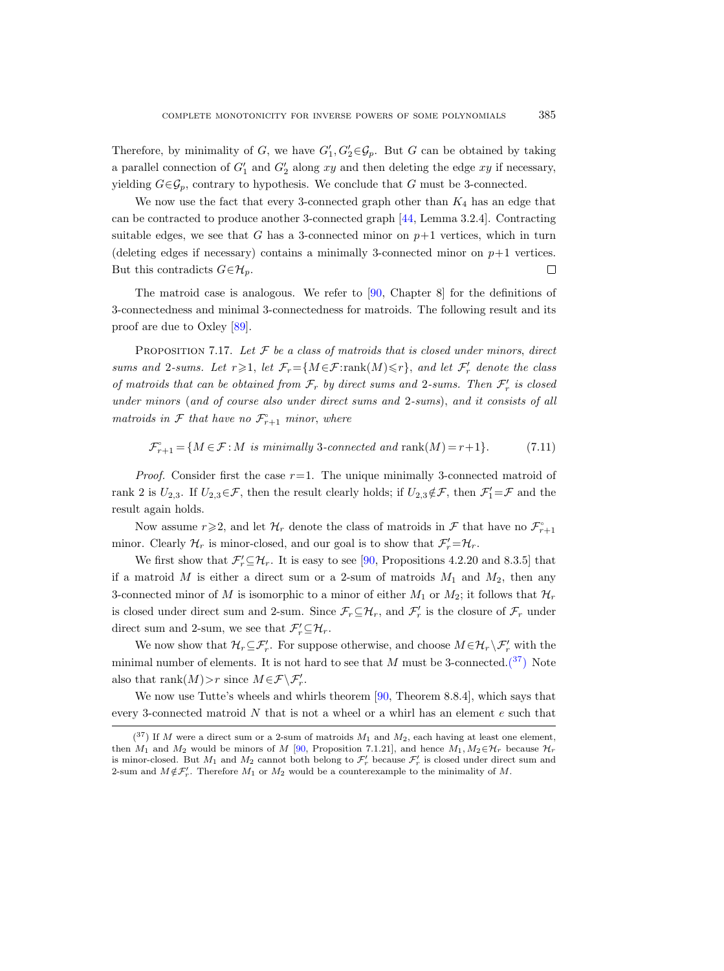Therefore, by minimality of G, we have  $G'_1, G'_2 \in \mathcal{G}_p$ . But G can be obtained by taking a parallel connection of  $G'_1$  and  $G'_2$  along xy and then deleting the edge xy if necessary, yielding  $G \in \mathcal{G}_p$ , contrary to hypothesis. We conclude that G must be 3-connected.

We now use the fact that every 3-connected graph other than  $K_4$  has an edge that can be contracted to produce another 3-connected graph [\[44,](#page-65-23) Lemma 3.2.4]. Contracting suitable edges, we see that G has a 3-connected minor on  $p+1$  vertices, which in turn (deleting edges if necessary) contains a minimally 3-connected minor on  $p+1$  vertices. But this contradicts  $G \in \mathcal{H}_p$ .  $\Box$ 

The matroid case is analogous. We refer to [\[90,](#page-67-4) Chapter 8] for the definitions of 3-connectedness and minimal 3-connectedness for matroids. The following result and its proof are due to Oxley [\[89\]](#page-67-22).

<span id="page-62-1"></span>PROPOSITION 7.17. Let  $F$  be a class of matroids that is closed under minors, direct sums and 2-sums. Let  $r \geq 1$ , let  $\mathcal{F}_r = \{M \in \mathcal{F}:\text{rank}(M) \leq r\}$ , and let  $\mathcal{F}'_r$  denote the class of matroids that can be obtained from  $\mathcal{F}_r$  by direct sums and 2-sums. Then  $\mathcal{F}'_r$  is closed under minors (and of course also under direct sums and 2-sums), and it consists of all matroids in  $\mathcal F$  that have no  $\mathcal F_{r+1}$  minor, where

<span id="page-62-0"></span>
$$
\mathcal{F}_{r+1}^{\circ} = \{ M \in \mathcal{F} : M \text{ is minimally 3-connected and } \text{rank}(M) = r+1 \}. \tag{7.11}
$$

*Proof.* Consider first the case  $r=1$ . The unique minimally 3-connected matroid of rank 2 is  $U_{2,3}$ . If  $U_{2,3} \in \mathcal{F}$ , then the result clearly holds; if  $U_{2,3} \notin \mathcal{F}$ , then  $\mathcal{F}'_1 = \mathcal{F}$  and the result again holds.

Now assume  $r \geq 2$ , and let  $\mathcal{H}_r$  denote the class of matroids in  $\mathcal{F}$  that have no  $\mathcal{F}_{r+1}$ minor. Clearly  $\mathcal{H}_r$  is minor-closed, and our goal is to show that  $\mathcal{F}'_r = \mathcal{H}_r$ .

We first show that  $\mathcal{F}'_r \subseteq \mathcal{H}_r$ . It is easy to see [\[90,](#page-67-4) Propositions 4.2.20 and 8.3.5] that if a matroid M is either a direct sum or a 2-sum of matroids  $M_1$  and  $M_2$ , then any 3-connected minor of M is isomorphic to a minor of either  $M_1$  or  $M_2$ ; it follows that  $\mathcal{H}_r$ is closed under direct sum and 2-sum. Since  $\mathcal{F}_r \subseteq \mathcal{H}_r$ , and  $\mathcal{F}'_r$  is the closure of  $\mathcal{F}_r$  under direct sum and 2-sum, we see that  $\mathcal{F}'_r \subseteq \mathcal{H}_r$ .

We now show that  $\mathcal{H}_r \subseteq \mathcal{F}'_r$ . For suppose otherwise, and choose  $M \in \mathcal{H}_r \setminus \mathcal{F}'_r$  with the minimal number of elements. It is not hard to see that M must be 3-connected. $(37)$  Note also that  $\operatorname{rank}(M) > r$  since  $M \in \mathcal{F} \backslash \mathcal{F}'_r$ .

We now use Tutte's wheels and whirls theorem  $[90,$  Theorem 8.8.4], which says that every 3-connected matroid  $N$  that is not a wheel or a whirl has an element  $e$  such that

<span id="page-62-2"></span> $(37)$  If M were a direct sum or a 2-sum of matroids  $M_1$  and  $M_2$ , each having at least one element, then  $M_1$  and  $M_2$  would be minors of M [\[90,](#page-67-4) Proposition 7.1.21], and hence  $M_1, M_2 \in \mathcal{H}_r$  because  $\mathcal{H}_r$ is minor-closed. But  $M_1$  and  $M_2$  cannot both belong to  $\mathcal{F}'_r$  because  $\mathcal{F}'_r$  is closed under direct sum and 2-sum and  $M \notin \mathcal{F}'_r$ . Therefore  $M_1$  or  $M_2$  would be a counterexample to the minimality of M.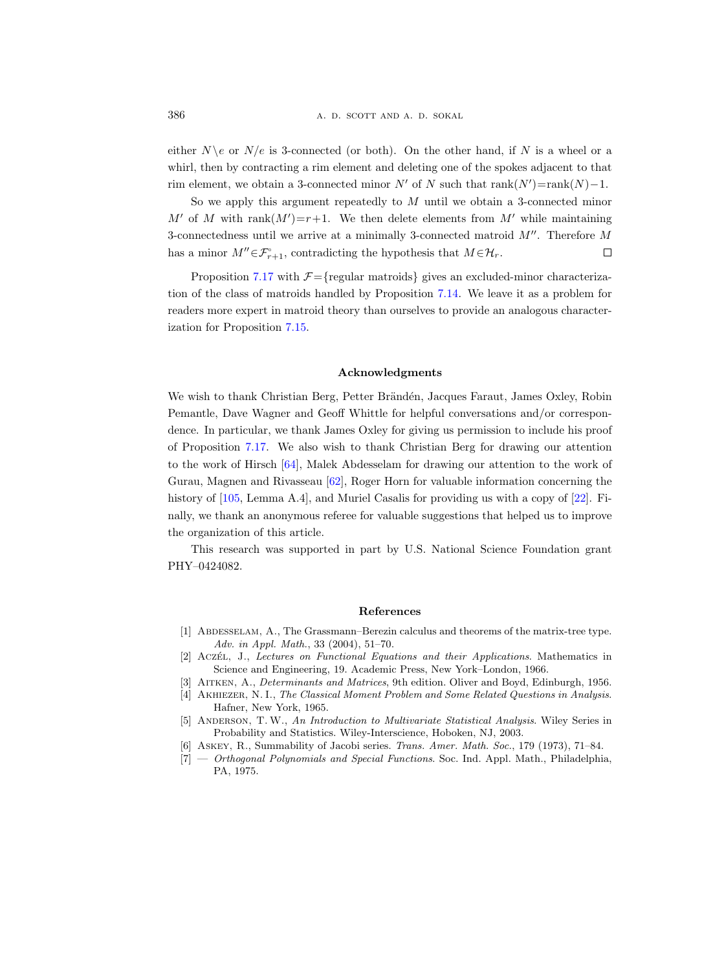<span id="page-63-0"></span>either  $N \geq \alpha$  N/e is 3-connected (or both). On the other hand, if N is a wheel or a whirl, then by contracting a rim element and deleting one of the spokes adjacent to that rim element, we obtain a 3-connected minor  $N'$  of N such that  $rank(N')=rank(N)-1$ .

So we apply this argument repeatedly to  $M$  until we obtain a 3-connected minor M' of M with rank $(M')=r+1$ . We then delete elements from M' while maintaining 3-connectedness until we arrive at a minimally 3-connected matroid  $M''$ . Therefore M has a minor  $M'' \in \mathcal{F}_{r+1}^{\circ}$ , contradicting the hypothesis that  $M \in \mathcal{H}_r$ .  $\Box$ 

Proposition [7.17](#page-62-1) with  $\mathcal{F} = \{$  regular matroids  $\}$  gives an excluded-minor characterization of the class of matroids handled by Proposition [7.14.](#page-60-1) We leave it as a problem for readers more expert in matroid theory than ourselves to provide an analogous characterization for Proposition [7.15.](#page-61-0)

# Acknowledgments

We wish to thank Christian Berg, Petter Brändén, Jacques Faraut, James Oxley, Robin Pemantle, Dave Wagner and Geoff Whittle for helpful conversations and/or correspondence. In particular, we thank James Oxley for giving us permission to include his proof of Proposition [7.17.](#page-62-1) We also wish to thank Christian Berg for drawing our attention to the work of Hirsch [\[64\]](#page-66-11), Malek Abdesselam for drawing our attention to the work of Gurau, Magnen and Rivasseau [\[62\]](#page-66-21), Roger Horn for valuable information concerning the history of [\[105,](#page-68-5) Lemma A.4], and Muriel Casalis for providing us with a copy of [\[22\]](#page-64-17). Finally, we thank an anonymous referee for valuable suggestions that helped us to improve the organization of this article.

This research was supported in part by U.S. National Science Foundation grant PHY–0424082.

#### References

- <span id="page-63-1"></span>[1] Abdesselam, A., The Grassmann–Berezin calculus and theorems of the matrix-tree type. Adv. in Appl. Math., 33 (2004), 51–70.
- <span id="page-63-6"></span>[2] Aczét, J., Lectures on Functional Equations and their Applications. Mathematics in Science and Engineering, 19. Academic Press, New York–London, 1966.
- <span id="page-63-4"></span>[3] AITKEN, A., *Determinants and Matrices*, 9th edition. Oliver and Boyd, Edinburgh, 1956.
- <span id="page-63-7"></span>[4] Akhiezer, N. I., The Classical Moment Problem and Some Related Questions in Analysis. Hafner, New York, 1965.
- <span id="page-63-5"></span>[5] ANDERSON, T. W., An Introduction to Multivariate Statistical Analysis. Wiley Series in Probability and Statistics. Wiley-Interscience, Hoboken, NJ, 2003.
- <span id="page-63-3"></span>[6] Askey, R., Summability of Jacobi series. Trans. Amer. Math. Soc., 179 (1973), 71–84.
- <span id="page-63-2"></span>[7] — Orthogonal Polynomials and Special Functions. Soc. Ind. Appl. Math., Philadelphia, PA, 1975.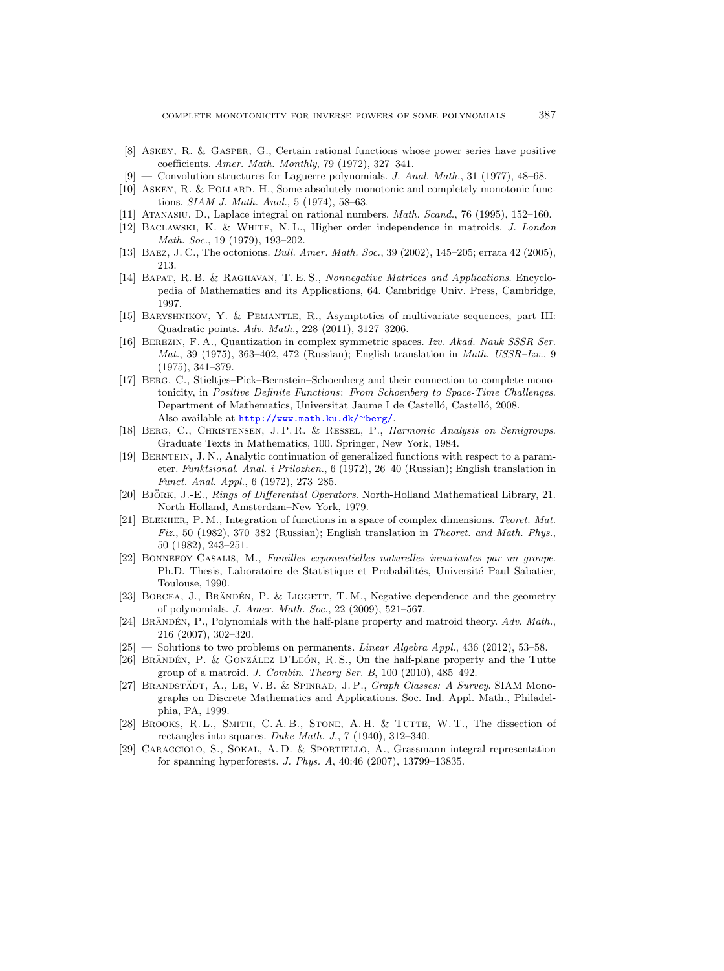- <span id="page-64-0"></span>[8] Askey, R. & Gasper, G., Certain rational functions whose power series have positive coefficients. Amer. Math. Monthly, 79 (1972), 327–341.
- <span id="page-64-8"></span>[9] — Convolution structures for Laguerre polynomials. J. Anal. Math., 31 (1977), 48–68.
- <span id="page-64-12"></span>[10] ASKEY, R. & POLLARD, H., Some absolutely monotonic and completely monotonic functions. SIAM J. Math. Anal., 5 (1974), 58–63.
- <span id="page-64-19"></span>[11] Atanasiu, D., Laplace integral on rational numbers. Math. Scand., 76 (1995), 152–160.
- <span id="page-64-20"></span>[12] BACLAWSKI, K. & WHITE, N.L., Higher order independence in matroids. J. London Math. Soc., 19 (1979), 193–202.
- <span id="page-64-14"></span>[13] BAEZ, J. C., The octonions. *Bull. Amer. Math. Soc.*, 39 (2002), 145–205; errata 42 (2005), 213.
- <span id="page-64-10"></span>[14] BAPAT, R. B. & RAGHAVAN, T. E. S., Nonnegative Matrices and Applications. Encyclopedia of Mathematics and its Applications, 64. Cambridge Univ. Press, Cambridge, 1997.
- <span id="page-64-4"></span>[15] Baryshnikov, Y. & Pemantle, R., Asymptotics of multivariate sequences, part III: Quadratic points. Adv. Math., 228 (2011), 3127–3206.
- <span id="page-64-3"></span>[16] Berezin, F. A., Quantization in complex symmetric spaces. Izv. Akad. Nauk SSSR Ser. Mat., 39 (1975), 363–402, 472 (Russian); English translation in Math. USSR–Izv., 9 (1975), 341–379.
- <span id="page-64-11"></span>[17] Berg, C., Stieltjes–Pick–Bernstein–Schoenberg and their connection to complete monotonicity, in Positive Definite Functions: From Schoenberg to Space-Time Challenges. Department of Mathematics, Universitat Jaume I de Castelló, Castelló, 2008. Also available at [http://www.math.ku.dk/](http://www.math.ku.dk/~berg/)<sup>∼</sup>berg/.
- <span id="page-64-9"></span>[18] Berg, C., Christensen, J. P. R. & Ressel, P., Harmonic Analysis on Semigroups. Graduate Texts in Mathematics, 100. Springer, New York, 1984.
- <span id="page-64-15"></span>[19] Berntein, J. N., Analytic continuation of generalized functions with respect to a parameter. Funktsional. Anal. i Prilozhen., 6 (1972), 26–40 (Russian); English translation in Funct. Anal. Appl., 6 (1972), 273–285.
- <span id="page-64-16"></span>[20] BJÖRK, J.-E., Rings of Differential Operators. North-Holland Mathematical Library, 21. North-Holland, Amsterdam–New York, 1979.
- <span id="page-64-18"></span>[21] BLEKHER, P. M., Integration of functions in a space of complex dimensions. Teoret. Mat. Fiz., 50 (1982), 370–382 (Russian); English translation in Theoret. and Math. Phys., 50 (1982), 243–251.
- <span id="page-64-17"></span>[22] Bonnefoy-Casalis, M., Familles exponentielles naturelles invariantes par un groupe. Ph.D. Thesis, Laboratoire de Statistique et Probabilités, Université Paul Sabatier, Toulouse, 1990.
- <span id="page-64-6"></span>[23] BORCEA, J., BRÄNDÉN, P. & LIGGETT, T.M., Negative dependence and the geometry of polynomials. J. Amer. Math. Soc., 22 (2009), 521–567.
- <span id="page-64-5"></span>[24] BRÄNDÉN, P., Polynomials with the half-plane property and matroid theory.  $Adv. Math.,$ 216 (2007), 302–320.
- <span id="page-64-2"></span> $[25]$  — Solutions to two problems on permanents. *Linear Algebra Appl.*, 436 (2012), 53–58.
- <span id="page-64-7"></span>[26] BRÄNDÉN, P. & GONZÁLEZ D'LEÓN, R. S., On the half-plane property and the Tutte group of a matroid. J. Combin. Theory Ser. B, 100 (2010), 485–492.
- <span id="page-64-21"></span>[27] BRANDSTÄDT, A., LE, V. B. & SPINRAD, J. P., Graph Classes: A Survey. SIAM Monographs on Discrete Mathematics and Applications. Soc. Ind. Appl. Math., Philadelphia, PA, 1999.
- <span id="page-64-1"></span>[28] BROOKS, R. L., SMITH, C. A. B., STONE, A. H. & TUTTE, W. T., The dissection of rectangles into squares. Duke Math. J., 7 (1940), 312–340.
- <span id="page-64-13"></span>[29] Caracciolo, S., Sokal, A. D. & Sportiello, A., Grassmann integral representation for spanning hyperforests. J. Phys. A, 40:46 (2007), 13799–13835.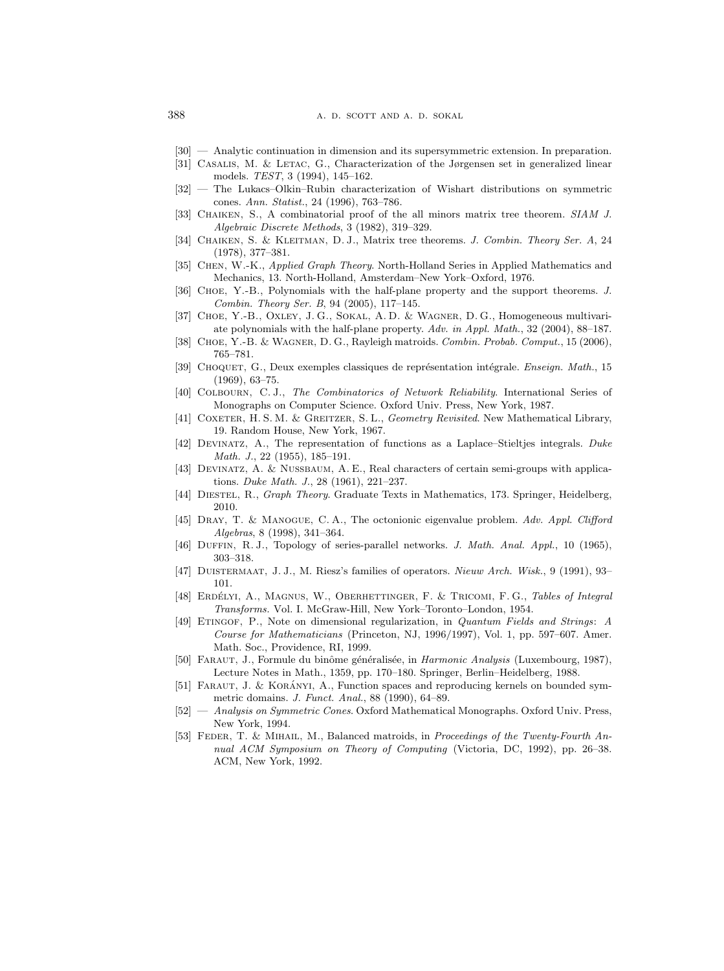- <span id="page-65-18"></span>[30] — Analytic continuation in dimension and its supersymmetric extension. In preparation.
- <span id="page-65-1"></span>[31] Casalis, M. & Letac, G., Characterization of the Jørgensen set in generalized linear models. TEST, 3 (1994), 145–162.
- <span id="page-65-17"></span>[32] — The Lukacs–Olkin–Rubin characterization of Wishart distributions on symmetric cones. Ann. Statist., 24 (1996), 763–786.
- <span id="page-65-5"></span>[33] CHAIKEN, S., A combinatorial proof of the all minors matrix tree theorem. SIAM J. Algebraic Discrete Methods, 3 (1982), 319–329.
- <span id="page-65-4"></span>[34] CHAIKEN, S. & KLEITMAN, D. J., Matrix tree theorems. J. Combin. Theory Ser. A, 24 (1978), 377–381.
- <span id="page-65-3"></span>[35] CHEN, W.-K., Applied Graph Theory. North-Holland Series in Applied Mathematics and Mechanics, 13. North-Holland, Amsterdam–New York–Oxford, 1976.
- <span id="page-65-9"></span>[36] Choe, Y.-B., Polynomials with the half-plane property and the support theorems. J. Combin. Theory Ser. B, 94 (2005), 117–145.
- <span id="page-65-2"></span>[37] Choe, Y.-B., Oxley, J. G., Sokal, A. D. & Wagner, D. G., Homogeneous multivariate polynomials with the half-plane property. Adv. in Appl. Math., 32 (2004), 88–187.
- <span id="page-65-10"></span>[38] CHOE, Y.-B. & WAGNER, D. G., Rayleigh matroids. Combin. Probab. Comput., 15 (2006), 765–781.
- <span id="page-65-11"></span>[39] CHOQUET, G., Deux exemples classiques de représentation intégrale. Enseign. Math., 15 (1969), 63–75.
- <span id="page-65-22"></span>[40] Colbourn, C. J., The Combinatorics of Network Reliability. International Series of Monographs on Computer Science. Oxford Univ. Press, New York, 1987.
- <span id="page-65-14"></span>[41] COXETER, H. S. M. & GREITZER, S. L., *Geometry Revisited*. New Mathematical Library, 19. Random House, New York, 1967.
- <span id="page-65-19"></span>[42] Devinatz, A., The representation of functions as a Laplace–Stieltjes integrals. Duke Math. J., 22 (1955), 185–191.
- <span id="page-65-12"></span>[43] Devinatz, A. & Nussbaum, A. E., Real characters of certain semi-groups with applications. Duke Math. J., 28 (1961), 221–237.
- <span id="page-65-23"></span>[44] DIESTEL, R., Graph Theory. Graduate Texts in Mathematics, 173. Springer, Heidelberg, 2010.
- <span id="page-65-16"></span>[45] DRAY, T. & MANOGUE, C. A., The octonionic eigenvalue problem. Adv. Appl. Clifford Algebras, 8 (1998), 341–364.
- <span id="page-65-21"></span>[46] DUFFIN, R. J., Topology of series-parallel networks. J. Math. Anal. Appl., 10 (1965), 303–318.
- <span id="page-65-8"></span>[47] Duistermaat, J. J., M. Riesz's families of operators. Nieuw Arch. Wisk., 9 (1991), 93– 101.
- <span id="page-65-13"></span>[48] ERDÉLYI, A., MAGNUS, W., OBERHETTINGER, F. & TRICOMI, F. G., Tables of Integral Transforms. Vol. I. McGraw-Hill, New York–Toronto–London, 1954.
- <span id="page-65-15"></span>[49] ETINGOF, P., Note on dimensional regularization, in *Quantum Fields and Strings*: A Course for Mathematicians (Princeton, NJ, 1996/1997), Vol. 1, pp. 597–607. Amer. Math. Soc., Providence, RI, 1999.
- <span id="page-65-6"></span>[50] FARAUT, J., Formule du binôme généralisée, in *Harmonic Analysis* (Luxembourg, 1987), Lecture Notes in Math., 1359, pp. 170–180. Springer, Berlin–Heidelberg, 1988.
- <span id="page-65-7"></span>[51] FARAUT, J. & KORÁNYI, A., Function spaces and reproducing kernels on bounded symmetric domains. J. Funct. Anal., 88 (1990), 64–89.
- <span id="page-65-0"></span>[52] — Analysis on Symmetric Cones. Oxford Mathematical Monographs. Oxford Univ. Press, New York, 1994.
- <span id="page-65-20"></span>[53] FEDER, T. & MIHAIL, M., Balanced matroids, in *Proceedings of the Twenty-Fourth An*nual ACM Symposium on Theory of Computing (Victoria, DC, 1992), pp. 26–38. ACM, New York, 1992.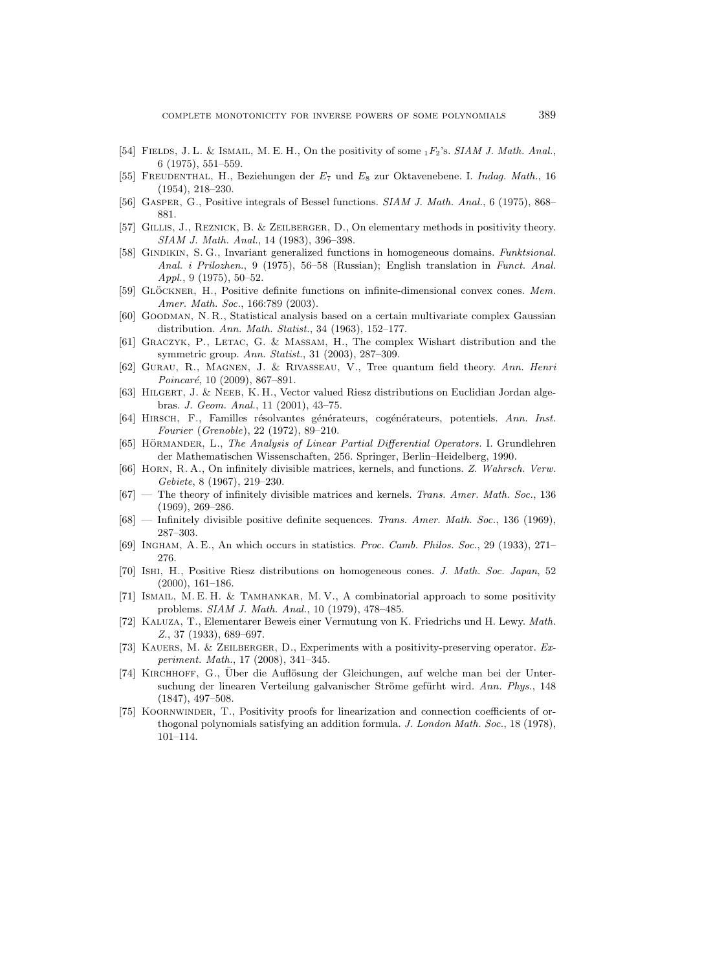- <span id="page-66-13"></span>[54] FIELDS, J. L. & ISMAIL, M. E. H., On the positivity of some  $_1F_2$ 's. SIAM J. Math. Anal., 6 (1975), 551–559.
- <span id="page-66-19"></span>[55] Freudenthal, H., Beziehungen der E<sup>7</sup> und E<sup>8</sup> zur Oktavenebene. I. Indag. Math., 16 (1954), 218–230.
- <span id="page-66-14"></span>[56] Gasper, G., Positive integrals of Bessel functions. SIAM J. Math. Anal., 6 (1975), 868– 881.
- <span id="page-66-6"></span>[57] Gillis, J., Reznick, B. & Zeilberger, D., On elementary methods in positivity theory. SIAM J. Math. Anal., 14 (1983), 396–398.
- <span id="page-66-1"></span>[58] GINDIKIN, S. G., Invariant generalized functions in homogeneous domains. Funktsional. Anal. i Prilozhen., 9 (1975), 56–58 (Russian); English translation in Funct. Anal. Appl., 9 (1975), 50–52.
- <span id="page-66-12"></span>[59] GLÖCKNER, H., Positive definite functions on infinite-dimensional convex cones. Mem. Amer. Math. Soc., 166:789 (2003).
- <span id="page-66-17"></span>[60] Goodman, N. R., Statistical analysis based on a certain multivariate complex Gaussian distribution. Ann. Math. Statist., 34 (1963), 152–177.
- <span id="page-66-18"></span>[61] Graczyk, P., Letac, G. & Massam, H., The complex Wishart distribution and the symmetric group. Ann. Statist., 31 (2003), 287–309.
- <span id="page-66-21"></span>[62] Gurau, R., Magnen, J. & Rivasseau, V., Tree quantum field theory. Ann. Henri  $Poincaré, 10 (2009), 867-891.$
- <span id="page-66-20"></span>[63] HILGERT, J. & NEEB, K. H., Vector valued Riesz distributions on Euclidian Jordan algebras. J. Geom. Anal., 11 (2001), 43–75.
- <span id="page-66-11"></span>[64] HIRSCH, F., Familles résolvantes générateurs, cogénérateurs, potentiels. Ann. Inst. Fourier (Grenoble), 22 (1972), 89–210.
- <span id="page-66-15"></span>[65] HÖRMANDER, L., The Analysis of Linear Partial Differential Operators. I. Grundlehren der Mathematischen Wissenschaften, 256. Springer, Berlin–Heidelberg, 1990.
- <span id="page-66-8"></span>[66] Horn, R. A., On infinitely divisible matrices, kernels, and functions. Z. Wahrsch. Verw. Gebiete, 8 (1967), 219–230.
- <span id="page-66-9"></span> $[67]$  — The theory of infinitely divisible matrices and kernels. Trans. Amer. Math. Soc., 136 (1969), 269–286.
- <span id="page-66-10"></span>[68] — Infinitely divisible positive definite sequences. Trans. Amer. Math. Soc., 136 (1969), 287–303.
- <span id="page-66-16"></span>[69] Ingham, A. E., An which occurs in statistics. Proc. Camb. Philos. Soc., 29 (1933), 271– 276.
- <span id="page-66-2"></span>[70] Ishi, H., Positive Riesz distributions on homogeneous cones. J. Math. Soc. Japan, 52 (2000), 161–186.
- <span id="page-66-5"></span>[71] ISMAIL, M. E. H. & TAMHANKAR, M. V., A combinatorial approach to some positivity problems. SIAM J. Math. Anal., 10 (1979), 478–485.
- <span id="page-66-0"></span>[72] Kaluza, T., Elementarer Beweis einer Vermutung von K. Friedrichs und H. Lewy. Math. Z., 37 (1933), 689–697.
- <span id="page-66-4"></span>[73] Kauers, M. & Zeilberger, D., Experiments with a positivity-preserving operator. Experiment. Math., 17 (2008), 341–345.
- <span id="page-66-3"></span>[74] KIRCHHOFF, G., Über die Auflösung der Gleichungen, auf welche man bei der Untersuchung der linearen Verteilung galvanischer Ströme gefürht wird. Ann. Phys., 148 (1847), 497–508.
- <span id="page-66-7"></span>[75] Koornwinder, T., Positivity proofs for linearization and connection coefficients of orthogonal polynomials satisfying an addition formula. J. London Math. Soc., 18 (1978), 101–114.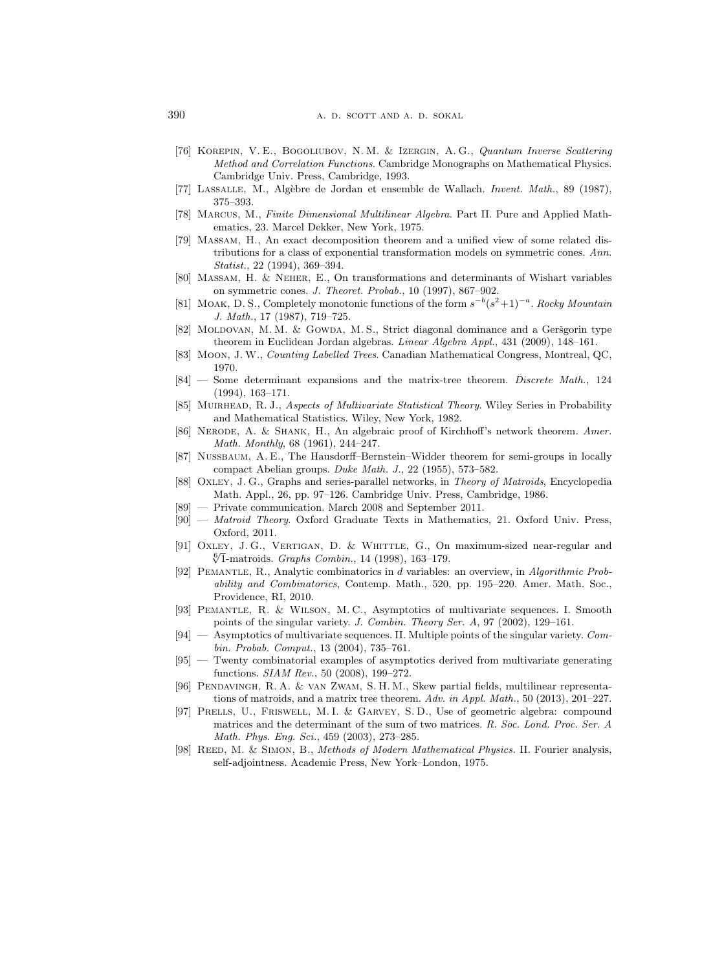- <span id="page-67-13"></span>[76] Korepin, V. E., Bogoliubov, N. M. & Izergin, A. G., Quantum Inverse Scattering Method and Correlation Functions. Cambridge Monographs on Mathematical Physics. Cambridge Univ. Press, Cambridge, 1993.
- <span id="page-67-3"></span>[77] LASSALLE, M., Algèbre de Jordan et ensemble de Wallach. Invent. Math., 89 (1987), 375–393.
- <span id="page-67-12"></span>[78] Marcus, M., Finite Dimensional Multilinear Algebra. Part II. Pure and Applied Mathematics, 23. Marcel Dekker, New York, 1975.
- <span id="page-67-17"></span>[79] Massam, H., An exact decomposition theorem and a unified view of some related distributions for a class of exponential transformation models on symmetric cones. Ann. Statist., 22 (1994), 369–394.
- <span id="page-67-18"></span>[80] Massam, H. & Neher, E., On transformations and determinants of Wishart variables on symmetric cones. J. Theoret. Probab., 10 (1997), 867–902.
- <span id="page-67-11"></span>[81] MOAK, D. S., Completely monotonic functions of the form  $s^{-b}(s^2+1)^{-a}$ . Rocky Mountain J. Math., 17 (1987), 719–725.
- <span id="page-67-15"></span>[82] MOLDOVAN, M. M. & GOWDA, M. S., Strict diagonal dominance and a Geršgorin type theorem in Euclidean Jordan algebras. Linear Algebra Appl., 431 (2009), 148–161.
- <span id="page-67-1"></span>[83] Moon, J. W., Counting Labelled Trees. Canadian Mathematical Congress, Montreal, QC, 1970.
- <span id="page-67-2"></span>[84] — Some determinant expansions and the matrix-tree theorem. Discrete Math., 124 (1994), 163–171.
- <span id="page-67-16"></span>[85] MUIRHEAD, R. J., Aspects of Multivariate Statistical Theory. Wiley Series in Probability and Mathematical Statistics. Wiley, New York, 1982.
- <span id="page-67-0"></span>[86] NERODE, A. & SHANK, H., An algebraic proof of Kirchhoff's network theorem. Amer. Math. Monthly, 68 (1961), 244–247.
- <span id="page-67-10"></span>[87] Nussbaum, A. E., The Hausdorff–Bernstein–Widder theorem for semi-groups in locally compact Abelian groups. Duke Math. J., 22 (1955), 573–582.
- <span id="page-67-21"></span>[88] OXLEY, J. G., Graphs and series-parallel networks, in Theory of Matroids, Encyclopedia Math. Appl., 26, pp. 97–126. Cambridge Univ. Press, Cambridge, 1986.
- <span id="page-67-22"></span>[89] — Private communication. March 2008 and September 2011.
- <span id="page-67-4"></span>[90] — Matroid Theory. Oxford Graduate Texts in Mathematics, 21. Oxford Univ. Press, Oxford, 2011.
- <span id="page-67-20"></span>[91] Oxley, J. G., Vertigan, D. & Whittle, G., On maximum-sized near-regular and  $\frac{6}{1}$  matroids. *Graphs Combin.*, 14 (1998), 163–179.
- <span id="page-67-9"></span>[92] Pemantle, R., Analytic combinatorics in d variables: an overview, in Algorithmic Probability and Combinatorics, Contemp. Math., 520, pp. 195–220. Amer. Math. Soc., Providence, RI, 2010.
- <span id="page-67-6"></span>[93] Pemantle, R. & Wilson, M. C., Asymptotics of multivariate sequences. I. Smooth points of the singular variety. J. Combin. Theory Ser. A, 97 (2002), 129–161.
- <span id="page-67-7"></span>[94] — Asymptotics of multivariate sequences. II. Multiple points of the singular variety. Combin. Probab. Comput., 13 (2004), 735–761.
- <span id="page-67-8"></span>[95] — Twenty combinatorial examples of asymptotics derived from multivariate generating functions. SIAM Rev., 50 (2008), 199–272.
- <span id="page-67-5"></span>[96] Pendavingh, R. A. & van Zwam, S. H. M., Skew partial fields, multilinear representations of matroids, and a matrix tree theorem. Adv. in Appl. Math., 50 (2013), 201–227.
- <span id="page-67-14"></span>[97] Prells, U., Friswell, M. I. & Garvey, S. D., Use of geometric algebra: compound matrices and the determinant of the sum of two matrices. R. Soc. Lond. Proc. Ser. A Math. Phys. Eng. Sci., 459 (2003), 273–285.
- <span id="page-67-19"></span>[98] REED, M. & SIMON, B., Methods of Modern Mathematical Physics. II. Fourier analysis, self-adjointness. Academic Press, New York–London, 1975.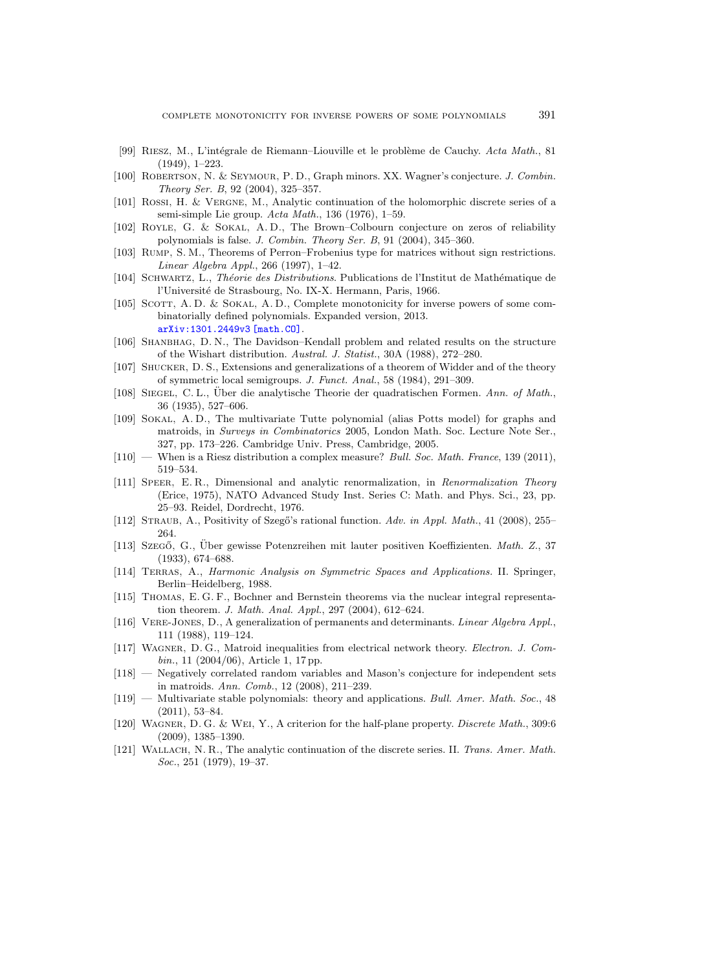- <span id="page-68-9"></span>[99] RIESZ, M., L'intégrale de Riemann–Liouville et le problème de Cauchy. Acta Math., 81 (1949), 1–223.
- <span id="page-68-22"></span>[100] Robertson, N. & Seymour, P. D., Graph minors. XX. Wagner's conjecture. J. Combin. Theory Ser. B, 92 (2004), 325–357.
- <span id="page-68-7"></span>[101] Rossi, H. & Vergne, M., Analytic continuation of the holomorphic discrete series of a semi-simple Lie group. Acta Math., 136 (1976), 1–59.
- <span id="page-68-14"></span>[102] ROYLE, G. & SOKAL, A.D., The Brown–Colbourn conjecture on zeros of reliability polynomials is false. J. Combin. Theory Ser. B, 91 (2004), 345–360.
- <span id="page-68-17"></span>[103] Rump, S. M., Theorems of Perron–Frobenius type for matrices without sign restrictions. Linear Algebra Appl., 266 (1997), 1–42.
- <span id="page-68-16"></span>[104] SCHWARTZ, L., Théorie des Distributions. Publications de l'Institut de Mathématique de l'Université de Strasbourg, No. IX-X. Hermann, Paris, 1966.
- <span id="page-68-5"></span>[105] SCOTT, A.D. & SOKAL, A.D., Complete monotonicity for inverse powers of some combinatorially defined polynomials. Expanded version, 2013. [arXiv:1301.2449v3 \[math.CO\]](http://arxiv.org/abs/1301.2449v3).
- <span id="page-68-2"></span>[106] SHANBHAG, D. N., The Davidson–Kendall problem and related results on the structure of the Wishart distribution. Austral. J. Statist., 30A (1988), 272–280.
- <span id="page-68-21"></span>[107] Shucker, D. S., Extensions and generalizations of a theorem of Widder and of the theory of symmetric local semigroups. J. Funct. Anal., 58 (1984), 291–309.
- <span id="page-68-18"></span>[108] SIEGEL, C. L., Uber die analytische Theorie der quadratischen Formen. Ann. of Math., 36 (1935), 527–606.
- <span id="page-68-4"></span>[109] Sokal, A. D., The multivariate Tutte polynomial (alias Potts model) for graphs and matroids, in Surveys in Combinatorics 2005, London Math. Soc. Lecture Note Ser., 327, pp. 173–226. Cambridge Univ. Press, Cambridge, 2005.
- <span id="page-68-3"></span> $[110]$  — When is a Riesz distribution a complex measure? Bull. Soc. Math. France, 139 (2011), 519–534.
- <span id="page-68-20"></span>[111] Speer, E. R., Dimensional and analytic renormalization, in Renormalization Theory (Erice, 1975), NATO Advanced Study Inst. Series C: Math. and Phys. Sci., 23, pp. 25–93. Reidel, Dordrecht, 1976.
- <span id="page-68-1"></span>[112] STRAUB, A., Positivity of Szegő's rational function. Adv. in Appl. Math., 41 (2008), 255– 264.
- <span id="page-68-0"></span>[113] Szegő, G., Über gewisse Potenzreihen mit lauter positiven Koeffizienten. Math. Z., 37 (1933), 674–688.
- <span id="page-68-19"></span>[114] Terras, A., Harmonic Analysis on Symmetric Spaces and Applications. II. Springer, Berlin–Heidelberg, 1988.
- <span id="page-68-15"></span>[115] Thomas, E. G. F., Bochner and Bernstein theorems via the nuclear integral representation theorem. J. Math. Anal. Appl., 297 (2004), 612–624.
- <span id="page-68-6"></span>[116] Vere-Jones, D., A generalization of permanents and determinants. Linear Algebra Appl., 111 (1988), 119–124.
- <span id="page-68-10"></span>[117] Wagner, D. G., Matroid inequalities from electrical network theory. Electron. J. Combin., 11 (2004/06), Article 1, 17 pp.
- <span id="page-68-13"></span>[118] — Negatively correlated random variables and Mason's conjecture for independent sets in matroids. Ann. Comb., 12 (2008), 211–239.
- <span id="page-68-12"></span>[119] — Multivariate stable polynomials: theory and applications. Bull. Amer. Math. Soc., 48  $(2011), 53-84.$
- <span id="page-68-11"></span>[120] WAGNER, D. G. & WEI, Y., A criterion for the half-plane property. Discrete Math., 309:6 (2009), 1385–1390.
- <span id="page-68-8"></span>[121] WALLACH, N. R., The analytic continuation of the discrete series. II. Trans. Amer. Math. Soc., 251 (1979), 19–37.